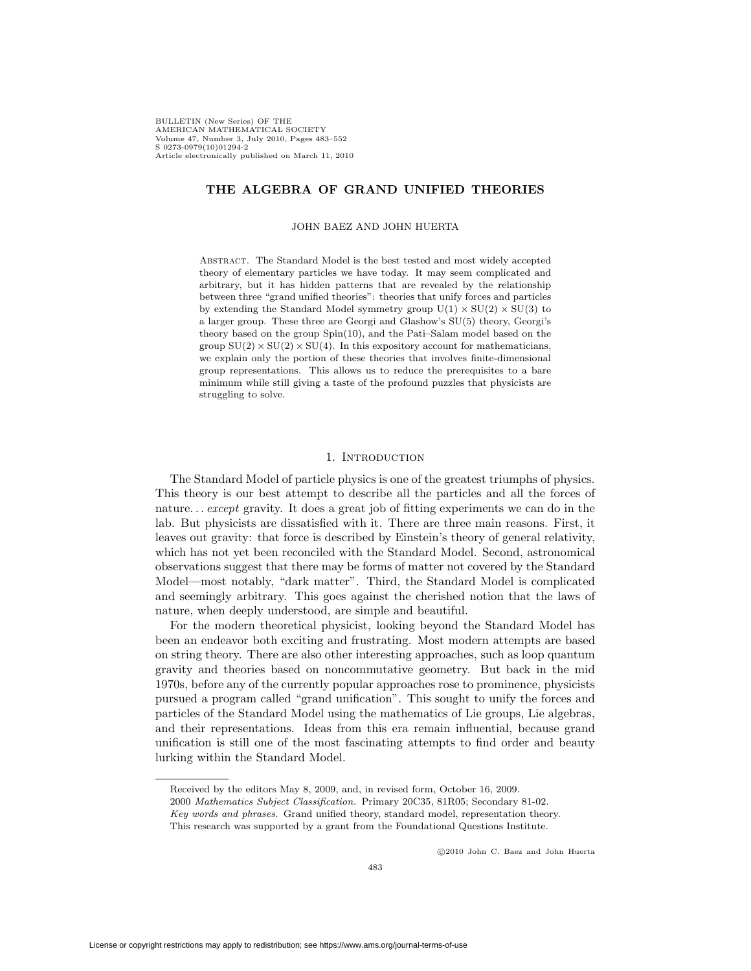BULLETIN (New Series) OF THE AMERICAN MATHEMATICAL SOCIETY Volume 47, Number 3, July 2010, Pages 483–552 S 0273-0979(10)01294-2 Article electronically published on March 11, 2010

# **THE ALGEBRA OF GRAND UNIFIED THEORIES**

JOHN BAEZ AND JOHN HUERTA

Abstract. The Standard Model is the best tested and most widely accepted theory of elementary particles we have today. It may seem complicated and arbitrary, but it has hidden patterns that are revealed by the relationship between three "grand unified theories": theories that unify forces and particles by extending the Standard Model symmetry group  $U(1) \times SU(2) \times SU(3)$  to a larger group. These three are Georgi and Glashow's SU(5) theory, Georgi's theory based on the group Spin(10), and the Pati–Salam model based on the group  $SU(2) \times SU(2) \times SU(4)$ . In this expository account for mathematicians, we explain only the portion of these theories that involves finite-dimensional group representations. This allows us to reduce the prerequisites to a bare minimum while still giving a taste of the profound puzzles that physicists are struggling to solve.

## 1. INTRODUCTION

The Standard Model of particle physics is one of the greatest triumphs of physics. This theory is our best attempt to describe all the particles and all the forces of nature... *except* gravity. It does a great job of fitting experiments we can do in the lab. But physicists are dissatisfied with it. There are three main reasons. First, it leaves out gravity: that force is described by Einstein's theory of general relativity, which has not yet been reconciled with the Standard Model. Second, astronomical observations suggest that there may be forms of matter not covered by the Standard Model—most notably, "dark matter". Third, the Standard Model is complicated and seemingly arbitrary. This goes against the cherished notion that the laws of nature, when deeply understood, are simple and beautiful.

For the modern theoretical physicist, looking beyond the Standard Model has been an endeavor both exciting and frustrating. Most modern attempts are based on string theory. There are also other interesting approaches, such as loop quantum gravity and theories based on noncommutative geometry. But back in the mid 1970s, before any of the currently popular approaches rose to prominence, physicists pursued a program called "grand unification". This sought to unify the forces and particles of the Standard Model using the mathematics of Lie groups, Lie algebras, and their representations. Ideas from this era remain influential, because grand unification is still one of the most fascinating attempts to find order and beauty lurking within the Standard Model.

-c 2010 John C. Baez and John Huerta

Received by the editors May 8, 2009, and, in revised form, October 16, 2009.

<sup>2000</sup> Mathematics Subject Classification. Primary 20C35, 81R05; Secondary 81-02.

Key words and phrases. Grand unified theory, standard model, representation theory.

This research was supported by a grant from the Foundational Questions Institute.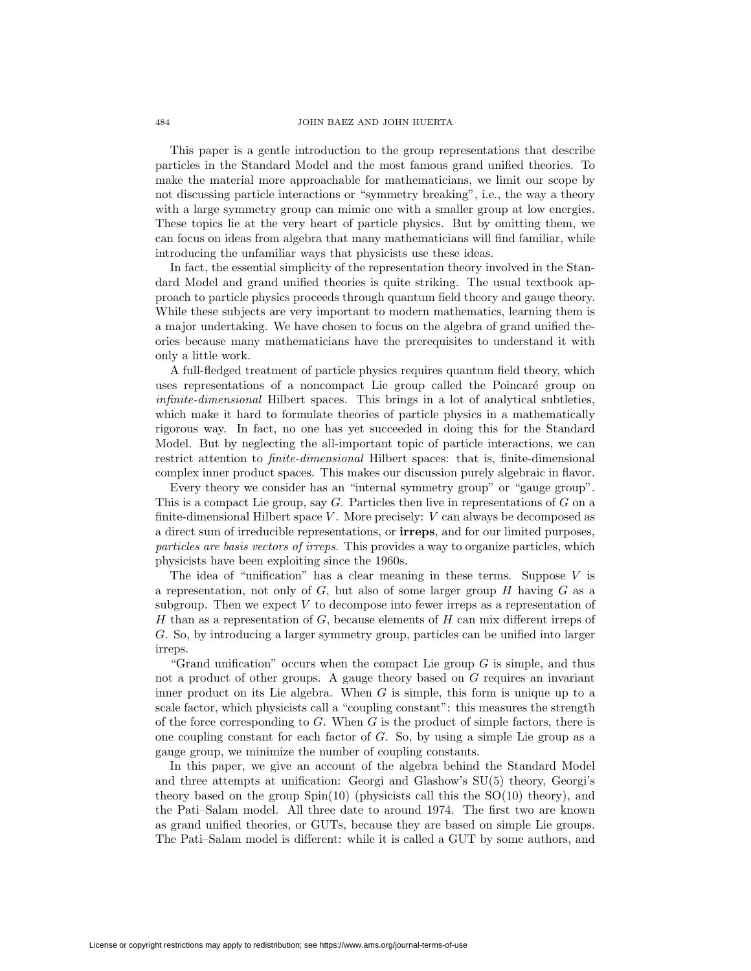This paper is a gentle introduction to the group representations that describe particles in the Standard Model and the most famous grand unified theories. To make the material more approachable for mathematicians, we limit our scope by not discussing particle interactions or "symmetry breaking", i.e., the way a theory with a large symmetry group can mimic one with a smaller group at low energies. These topics lie at the very heart of particle physics. But by omitting them, we can focus on ideas from algebra that many mathematicians will find familiar, while introducing the unfamiliar ways that physicists use these ideas.

In fact, the essential simplicity of the representation theory involved in the Standard Model and grand unified theories is quite striking. The usual textbook approach to particle physics proceeds through quantum field theory and gauge theory. While these subjects are very important to modern mathematics, learning them is a major undertaking. We have chosen to focus on the algebra of grand unified theories because many mathematicians have the prerequisites to understand it with only a little work.

A full-fledged treatment of particle physics requires quantum field theory, which uses representations of a noncompact Lie group called the Poincaré group on infinite-dimensional Hilbert spaces. This brings in a lot of analytical subtleties, which make it hard to formulate theories of particle physics in a mathematically rigorous way. In fact, no one has yet succeeded in doing this for the Standard Model. But by neglecting the all-important topic of particle interactions, we can restrict attention to finite-dimensional Hilbert spaces: that is, finite-dimensional complex inner product spaces. This makes our discussion purely algebraic in flavor.

Every theory we consider has an "internal symmetry group" or "gauge group". This is a compact Lie group, say  $G$ . Particles then live in representations of  $G$  on a finite-dimensional Hilbert space  $V$ . More precisely:  $V$  can always be decomposed as a direct sum of irreducible representations, or **irreps**, and for our limited purposes, particles are basis vectors of irreps. This provides a way to organize particles, which physicists have been exploiting since the 1960s.

The idea of "unification" has a clear meaning in these terms. Suppose  $V$  is a representation, not only of  $G$ , but also of some larger group  $H$  having  $G$  as a subgroup. Then we expect  $V$  to decompose into fewer irreps as a representation of H than as a representation of  $G$ , because elements of  $H$  can mix different irreps of G. So, by introducing a larger symmetry group, particles can be unified into larger irreps.

"Grand unification" occurs when the compact Lie group  $G$  is simple, and thus not a product of other groups. A gauge theory based on G requires an invariant inner product on its Lie algebra. When  $G$  is simple, this form is unique up to a scale factor, which physicists call a "coupling constant": this measures the strength of the force corresponding to  $G$ . When  $G$  is the product of simple factors, there is one coupling constant for each factor of G. So, by using a simple Lie group as a gauge group, we minimize the number of coupling constants.

In this paper, we give an account of the algebra behind the Standard Model and three attempts at unification: Georgi and Glashow's SU(5) theory, Georgi's theory based on the group  $Spin(10)$  (physicists call this the  $SO(10)$  theory), and the Pati–Salam model. All three date to around 1974. The first two are known as grand unified theories, or GUTs, because they are based on simple Lie groups. The Pati–Salam model is different: while it is called a GUT by some authors, and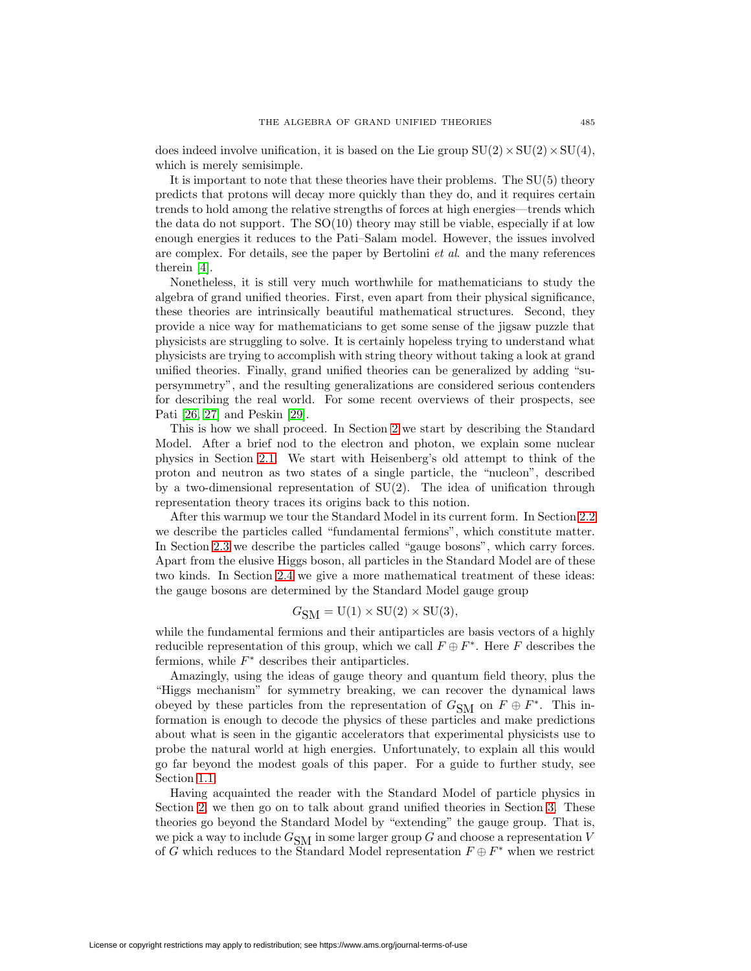does indeed involve unification, it is based on the Lie group  $SU(2) \times SU(2) \times SU(4)$ , which is merely semisimple.

It is important to note that these theories have their problems. The  $SU(5)$  theory predicts that protons will decay more quickly than they do, and it requires certain trends to hold among the relative strengths of forces at high energies—trends which the data do not support. The SO(10) theory may still be viable, especially if at low enough energies it reduces to the Pati–Salam model. However, the issues involved are complex. For details, see the paper by Bertolini et al. and the many references therein [\[4\]](#page-67-0).

Nonetheless, it is still very much worthwhile for mathematicians to study the algebra of grand unified theories. First, even apart from their physical significance, these theories are intrinsically beautiful mathematical structures. Second, they provide a nice way for mathematicians to get some sense of the jigsaw puzzle that physicists are struggling to solve. It is certainly hopeless trying to understand what physicists are trying to accomplish with string theory without taking a look at grand unified theories. Finally, grand unified theories can be generalized by adding "supersymmetry", and the resulting generalizations are considered serious contenders for describing the real world. For some recent overviews of their prospects, see Pati [\[26,](#page-68-0) [27\]](#page-68-1) and Peskin [\[29\]](#page-68-2).

This is how we shall proceed. In Section [2](#page-4-0) we start by describing the Standard Model. After a brief nod to the electron and photon, we explain some nuclear physics in Section [2.1.](#page-5-0) We start with Heisenberg's old attempt to think of the proton and neutron as two states of a single particle, the "nucleon", described by a two-dimensional representation of SU(2). The idea of unification through representation theory traces its origins back to this notion.

After this warmup we tour the Standard Model in its current form. In Section [2.2](#page-11-0) we describe the particles called "fundamental fermions", which constitute matter. In Section [2.3](#page-18-0) we describe the particles called "gauge bosons", which carry forces. Apart from the elusive Higgs boson, all particles in the Standard Model are of these two kinds. In Section [2.4](#page-25-0) we give a more mathematical treatment of these ideas: the gauge bosons are determined by the Standard Model gauge group

$$
G_{\rm SM} = \mathrm{U}(1) \times \mathrm{SU}(2) \times \mathrm{SU}(3),
$$

while the fundamental fermions and their antiparticles are basis vectors of a highly reducible representation of this group, which we call  $F \oplus F^*$ . Here F describes the fermions, while  $F^*$  describes their antiparticles.

Amazingly, using the ideas of gauge theory and quantum field theory, plus the "Higgs mechanism" for symmetry breaking, we can recover the dynamical laws obeyed by these particles from the representation of  $G_{SM}$  on  $F \oplus F^*$ . This information is enough to decode the physics of these particles and make predictions about what is seen in the gigantic accelerators that experimental physicists use to probe the natural world at high energies. Unfortunately, to explain all this would go far beyond the modest goals of this paper. For a guide to further study, see Section [1.1.](#page-3-0)

Having acquainted the reader with the Standard Model of particle physics in Section [2,](#page-4-0) we then go on to talk about grand unified theories in Section [3.](#page-28-0) These theories go beyond the Standard Model by "extending" the gauge group. That is, we pick a way to include  $G_{\text{SM}}$  in some larger group G and choose a representation V of  $G$  which reduces to the Standard Model representation  $F\oplus F^*$  when we restrict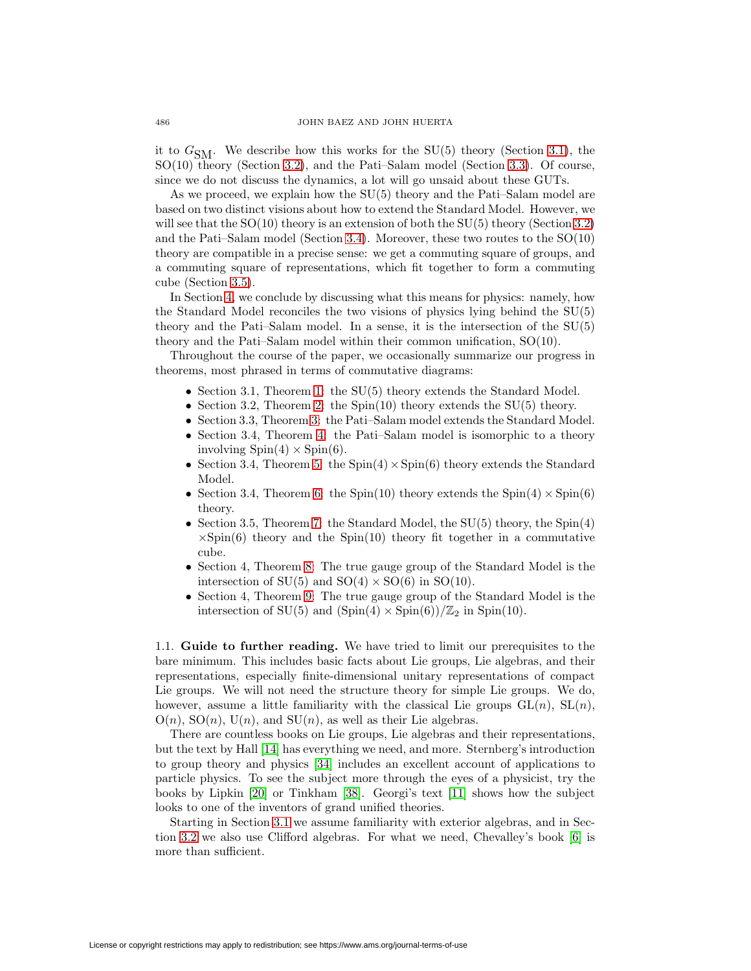it to  $G_{\text{SM}}$ . We describe how this works for the SU(5) theory (Section [3.1\)](#page-29-0), the SO(10) theory (Section [3.2\)](#page-39-0), and the Pati–Salam model (Section [3.3\)](#page-44-0). Of course, since we do not discuss the dynamics, a lot will go unsaid about these GUTs.

As we proceed, we explain how the SU(5) theory and the Pati–Salam model are based on two distinct visions about how to extend the Standard Model. However, we will see that the  $SO(10)$  theory is an extension of both the  $SU(5)$  theory (Section [3.2\)](#page-39-0) and the Pati–Salam model (Section [3.4\)](#page-52-0). Moreover, these two routes to the  $SO(10)$ theory are compatible in a precise sense: we get a commuting square of groups, and a commuting square of representations, which fit together to form a commuting cube (Section [3.5\)](#page-59-0).

In Section [4,](#page-61-0) we conclude by discussing what this means for physics: namely, how the Standard Model reconciles the two visions of physics lying behind the SU(5) theory and the Pati–Salam model. In a sense, it is the intersection of the SU(5) theory and the Pati–Salam model within their common unification, SO(10).

Throughout the course of the paper, we occasionally summarize our progress in theorems, most phrased in terms of commutative diagrams:

- Section 3.1, Theorem [1:](#page-38-0) the SU(5) theory extends the Standard Model.
- Section 3.2, Theorem [2:](#page-42-0) the Spin(10) theory extends the SU(5) theory.
- Section 3.3, Theorem [3:](#page-52-1) the Pati–Salam model extends the Standard Model.
- Section 3.4, Theorem [4:](#page-53-0) the Pati–Salam model is isomorphic to a theory involving  $Spin(4) \times Spin(6)$ .
- Section 3.4, Theorem [5:](#page-57-0) the  $Spin(4) \times Spin(6)$  theory extends the Standard Model.
- Section 3.4, Theorem [6:](#page-58-0) the Spin(10) theory extends the  $Spin(4) \times Spin(6)$ theory.
- Section 3.5, Theorem [7:](#page-60-0) the Standard Model, the  $SU(5)$  theory, the Spin(4)  $\times$ Spin(6) theory and the Spin(10) theory fit together in a commutative cube.
- Section 4, Theorem [8:](#page-64-0) The true gauge group of the Standard Model is the intersection of SU(5) and SO(4)  $\times$  SO(6) in SO(10).
- Section 4, Theorem [9:](#page-65-0) The true gauge group of the Standard Model is the intersection of SU(5) and  $(\text{Spin}(4) \times \text{Spin}(6))/\mathbb{Z}_2$  in Spin(10).

<span id="page-3-0"></span>1.1. **Guide to further reading.** We have tried to limit our prerequisites to the bare minimum. This includes basic facts about Lie groups, Lie algebras, and their representations, especially finite-dimensional unitary representations of compact Lie groups. We will not need the structure theory for simple Lie groups. We do, however, assume a little familiarity with the classical Lie groups  $GL(n)$ ,  $SL(n)$ ,  $O(n)$ ,  $SO(n)$ ,  $U(n)$ , and  $SU(n)$ , as well as their Lie algebras.

There are countless books on Lie groups, Lie algebras and their representations, but the text by Hall [\[14\]](#page-68-3) has everything we need, and more. Sternberg's introduction to group theory and physics [\[34\]](#page-68-4) includes an excellent account of applications to particle physics. To see the subject more through the eyes of a physicist, try the books by Lipkin [\[20\]](#page-68-5) or Tinkham [\[38\]](#page-68-6). Georgi's text [\[11\]](#page-68-7) shows how the subject looks to one of the inventors of grand unified theories.

Starting in Section [3.1](#page-29-0) we assume familiarity with exterior algebras, and in Section [3.2](#page-39-0) we also use Clifford algebras. For what we need, Chevalley's book [\[6\]](#page-67-1) is more than sufficient.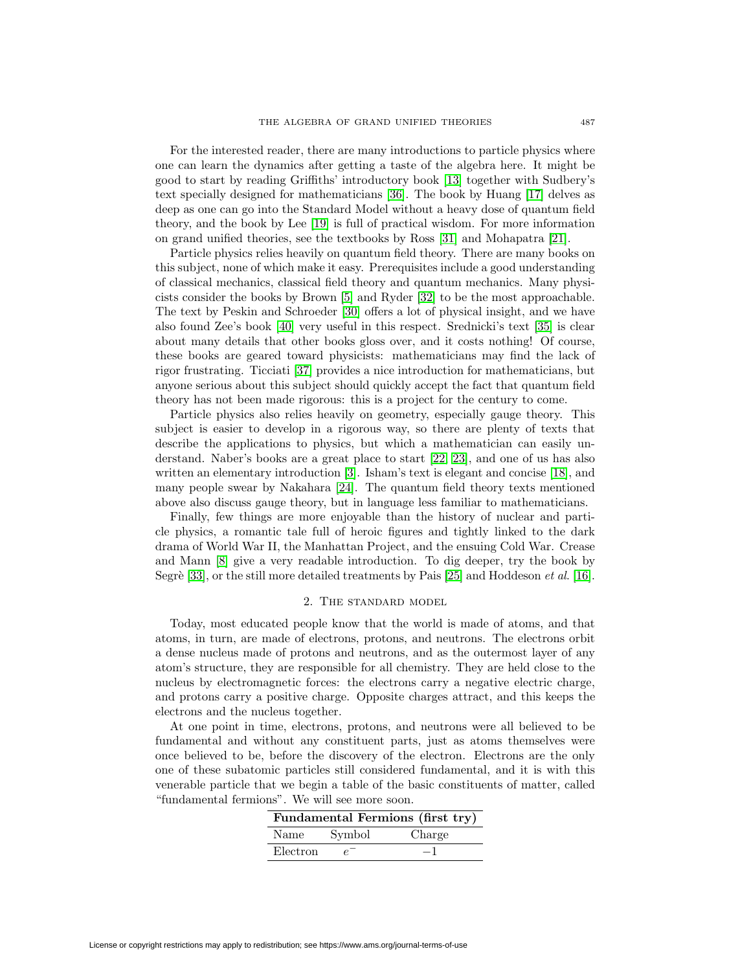For the interested reader, there are many introductions to particle physics where one can learn the dynamics after getting a taste of the algebra here. It might be good to start by reading Griffiths' introductory book [\[13\]](#page-68-8) together with Sudbery's text specially designed for mathematicians [\[36\]](#page-68-9). The book by Huang [\[17\]](#page-68-10) delves as deep as one can go into the Standard Model without a heavy dose of quantum field theory, and the book by Lee [\[19\]](#page-68-11) is full of practical wisdom. For more information on grand unified theories, see the textbooks by Ross [\[31\]](#page-68-12) and Mohapatra [\[21\]](#page-68-13).

Particle physics relies heavily on quantum field theory. There are many books on this subject, none of which make it easy. Prerequisites include a good understanding of classical mechanics, classical field theory and quantum mechanics. Many physicists consider the books by Brown [\[5\]](#page-67-2) and Ryder [\[32\]](#page-68-14) to be the most approachable. The text by Peskin and Schroeder [\[30\]](#page-68-15) offers a lot of physical insight, and we have also found Zee's book [\[40\]](#page-69-0) very useful in this respect. Srednicki's text [\[35\]](#page-68-16) is clear about many details that other books gloss over, and it costs nothing! Of course, these books are geared toward physicists: mathematicians may find the lack of rigor frustrating. Ticciati [\[37\]](#page-68-17) provides a nice introduction for mathematicians, but anyone serious about this subject should quickly accept the fact that quantum field theory has not been made rigorous: this is a project for the century to come.

Particle physics also relies heavily on geometry, especially gauge theory. This subject is easier to develop in a rigorous way, so there are plenty of texts that describe the applications to physics, but which a mathematician can easily understand. Naber's books are a great place to start [\[22,](#page-68-18) [23\]](#page-68-19), and one of us has also written an elementary introduction [\[3\]](#page-67-3). Isham's text is elegant and concise [\[18\]](#page-68-20), and many people swear by Nakahara [\[24\]](#page-68-21). The quantum field theory texts mentioned above also discuss gauge theory, but in language less familiar to mathematicians.

Finally, few things are more enjoyable than the history of nuclear and particle physics, a romantic tale full of heroic figures and tightly linked to the dark drama of World War II, the Manhattan Project, and the ensuing Cold War. Crease and Mann [\[8\]](#page-67-4) give a very readable introduction. To dig deeper, try the book by Segrè [\[33\]](#page-68-22), or the still more detailed treatments by Pais [\[25\]](#page-68-23) and Hoddeson *et al.* [\[16\]](#page-68-24).

#### 2. The standard model

<span id="page-4-0"></span>Today, most educated people know that the world is made of atoms, and that atoms, in turn, are made of electrons, protons, and neutrons. The electrons orbit a dense nucleus made of protons and neutrons, and as the outermost layer of any atom's structure, they are responsible for all chemistry. They are held close to the nucleus by electromagnetic forces: the electrons carry a negative electric charge, and protons carry a positive charge. Opposite charges attract, and this keeps the electrons and the nucleus together.

At one point in time, electrons, protons, and neutrons were all believed to be fundamental and without any constituent parts, just as atoms themselves were once believed to be, before the discovery of the electron. Electrons are the only one of these subatomic particles still considered fundamental, and it is with this venerable particle that we begin a table of the basic constituents of matter, called "fundamental fermions". We will see more soon.

| Fundamental Fermions (first try) |        |        |  |  |  |
|----------------------------------|--------|--------|--|--|--|
| Name                             | Symbol | Charge |  |  |  |
| Electron                         |        | — 1    |  |  |  |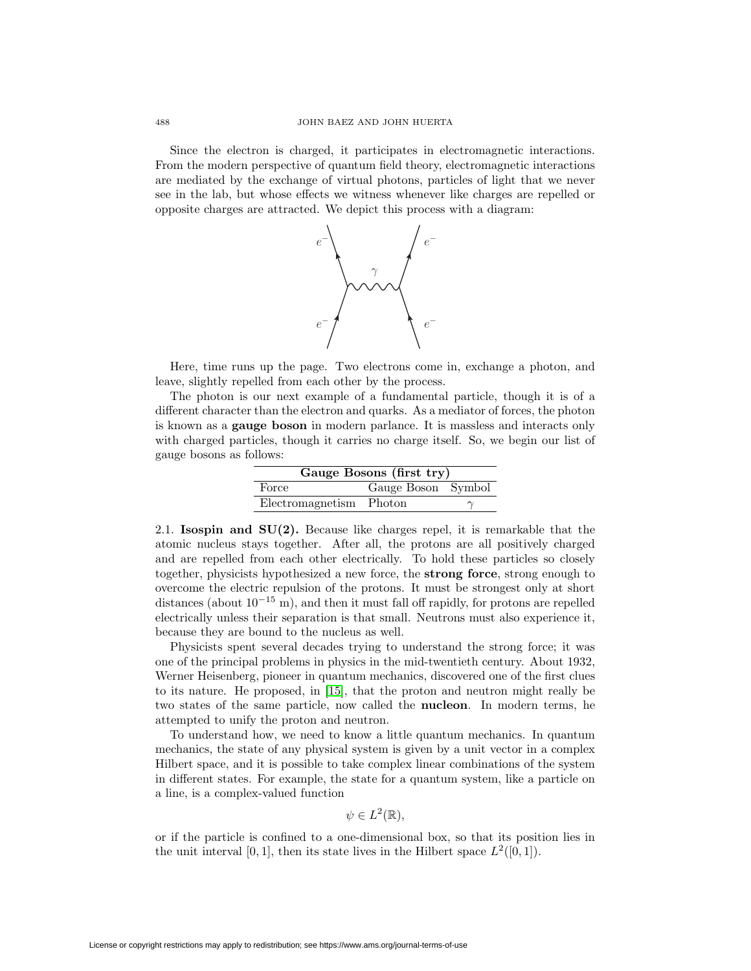Since the electron is charged, it participates in electromagnetic interactions. From the modern perspective of quantum field theory, electromagnetic interactions are mediated by the exchange of virtual photons, particles of light that we never see in the lab, but whose effects we witness whenever like charges are repelled or opposite charges are attracted. We depict this process with a diagram:



Here, time runs up the page. Two electrons come in, exchange a photon, and leave, slightly repelled from each other by the process.

The photon is our next example of a fundamental particle, though it is of a different character than the electron and quarks. As a mediator of forces, the photon is known as a **gauge boson** in modern parlance. It is massless and interacts only with charged particles, though it carries no charge itself. So, we begin our list of gauge bosons as follows:

| Gauge Bosons (first try)    |  |  |  |
|-----------------------------|--|--|--|
| Gauge Boson Symbol<br>Force |  |  |  |
| Electromagnetism Photon     |  |  |  |

<span id="page-5-0"></span>2.1. **Isospin and SU(2).** Because like charges repel, it is remarkable that the atomic nucleus stays together. After all, the protons are all positively charged and are repelled from each other electrically. To hold these particles so closely together, physicists hypothesized a new force, the **strong force**, strong enough to overcome the electric repulsion of the protons. It must be strongest only at short distances (about  $10^{-15}$  m), and then it must fall off rapidly, for protons are repelled electrically unless their separation is that small. Neutrons must also experience it, because they are bound to the nucleus as well.

Physicists spent several decades trying to understand the strong force; it was one of the principal problems in physics in the mid-twentieth century. About 1932, Werner Heisenberg, pioneer in quantum mechanics, discovered one of the first clues to its nature. He proposed, in [\[15\]](#page-68-25), that the proton and neutron might really be two states of the same particle, now called the **nucleon**. In modern terms, he attempted to unify the proton and neutron.

To understand how, we need to know a little quantum mechanics. In quantum mechanics, the state of any physical system is given by a unit vector in a complex Hilbert space, and it is possible to take complex linear combinations of the system in different states. For example, the state for a quantum system, like a particle on a line, is a complex-valued function

$$
\psi \in L^2(\mathbb{R}),
$$

or if the particle is confined to a one-dimensional box, so that its position lies in the unit interval [0, 1], then its state lives in the Hilbert space  $L^2([0,1])$ .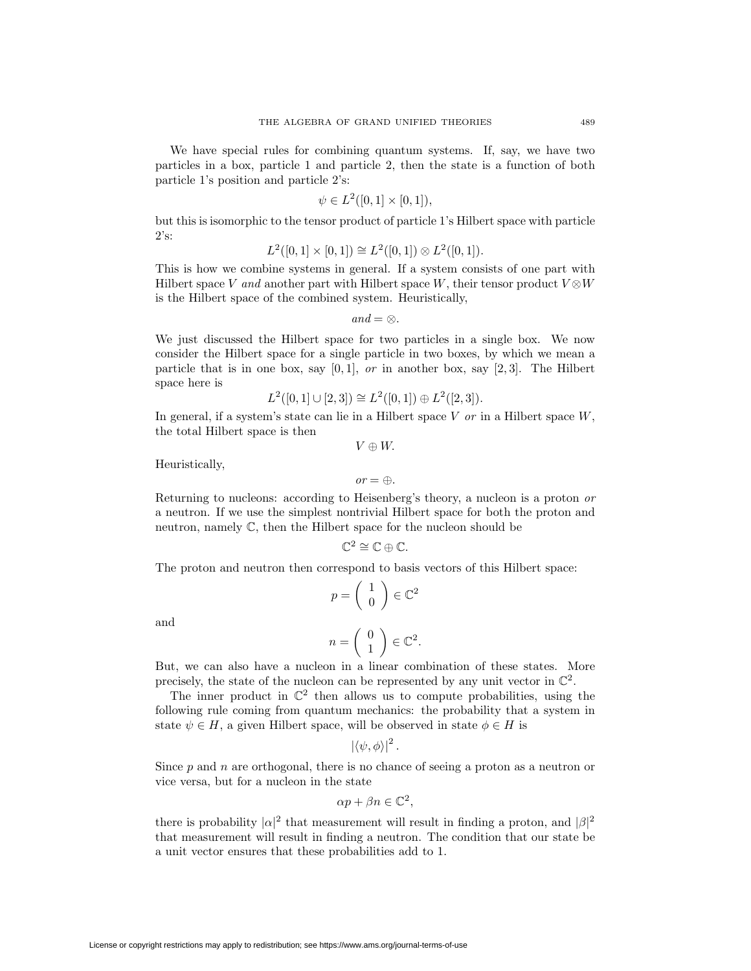We have special rules for combining quantum systems. If, say, we have two particles in a box, particle 1 and particle 2, then the state is a function of both particle 1's position and particle 2's:

$$
\psi \in L^2([0,1] \times [0,1]),
$$

but this is isomorphic to the tensor product of particle 1's Hilbert space with particle  $2's:$ 

$$
L^{2}([0,1] \times [0,1]) \cong L^{2}([0,1]) \otimes L^{2}([0,1]).
$$

This is how we combine systems in general. If a system consists of one part with Hilbert space V and another part with Hilbert space W, their tensor product  $V \otimes W$ is the Hilbert space of the combined system. Heuristically,

$$
and = \otimes.
$$

We just discussed the Hilbert space for two particles in a single box. We now consider the Hilbert space for a single particle in two boxes, by which we mean a particle that is in one box, say  $[0, 1]$ , or in another box, say  $[2, 3]$ . The Hilbert space here is

$$
L^{2}([0,1] \cup [2,3]) \cong L^{2}([0,1]) \oplus L^{2}([2,3]).
$$

In general, if a system's state can lie in a Hilbert space  $V$  or in a Hilbert space  $W$ , the total Hilbert space is then  $V \oplus W$ .

Heuristically,

$$
or = \oplus.
$$

Returning to nucleons: according to Heisenberg's theory, a nucleon is a proton or a neutron. If we use the simplest nontrivial Hilbert space for both the proton and neutron, namely C, then the Hilbert space for the nucleon should be

$$
\mathbb{C}^2 \cong \mathbb{C} \oplus \mathbb{C}.
$$

The proton and neutron then correspond to basis vectors of this Hilbert space:

$$
p = \begin{pmatrix} 1 \\ 0 \end{pmatrix} \in \mathbb{C}^2
$$

and

$$
n = \left(\begin{array}{c} 0 \\ 1 \end{array}\right) \in \mathbb{C}^2.
$$

But, we can also have a nucleon in a linear combination of these states. More precisely, the state of the nucleon can be represented by any unit vector in  $\mathbb{C}^2$ .

The inner product in  $\mathbb{C}^2$  then allows us to compute probabilities, using the following rule coming from quantum mechanics: the probability that a system in state  $\psi \in H$ , a given Hilbert space, will be observed in state  $\phi \in H$  is

$$
\left|\left\langle \psi,\phi\right\rangle \right|^2.
$$

Since  $p$  and  $n$  are orthogonal, there is no chance of seeing a proton as a neutron or vice versa, but for a nucleon in the state

$$
\alpha p + \beta n \in \mathbb{C}^2,
$$

there is probability  $|\alpha|^2$  that measurement will result in finding a proton, and  $|\beta|^2$ that measurement will result in finding a neutron. The condition that our state be a unit vector ensures that these probabilities add to 1.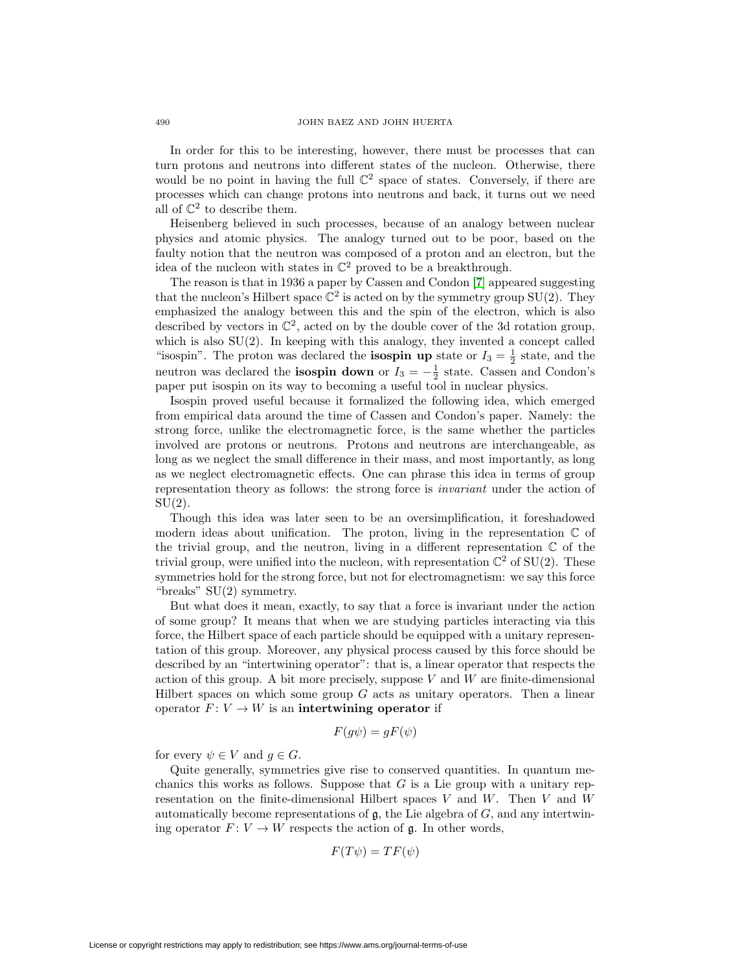In order for this to be interesting, however, there must be processes that can turn protons and neutrons into different states of the nucleon. Otherwise, there would be no point in having the full  $\mathbb{C}^2$  space of states. Conversely, if there are processes which can change protons into neutrons and back, it turns out we need all of  $\mathbb{C}^2$  to describe them.

Heisenberg believed in such processes, because of an analogy between nuclear physics and atomic physics. The analogy turned out to be poor, based on the faulty notion that the neutron was composed of a proton and an electron, but the idea of the nucleon with states in  $\mathbb{C}^2$  proved to be a breakthrough.

The reason is that in 1936 a paper by Cassen and Condon [\[7\]](#page-67-5) appeared suggesting that the nucleon's Hilbert space  $\mathbb{C}^2$  is acted on by the symmetry group SU(2). They emphasized the analogy between this and the spin of the electron, which is also described by vectors in  $\mathbb{C}^2$ , acted on by the double cover of the 3d rotation group, which is also  $SU(2)$ . In keeping with this analogy, they invented a concept called "isospin". The proton was declared the **isospin up** state or  $I_3 = \frac{1}{2}$  state, and the neutron was declared the **isospin down** or  $I_3 = -\frac{1}{2}$  state. Cassen and Condon's paper put isospin on its way to becoming a useful tool in nuclear physics.

Isospin proved useful because it formalized the following idea, which emerged from empirical data around the time of Cassen and Condon's paper. Namely: the strong force, unlike the electromagnetic force, is the same whether the particles involved are protons or neutrons. Protons and neutrons are interchangeable, as long as we neglect the small difference in their mass, and most importantly, as long as we neglect electromagnetic effects. One can phrase this idea in terms of group representation theory as follows: the strong force is invariant under the action of  $SU(2)$ .

Though this idea was later seen to be an oversimplification, it foreshadowed modern ideas about unification. The proton, living in the representation  $\mathbb C$  of the trivial group, and the neutron, living in a different representation  $\mathbb C$  of the trivial group, were unified into the nucleon, with representation  $\mathbb{C}^2$  of SU(2). These symmetries hold for the strong force, but not for electromagnetism: we say this force "breaks" SU(2) symmetry.

But what does it mean, exactly, to say that a force is invariant under the action of some group? It means that when we are studying particles interacting via this force, the Hilbert space of each particle should be equipped with a unitary representation of this group. Moreover, any physical process caused by this force should be described by an "intertwining operator": that is, a linear operator that respects the action of this group. A bit more precisely, suppose  $V$  and  $W$  are finite-dimensional Hilbert spaces on which some group  $G$  acts as unitary operators. Then a linear operator  $F: V \to W$  is an **intertwining operator** if

$$
F(g\psi) = gF(\psi)
$$

for every  $\psi \in V$  and  $g \in G$ .

Quite generally, symmetries give rise to conserved quantities. In quantum mechanics this works as follows. Suppose that  $G$  is a Lie group with a unitary representation on the finite-dimensional Hilbert spaces V and W. Then V and W automatically become representations of  $\mathfrak{g}$ , the Lie algebra of  $G$ , and any intertwining operator  $F: V \to W$  respects the action of g. In other words,

$$
F(T\psi) = TF(\psi)
$$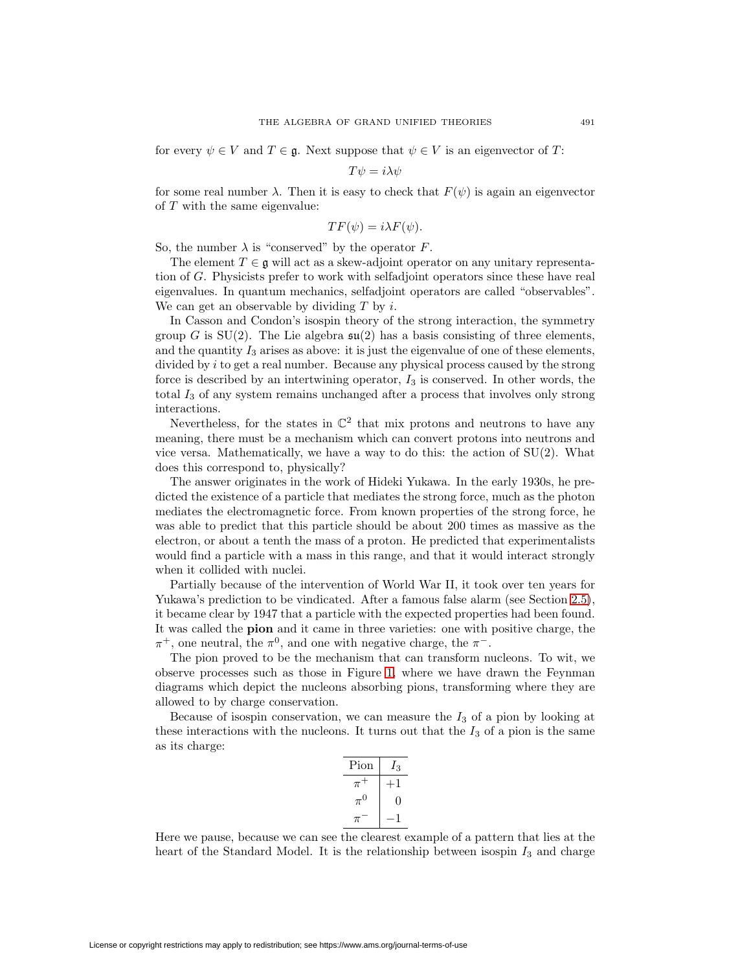for every  $\psi \in V$  and  $T \in \mathfrak{g}$ . Next suppose that  $\psi \in V$  is an eigenvector of T:

$$
T\psi = i\lambda\psi
$$

for some real number  $\lambda$ . Then it is easy to check that  $F(\psi)$  is again an eigenvector of T with the same eigenvalue:

$$
TF(\psi) = i\lambda F(\psi).
$$

So, the number  $\lambda$  is "conserved" by the operator  $F$ .

The element  $T \in \mathfrak{g}$  will act as a skew-adjoint operator on any unitary representation of G. Physicists prefer to work with selfadjoint operators since these have real eigenvalues. In quantum mechanics, selfadjoint operators are called "observables". We can get an observable by dividing  $T$  by  $i$ .

In Casson and Condon's isospin theory of the strong interaction, the symmetry group G is  $SU(2)$ . The Lie algebra  $\mathfrak{su}(2)$  has a basis consisting of three elements, and the quantity  $I_3$  arises as above: it is just the eigenvalue of one of these elements, divided by  $i$  to get a real number. Because any physical process caused by the strong force is described by an intertwining operator,  $I_3$  is conserved. In other words, the total  $I_3$  of any system remains unchanged after a process that involves only strong interactions.

Nevertheless, for the states in  $\mathbb{C}^2$  that mix protons and neutrons to have any meaning, there must be a mechanism which can convert protons into neutrons and vice versa. Mathematically, we have a way to do this: the action of  $SU(2)$ . What does this correspond to, physically?

The answer originates in the work of Hideki Yukawa. In the early 1930s, he predicted the existence of a particle that mediates the strong force, much as the photon mediates the electromagnetic force. From known properties of the strong force, he was able to predict that this particle should be about 200 times as massive as the electron, or about a tenth the mass of a proton. He predicted that experimentalists would find a particle with a mass in this range, and that it would interact strongly when it collided with nuclei.

Partially because of the intervention of World War II, it took over ten years for Yukawa's prediction to be vindicated. After a famous false alarm (see Section [2.5\)](#page-27-0), it became clear by 1947 that a particle with the expected properties had been found. It was called the **pion** and it came in three varieties: one with positive charge, the  $\pi^+$ , one neutral, the  $\pi^0$ , and one with negative charge, the  $\pi^-$ .

The pion proved to be the mechanism that can transform nucleons. To wit, we observe processes such as those in Figure [1,](#page-9-0) where we have drawn the Feynman diagrams which depict the nucleons absorbing pions, transforming where they are allowed to by charge conservation.

Because of isospin conservation, we can measure the  $I_3$  of a pion by looking at these interactions with the nucleons. It turns out that the  $I_3$  of a pion is the same as its charge:

| Pion    | $I_3$ |
|---------|-------|
| $\pi^+$ | ΗI    |
| $\pi^0$ |       |
| $\pi$   |       |

Here we pause, because we can see the clearest example of a pattern that lies at the heart of the Standard Model. It is the relationship between isospin  $I_3$  and charge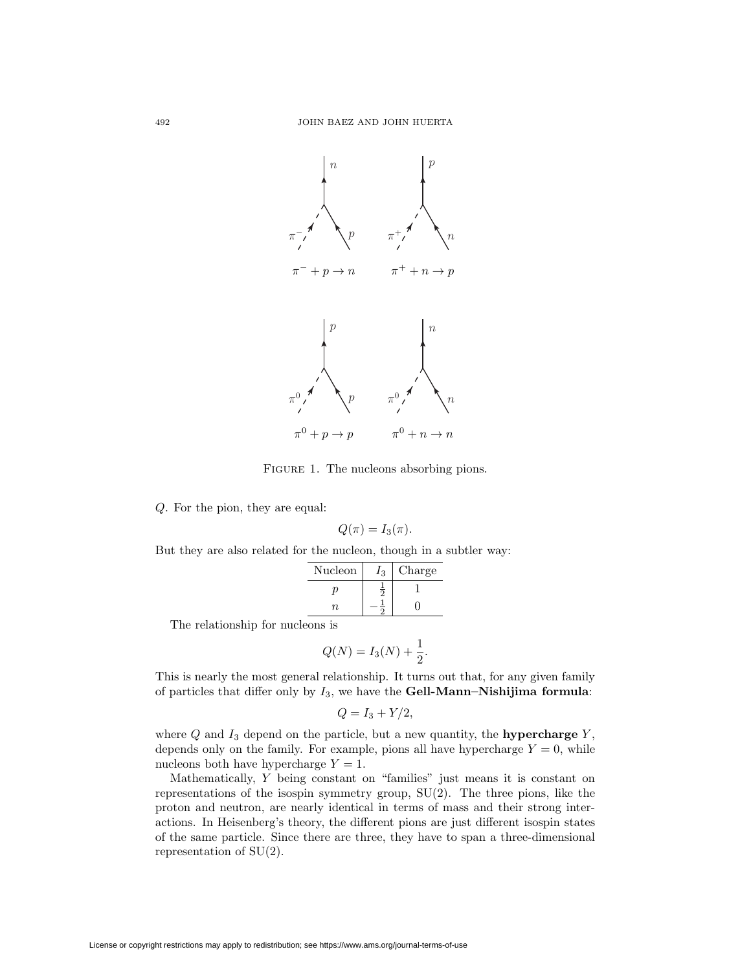

<span id="page-9-0"></span>FIGURE 1. The nucleons absorbing pions.

Q. For the pion, they are equal:

$$
Q(\pi) = I_3(\pi).
$$

But they are also related for the nucleon, though in a subtler way:

| Nucleon   | ه ا | Charge |
|-----------|-----|--------|
| υ         | う   |        |
| $n_{\rm}$ |     |        |
|           |     |        |

The relationship for nucleons is

$$
Q(N) = I_3(N) + \frac{1}{2}.
$$

This is nearly the most general relationship. It turns out that, for any given family of particles that differ only by  $I_3$ , we have the **Gell-Mann–Nishijima formula**:

$$
Q = I_3 + Y/2,
$$

where  $Q$  and  $I_3$  depend on the particle, but a new quantity, the **hypercharge**  $Y$ , depends only on the family. For example, pions all have hypercharge  $Y = 0$ , while nucleons both have hypercharge  $Y = 1$ .

Mathematically, Y being constant on "families" just means it is constant on representations of the isospin symmetry group, SU(2). The three pions, like the proton and neutron, are nearly identical in terms of mass and their strong interactions. In Heisenberg's theory, the different pions are just different isospin states of the same particle. Since there are three, they have to span a three-dimensional representation of  $SU(2)$ .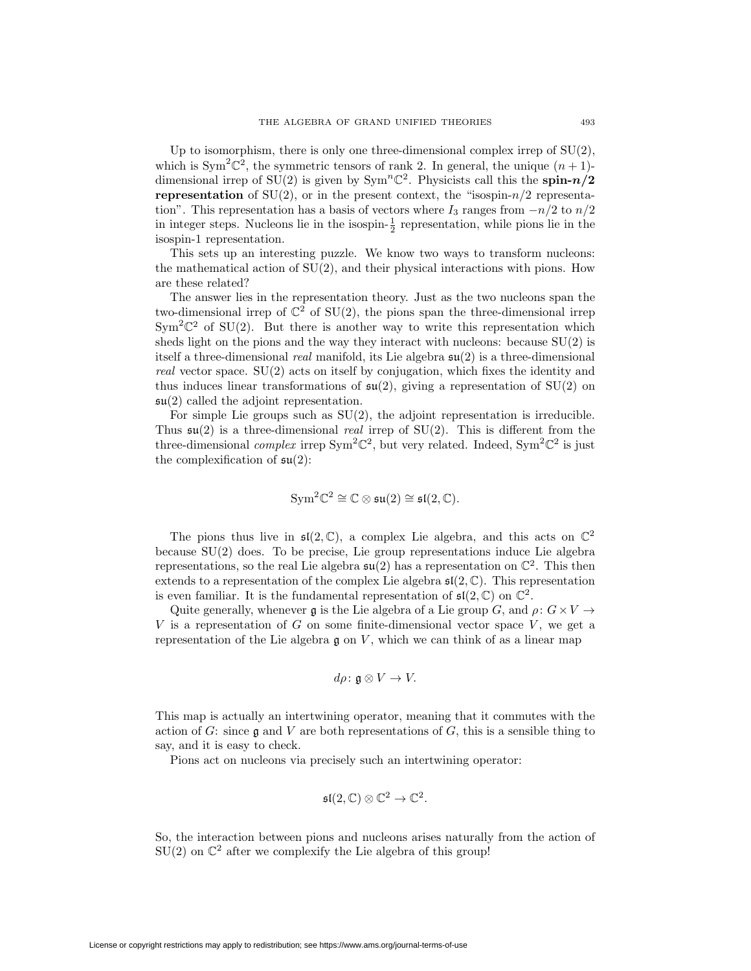Up to isomorphism, there is only one three-dimensional complex irrep of  $SU(2)$ , which is  $Sym^2\mathbb{C}^2$ , the symmetric tensors of rank 2. In general, the unique  $(n + 1)$ dimensional irrep of  $SU(2)$  is given by  $Sym^n \mathbb{C}^2$ . Physicists call this the **spin-***n*/2 **representation** of  $SU(2)$ , or in the present context, the "isospin- $n/2$  representation". This representation has a basis of vectors where  $I_3$  ranges from  $-n/2$  to  $n/2$ in integer steps. Nucleons lie in the isospin- $\frac{1}{2}$  representation, while pions lie in the isospin-1 representation.

This sets up an interesting puzzle. We know two ways to transform nucleons: the mathematical action of SU(2), and their physical interactions with pions. How are these related?

The answer lies in the representation theory. Just as the two nucleons span the two-dimensional irrep of  $\mathbb{C}^2$  of SU(2), the pions span the three-dimensional irrep  $\text{Sym}^2\mathbb{C}^2$  of SU(2). But there is another way to write this representation which sheds light on the pions and the way they interact with nucleons: because  $SU(2)$  is itself a three-dimensional *real* manifold, its Lie algebra  $\mathfrak{su}(2)$  is a three-dimensional real vector space. SU(2) acts on itself by conjugation, which fixes the identity and thus induces linear transformations of  $\mathfrak{su}(2)$ , giving a representation of  $SU(2)$  on  $\mathfrak{su}(2)$  called the adjoint representation.

For simple Lie groups such as  $SU(2)$ , the adjoint representation is irreducible. Thus  $\mathfrak{su}(2)$  is a three-dimensional real irrep of SU(2). This is different from the three-dimensional *complex* irrep  $Sym^2\mathbb{C}^2$ , but very related. Indeed,  $Sym^2\mathbb{C}^2$  is just the complexification of  $\mathfrak{su}(2)$ :

$$
Sym^2\mathbb{C}^2 \cong \mathbb{C} \otimes \mathfrak{su}(2) \cong \mathfrak{sl}(2,\mathbb{C}).
$$

The pions thus live in  $\mathfrak{sl}(2,\mathbb{C})$ , a complex Lie algebra, and this acts on  $\mathbb{C}^2$ because SU(2) does. To be precise, Lie group representations induce Lie algebra representations, so the real Lie algebra  $\mathfrak{su}(2)$  has a representation on  $\mathbb{C}^2$ . This then extends to a representation of the complex Lie algebra  $\mathfrak{sl}(2,\mathbb{C})$ . This representation is even familiar. It is the fundamental representation of  $\mathfrak{sl}(2,\mathbb{C})$  on  $\mathbb{C}^2$ .

Quite generally, whenever g is the Lie algebra of a Lie group G, and  $\rho: G \times V \rightarrow$ V is a representation of G on some finite-dimensional vector space  $V$ , we get a representation of the Lie algebra  $\mathfrak g$  on  $V$ , which we can think of as a linear map

$$
d\rho\colon \mathfrak{g}\otimes V\to V.
$$

This map is actually an intertwining operator, meaning that it commutes with the action of G: since  $\mathfrak g$  and V are both representations of G, this is a sensible thing to say, and it is easy to check.

Pions act on nucleons via precisely such an intertwining operator:

$$
\mathfrak{sl}(2,\mathbb{C})\otimes \mathbb{C}^2\to \mathbb{C}^2.
$$

So, the interaction between pions and nucleons arises naturally from the action of  $SU(2)$  on  $\mathbb{C}^2$  after we complexify the Lie algebra of this group!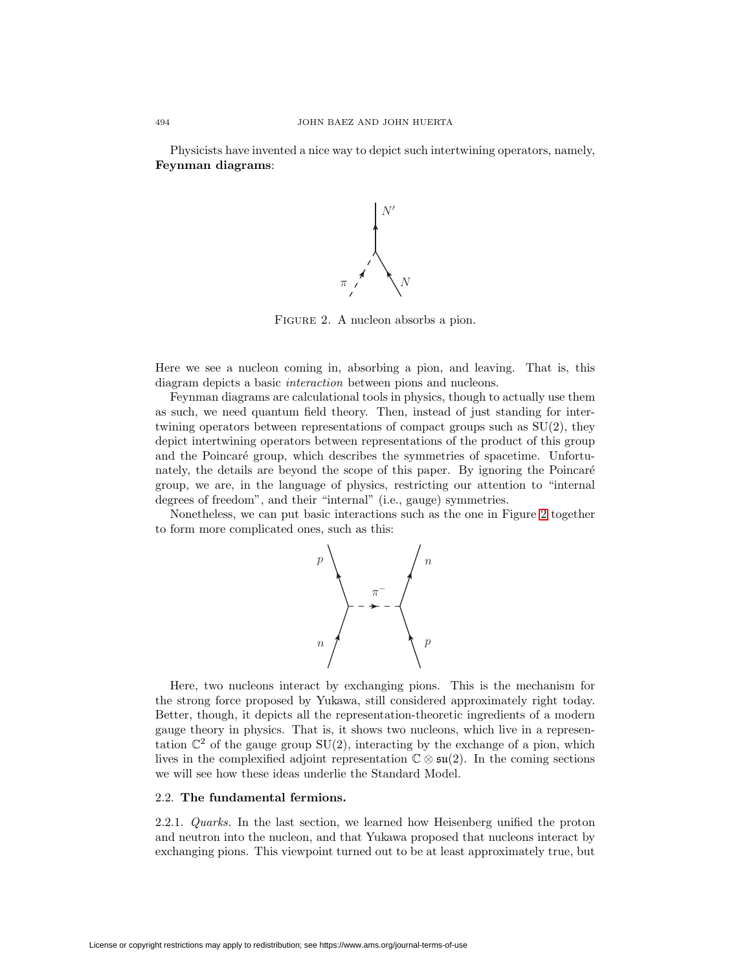Physicists have invented a nice way to depict such intertwining operators, namely, **Feynman diagrams**:



<span id="page-11-1"></span>FIGURE 2. A nucleon absorbs a pion.

Here we see a nucleon coming in, absorbing a pion, and leaving. That is, this diagram depicts a basic interaction between pions and nucleons.

Feynman diagrams are calculational tools in physics, though to actually use them as such, we need quantum field theory. Then, instead of just standing for intertwining operators between representations of compact groups such as SU(2), they depict intertwining operators between representations of the product of this group and the Poincaré group, which describes the symmetries of spacetime. Unfortunately, the details are beyond the scope of this paper. By ignoring the Poincaré group, we are, in the language of physics, restricting our attention to "internal degrees of freedom", and their "internal" (i.e., gauge) symmetries.

Nonetheless, we can put basic interactions such as the one in Figure [2](#page-11-1) together to form more complicated ones, such as this:



Here, two nucleons interact by exchanging pions. This is the mechanism for the strong force proposed by Yukawa, still considered approximately right today. Better, though, it depicts all the representation-theoretic ingredients of a modern gauge theory in physics. That is, it shows two nucleons, which live in a representation  $\mathbb{C}^2$  of the gauge group SU(2), interacting by the exchange of a pion, which lives in the complexified adjoint representation  $\mathbb{C} \otimes \mathfrak{su}(2)$ . In the coming sections we will see how these ideas underlie the Standard Model.

## <span id="page-11-0"></span>2.2. **The fundamental fermions.**

2.2.1. Quarks. In the last section, we learned how Heisenberg unified the proton and neutron into the nucleon, and that Yukawa proposed that nucleons interact by exchanging pions. This viewpoint turned out to be at least approximately true, but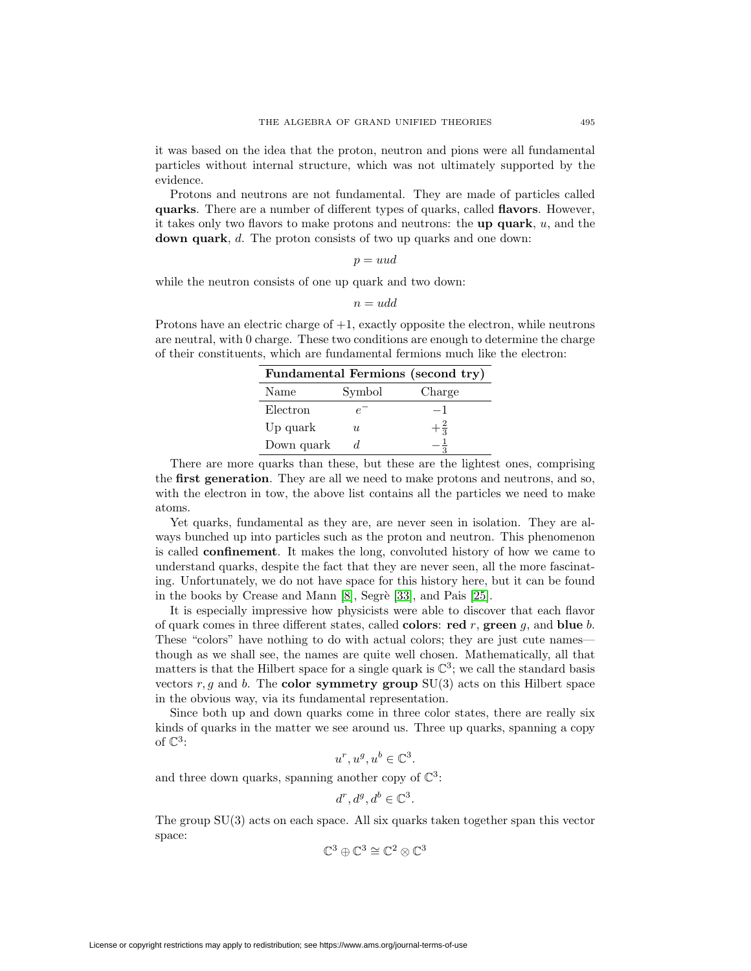it was based on the idea that the proton, neutron and pions were all fundamental particles without internal structure, which was not ultimately supported by the evidence.

Protons and neutrons are not fundamental. They are made of particles called **quarks**. There are a number of different types of quarks, called **flavors**. However, it takes only two flavors to make protons and neutrons: the **up quark**, u, and the **down quark**, d. The proton consists of two up quarks and one down:

$$
p = uud
$$

while the neutron consists of one up quark and two down:

$$
n = u d d
$$

Protons have an electric charge of  $+1$ , exactly opposite the electron, while neutrons are neutral, with 0 charge. These two conditions are enough to determine the charge of their constituents, which are fundamental fermions much like the electron:

| Fundamental Fermions (second try) |        |                |  |  |
|-----------------------------------|--------|----------------|--|--|
| Name                              | Symbol | Charge         |  |  |
| Electron                          | $\rho$ | -1             |  |  |
| Up quark                          | U      | $+\frac{2}{3}$ |  |  |
| Down quark                        |        |                |  |  |

There are more quarks than these, but these are the lightest ones, comprising the **first generation**. They are all we need to make protons and neutrons, and so, with the electron in tow, the above list contains all the particles we need to make atoms.

Yet quarks, fundamental as they are, are never seen in isolation. They are always bunched up into particles such as the proton and neutron. This phenomenon is called **confinement**. It makes the long, convoluted history of how we came to understand quarks, despite the fact that they are never seen, all the more fascinating. Unfortunately, we do not have space for this history here, but it can be found in the books by Crease and Mann  $[8]$ , Segrè  $[33]$ , and Pais  $[25]$ .

It is especially impressive how physicists were able to discover that each flavor of quark comes in three different states, called **colors**: **red** r, **green** g, and **blue** b. These "colors" have nothing to do with actual colors; they are just cute names though as we shall see, the names are quite well chosen. Mathematically, all that matters is that the Hilbert space for a single quark is  $\mathbb{C}^3$ ; we call the standard basis vectors  $r, q$  and b. The **color symmetry group**  $SU(3)$  acts on this Hilbert space in the obvious way, via its fundamental representation.

Since both up and down quarks come in three color states, there are really six kinds of quarks in the matter we see around us. Three up quarks, spanning a copy of  $\mathbb{C}^3$ :

 $u^r, u^g, u^b \in \mathbb{C}^3$ .

and three down quarks, spanning another copy of  $\mathbb{C}^3$ :

$$
d^r, d^g, d^b \in \mathbb{C}^3.
$$

The group SU(3) acts on each space. All six quarks taken together span this vector space:

$$
\mathbb{C}^3\oplus\mathbb{C}^3\cong\mathbb{C}^2\otimes\mathbb{C}^3
$$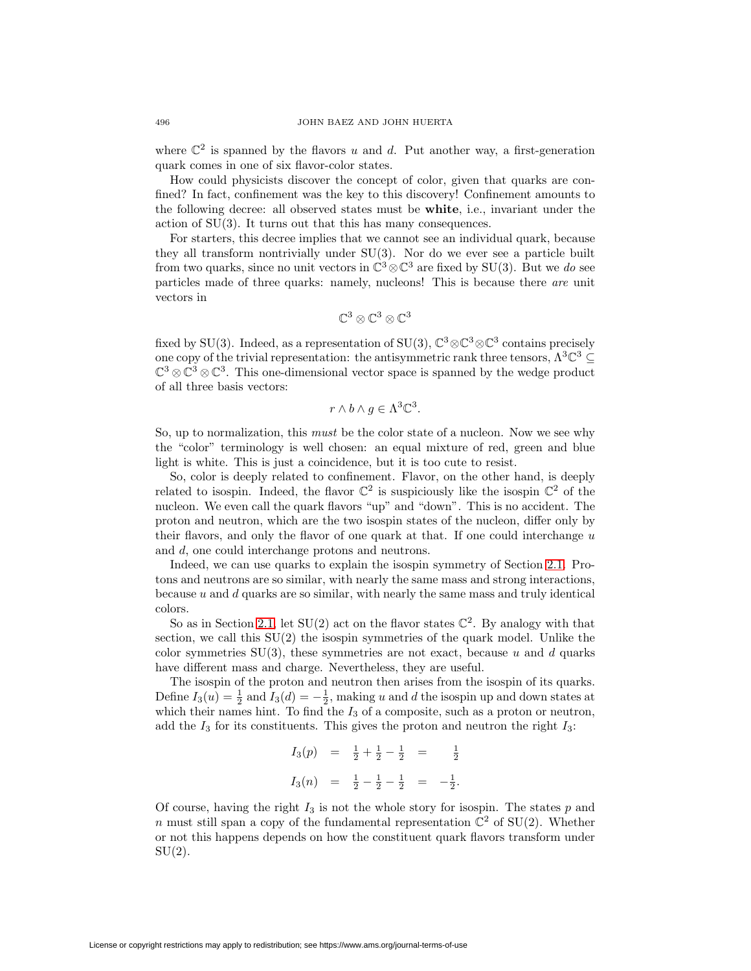where  $\mathbb{C}^2$  is spanned by the flavors u and d. Put another way, a first-generation quark comes in one of six flavor-color states.

How could physicists discover the concept of color, given that quarks are confined? In fact, confinement was the key to this discovery! Confinement amounts to the following decree: all observed states must be **white**, i.e., invariant under the action of SU(3). It turns out that this has many consequences.

For starters, this decree implies that we cannot see an individual quark, because they all transform nontrivially under SU(3). Nor do we ever see a particle built from two quarks, since no unit vectors in  $\mathbb{C}^3 \otimes \mathbb{C}^3$  are fixed by SU(3). But we do see particles made of three quarks: namely, nucleons! This is because there are unit vectors in

$$
\mathbb{C}^3\otimes\mathbb{C}^3\otimes\mathbb{C}^3
$$

fixed by SU(3). Indeed, as a representation of SU(3),  $\mathbb{C}^3 \otimes \mathbb{C}^3 \otimes \mathbb{C}^3$  contains precisely one copy of the trivial representation: the antisymmetric rank three tensors,  $\Lambda^3\mathbb{C}^3$  $\mathbb{C}^3 \otimes \mathbb{C}^3 \otimes \mathbb{C}^3$ . This one-dimensional vector space is spanned by the wedge product of all three basis vectors:

$$
r \wedge b \wedge g \in \Lambda^3 \mathbb{C}^3.
$$

So, up to normalization, this must be the color state of a nucleon. Now we see why the "color" terminology is well chosen: an equal mixture of red, green and blue light is white. This is just a coincidence, but it is too cute to resist.

So, color is deeply related to confinement. Flavor, on the other hand, is deeply related to isospin. Indeed, the flavor  $\mathbb{C}^2$  is suspiciously like the isospin  $\mathbb{C}^2$  of the nucleon. We even call the quark flavors "up" and "down". This is no accident. The proton and neutron, which are the two isospin states of the nucleon, differ only by their flavors, and only the flavor of one quark at that. If one could interchange  $u$ and d, one could interchange protons and neutrons.

Indeed, we can use quarks to explain the isospin symmetry of Section [2.1.](#page-5-0) Protons and neutrons are so similar, with nearly the same mass and strong interactions, because  $u$  and  $d$  quarks are so similar, with nearly the same mass and truly identical colors.

So as in Section [2.1,](#page-5-0) let  $SU(2)$  act on the flavor states  $\mathbb{C}^2$ . By analogy with that section, we call this  $SU(2)$  the isospin symmetries of the quark model. Unlike the color symmetries  $SU(3)$ , these symmetries are not exact, because u and d quarks have different mass and charge. Nevertheless, they are useful.

The isospin of the proton and neutron then arises from the isospin of its quarks. Define  $I_3(u) = \frac{1}{2}$  and  $I_3(d) = -\frac{1}{2}$ , making u and d the isospin up and down states at which their names hint. To find the  $I_3$  of a composite, such as a proton or neutron, add the  $I_3$  for its constituents. This gives the proton and neutron the right  $I_3$ :

$$
I_3(p) = \frac{1}{2} + \frac{1}{2} - \frac{1}{2} = \frac{1}{2}
$$
  

$$
I_3(n) = \frac{1}{2} - \frac{1}{2} - \frac{1}{2} = -\frac{1}{2}.
$$

Of course, having the right  $I_3$  is not the whole story for isospin. The states  $p$  and n must still span a copy of the fundamental representation  $\mathbb{C}^2$  of SU(2). Whether or not this happens depends on how the constituent quark flavors transform under  $SU(2)$ .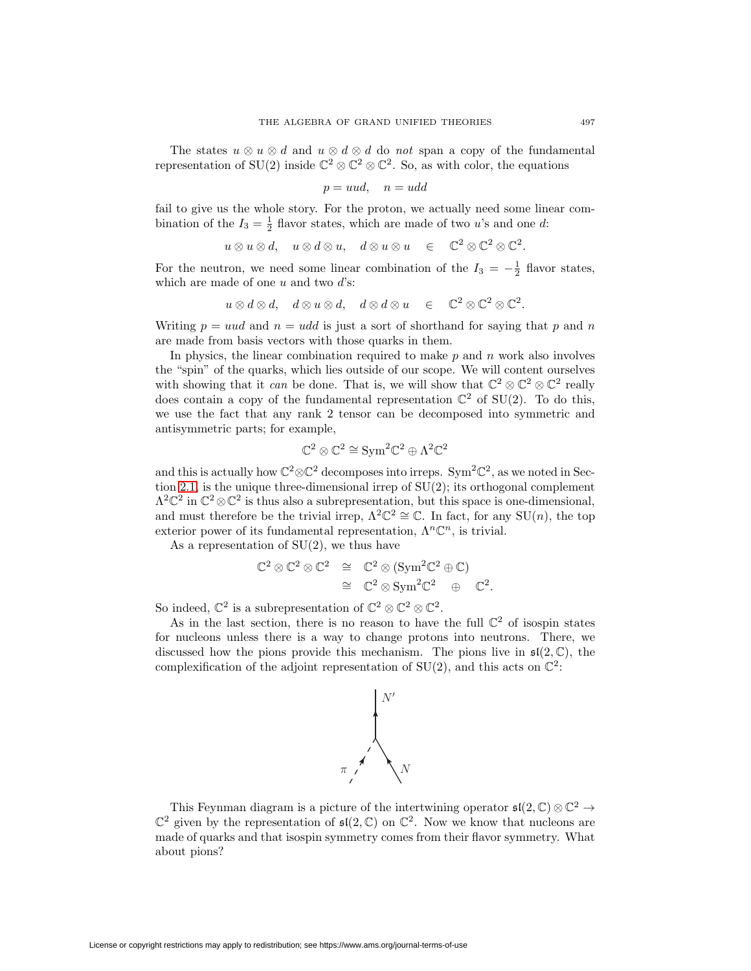The states  $u \otimes u \otimes d$  and  $u \otimes d \otimes d$  do not span a copy of the fundamental representation of SU(2) inside  $\mathbb{C}^2 \otimes \mathbb{C}^2 \otimes \mathbb{C}^2$ . So, as with color, the equations

$$
p = uud, \quad n = udd
$$

fail to give us the whole story. For the proton, we actually need some linear combination of the  $I_3 = \frac{1}{2}$  flavor states, which are made of two u's and one d:

$$
u\otimes u\otimes d,\quad u\otimes d\otimes u,\quad d\otimes u\otimes u\quad\in\quad \mathbb{C}^2\otimes\mathbb{C}^2\otimes\mathbb{C}^2.
$$

For the neutron, we need some linear combination of the  $I_3 = -\frac{1}{2}$  flavor states, which are made of one  $u$  and two  $d$ 's:

$$
u\otimes d\otimes d,\quad d\otimes u\otimes d,\quad d\otimes d\otimes u\quad\in\quad \mathbb{C}^2\otimes\mathbb{C}^2\otimes\mathbb{C}^2.
$$

Writing  $p = uud$  and  $n = udd$  is just a sort of shorthand for saying that p and n are made from basis vectors with those quarks in them.

In physics, the linear combination required to make  $p$  and  $n$  work also involves the "spin" of the quarks, which lies outside of our scope. We will content ourselves with showing that it can be done. That is, we will show that  $\mathbb{C}^2 \otimes \mathbb{C}^2 \otimes \mathbb{C}^2$  really does contain a copy of the fundamental representation  $\mathbb{C}^2$  of SU(2). To do this, we use the fact that any rank 2 tensor can be decomposed into symmetric and antisymmetric parts; for example,

$$
\mathbb{C}^2\otimes\mathbb{C}^2\cong\mathrm{Sym}^2\mathbb{C}^2\oplus\Lambda^2\mathbb{C}^2
$$

and this is actually how  $\mathbb{C}^2 \otimes \mathbb{C}^2$  decomposes into irreps. Sym<sup>2</sup> $\mathbb{C}^2$ , as we noted in Sec-tion [2.1,](#page-5-0) is the unique three-dimensional irrep of  $SU(2)$ ; its orthogonal complement  $\Lambda^2\mathbb{C}^2$  in  $\mathbb{C}^2\otimes\mathbb{C}^2$  is thus also a subrepresentation, but this space is one-dimensional, and must therefore be the trivial irrep,  $\Lambda^2 \mathbb{C}^2 \cong \mathbb{C}$ . In fact, for any SU(*n*), the top exterior power of its fundamental representation,  $\Lambda^n \mathbb{C}^n$ , is trivial.

As a representation of  $SU(2)$ , we thus have

$$
\mathbb{C}^2 \otimes \mathbb{C}^2 \otimes \mathbb{C}^2 \cong \mathbb{C}^2 \otimes (\text{Sym}^2 \mathbb{C}^2 \oplus \mathbb{C})
$$
  
\n
$$
\cong \mathbb{C}^2 \otimes \text{Sym}^2 \mathbb{C}^2 \oplus \mathbb{C}^2.
$$

So indeed,  $\mathbb{C}^2$  is a subrepresentation of  $\mathbb{C}^2 \otimes \mathbb{C}^2 \otimes \mathbb{C}^2$ .

As in the last section, there is no reason to have the full  $\mathbb{C}^2$  of isospin states for nucleons unless there is a way to change protons into neutrons. There, we discussed how the pions provide this mechanism. The pions live in  $\mathfrak{sl}(2,\mathbb{C})$ , the complexification of the adjoint representation of  $SU(2)$ , and this acts on  $\mathbb{C}^2$ :



This Feynman diagram is a picture of the intertwining operator  $\mathfrak{sl}(2,\mathbb{C})\otimes\mathbb{C}^2\to$  $\mathbb{C}^2$  given by the representation of  $\mathfrak{sl}(2,\mathbb{C})$  on  $\mathbb{C}^2$ . Now we know that nucleons are made of quarks and that isospin symmetry comes from their flavor symmetry. What about pions?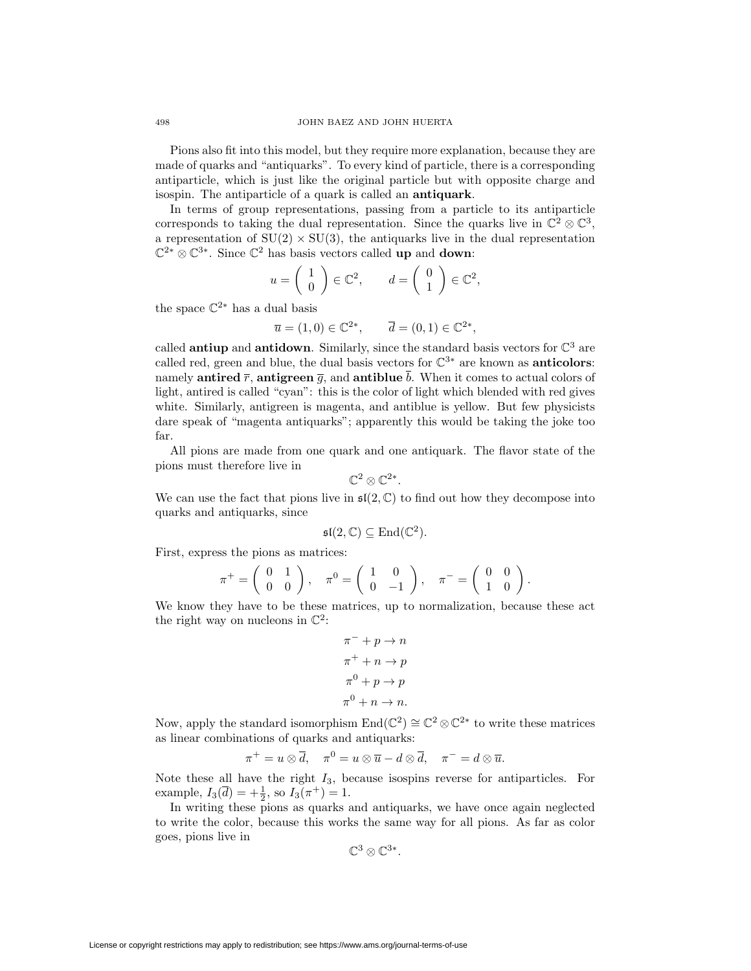Pions also fit into this model, but they require more explanation, because they are made of quarks and "antiquarks". To every kind of particle, there is a corresponding antiparticle, which is just like the original particle but with opposite charge and isospin. The antiparticle of a quark is called an **antiquark**.

In terms of group representations, passing from a particle to its antiparticle corresponds to taking the dual representation. Since the quarks live in  $\mathbb{C}^2 \otimes \mathbb{C}^3$ , a representation of  $SU(2) \times SU(3)$ , the antiquarks live in the dual representation C2<sup>∗</sup> ⊗ C3∗. Since C<sup>2</sup> has basis vectors called **up** and **down**:

$$
u = \begin{pmatrix} 1 \\ 0 \end{pmatrix} \in \mathbb{C}^2
$$
,  $d = \begin{pmatrix} 0 \\ 1 \end{pmatrix} \in \mathbb{C}^2$ ,

the space  $\mathbb{C}^{2*}$  has a dual basis

$$
\overline{u} = (1,0) \in \mathbb{C}^{2*}, \qquad \overline{d} = (0,1) \in \mathbb{C}^{2*},
$$

called **antiup** and **antidown**. Similarly, since the standard basis vectors for  $\mathbb{C}^3$  are called red, green and blue, the dual basis vectors for  $\mathbb{C}^{3*}$  are known as **anticolors**: namely **antired**  $\overline{r}$ , **antigreen**  $\overline{g}$ , and **antiblue**  $\overline{b}$ . When it comes to actual colors of light, antired is called "cyan": this is the color of light which blended with red gives white. Similarly, antigreen is magenta, and antiblue is yellow. But few physicists dare speak of "magenta antiquarks"; apparently this would be taking the joke too far.

All pions are made from one quark and one antiquark. The flavor state of the pions must therefore live in

$$
\mathbb{C}^2\otimes \mathbb{C}^{2*}.
$$

We can use the fact that pions live in  $\mathfrak{sl}(2,\mathbb{C})$  to find out how they decompose into quarks and antiquarks, since

$$
\mathfrak{sl}(2,\mathbb{C})\subseteq \mathrm{End}(\mathbb{C}^2).
$$

First, express the pions as matrices:

$$
\pi^+ = \left( \begin{array}{cc} 0 & 1 \\ 0 & 0 \end{array} \right), \quad \pi^0 = \left( \begin{array}{cc} 1 & 0 \\ 0 & -1 \end{array} \right), \quad \pi^- = \left( \begin{array}{cc} 0 & 0 \\ 1 & 0 \end{array} \right).
$$

We know they have to be these matrices, up to normalization, because these act the right way on nucleons in  $\mathbb{C}^2$ :

$$
\pi^- + p \to n
$$
  
\n
$$
\pi^+ + n \to p
$$
  
\n
$$
\pi^0 + p \to p
$$
  
\n
$$
\pi^0 + n \to n.
$$

Now, apply the standard isomorphism  $\text{End}(\mathbb{C}^2) \cong \mathbb{C}^2 \otimes \mathbb{C}^{2*}$  to write these matrices as linear combinations of quarks and antiquarks:

$$
\pi^+ = u \otimes \overline{d}, \quad \pi^0 = u \otimes \overline{u} - d \otimes \overline{d}, \quad \pi^- = d \otimes \overline{u}.
$$

Note these all have the right  $I_3$ , because isospins reverse for antiparticles. For example,  $I_3(\overline{d}) = +\frac{1}{2}$ , so  $I_3(\pi^+) = 1$ .

In writing these pions as quarks and antiquarks, we have once again neglected to write the color, because this works the same way for all pions. As far as color goes, pions live in

$$
\mathbb{C}^3\otimes\mathbb{C}^{3*}.
$$

$$
-49
$$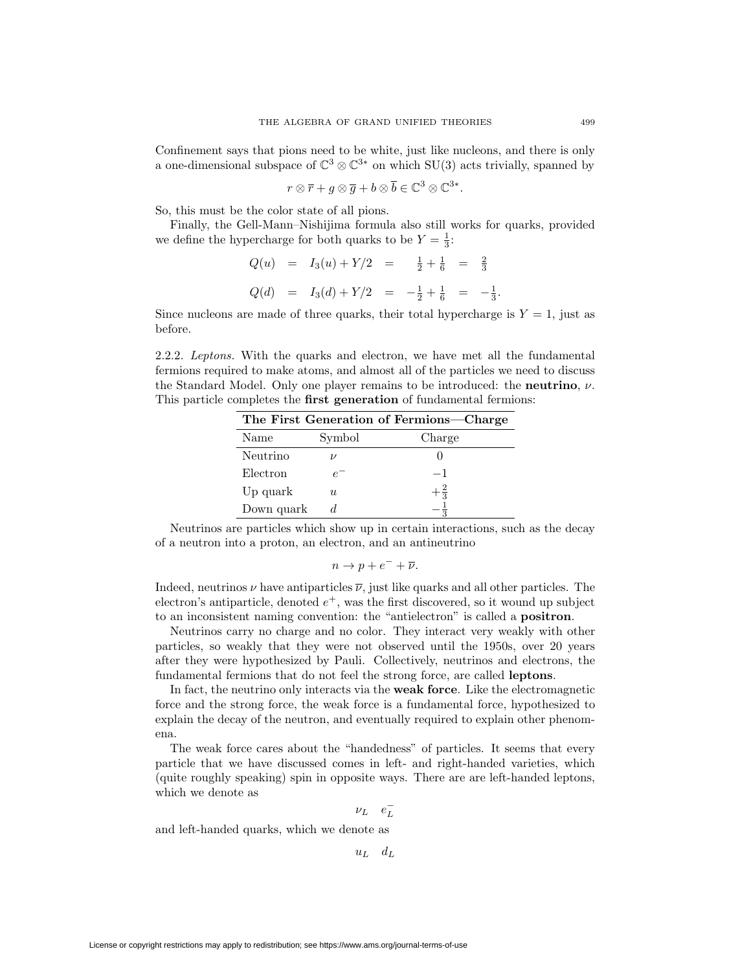Confinement says that pions need to be white, just like nucleons, and there is only a one-dimensional subspace of  $\mathbb{C}^3 \otimes \mathbb{C}^{3*}$  on which SU(3) acts trivially, spanned by

$$
r\otimes \overline{r}+g\otimes \overline{g}+b\otimes \overline{b}\in \mathbb{C}^3\otimes \mathbb{C}^{3*}.
$$

So, this must be the color state of all pions.

Finally, the Gell-Mann–Nishijima formula also still works for quarks, provided we define the hypercharge for both quarks to be  $Y = \frac{1}{3}$ :

$$
Q(u) = I_3(u) + Y/2 = \frac{1}{2} + \frac{1}{6} = \frac{2}{3}
$$
  

$$
Q(d) = I_3(d) + Y/2 = -\frac{1}{2} + \frac{1}{6} = -\frac{1}{3}.
$$

Since nucleons are made of three quarks, their total hypercharge is  $Y = 1$ , just as before.

<span id="page-16-0"></span>2.2.2. Leptons. With the quarks and electron, we have met all the fundamental fermions required to make atoms, and almost all of the particles we need to discuss the Standard Model. Only one player remains to be introduced: the **neutrino**, ν. This particle completes the **first generation** of fundamental fermions:

| The First Generation of Fermions—Charge |        |                |  |  |
|-----------------------------------------|--------|----------------|--|--|
| Name                                    | Symbol | Charge         |  |  |
| Neutrino                                |        |                |  |  |
| Electron                                | $e^-$  | $-1$           |  |  |
| Up quark                                | U      | $+\frac{2}{3}$ |  |  |
| Down quark                              |        |                |  |  |

Neutrinos are particles which show up in certain interactions, such as the decay of a neutron into a proton, an electron, and an antineutrino

$$
n \to p + e^- + \overline{\nu}.
$$

Indeed, neutrinos  $\nu$  have antiparticles  $\overline{\nu}$ , just like quarks and all other particles. The electron's antiparticle, denoted  $e^+$ , was the first discovered, so it wound up subject to an inconsistent naming convention: the "antielectron" is called a **positron**.

Neutrinos carry no charge and no color. They interact very weakly with other particles, so weakly that they were not observed until the 1950s, over 20 years after they were hypothesized by Pauli. Collectively, neutrinos and electrons, the fundamental fermions that do not feel the strong force, are called **leptons**.

In fact, the neutrino only interacts via the **weak force**. Like the electromagnetic force and the strong force, the weak force is a fundamental force, hypothesized to explain the decay of the neutron, and eventually required to explain other phenomena.

The weak force cares about the "handedness" of particles. It seems that every particle that we have discussed comes in left- and right-handed varieties, which (quite roughly speaking) spin in opposite ways. There are are left-handed leptons, which we denote as

 $\nu_L$   $e^-_L$ 

and left-handed quarks, which we denote as

 $u_L$   $d_L$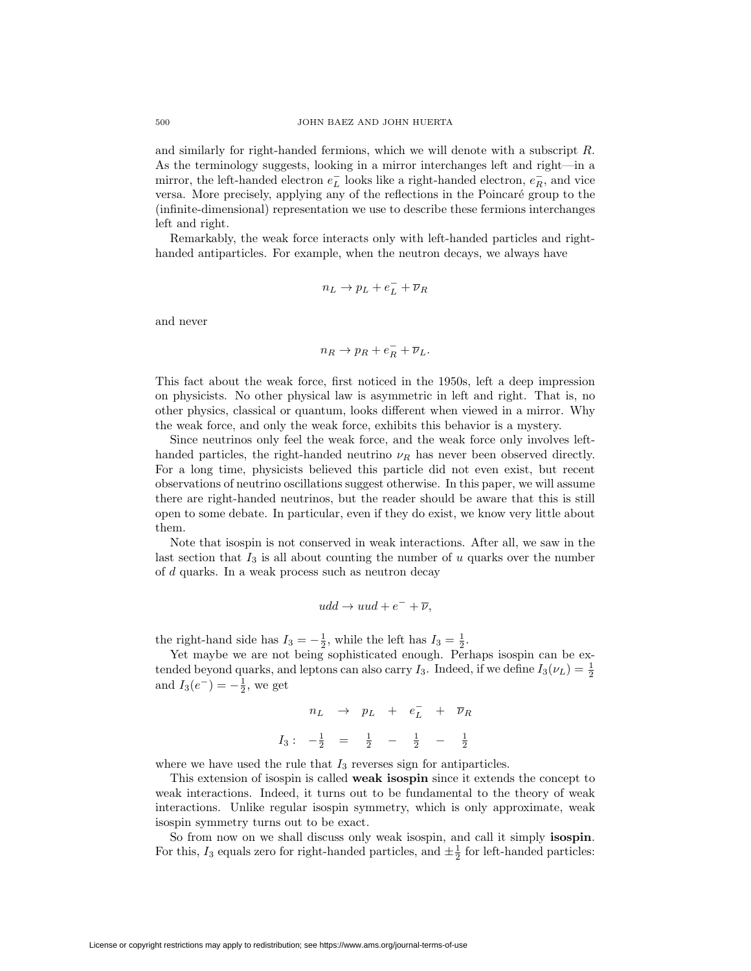and similarly for right-handed fermions, which we will denote with a subscript R. As the terminology suggests, looking in a mirror interchanges left and right—in a mirror, the left-handed electron  $e^-_L$  looks like a right-handed electron,  $e^-_R$ , and vice versa. More precisely, applying any of the reflections in the Poincaré group to the (infinite-dimensional) representation we use to describe these fermions interchanges left and right.

Remarkably, the weak force interacts only with left-handed particles and righthanded antiparticles. For example, when the neutron decays, we always have

$$
n_L \to p_L + e^-_L + \overline{\nu}_R
$$

and never

$$
n_R \to p_R + e_R^- + \overline{\nu}_L.
$$

This fact about the weak force, first noticed in the 1950s, left a deep impression on physicists. No other physical law is asymmetric in left and right. That is, no other physics, classical or quantum, looks different when viewed in a mirror. Why the weak force, and only the weak force, exhibits this behavior is a mystery.

Since neutrinos only feel the weak force, and the weak force only involves lefthanded particles, the right-handed neutrino  $\nu_R$  has never been observed directly. For a long time, physicists believed this particle did not even exist, but recent observations of neutrino oscillations suggest otherwise. In this paper, we will assume there are right-handed neutrinos, but the reader should be aware that this is still open to some debate. In particular, even if they do exist, we know very little about them.

Note that isospin is not conserved in weak interactions. After all, we saw in the last section that  $I_3$  is all about counting the number of u quarks over the number of d quarks. In a weak process such as neutron decay

$$
udd \rightarrow uud + e^- + \overline{\nu},
$$

the right-hand side has  $I_3 = -\frac{1}{2}$ , while the left has  $I_3 = \frac{1}{2}$ .

Yet maybe we are not being sophisticated enough. Perhaps isospin can be extended beyond quarks, and leptons can also carry  $I_3$ . Indeed, if we define  $I_3(\nu_L) = \frac{1}{2}$ and  $I_3(e^-) = -\frac{1}{2}$ , we get

$$
n_L \rightarrow p_L + e_L^- + \overline{\nu}_R
$$
  

$$
I_3: -\frac{1}{2} = \frac{1}{2} - \frac{1}{2} - \frac{1}{2}
$$

where we have used the rule that  $I_3$  reverses sign for antiparticles.

This extension of isospin is called **weak isospin** since it extends the concept to weak interactions. Indeed, it turns out to be fundamental to the theory of weak interactions. Unlike regular isospin symmetry, which is only approximate, weak isospin symmetry turns out to be exact.

So from now on we shall discuss only weak isospin, and call it simply **isospin**. For this,  $I_3$  equals zero for right-handed particles, and  $\pm \frac{1}{2}$  for left-handed particles: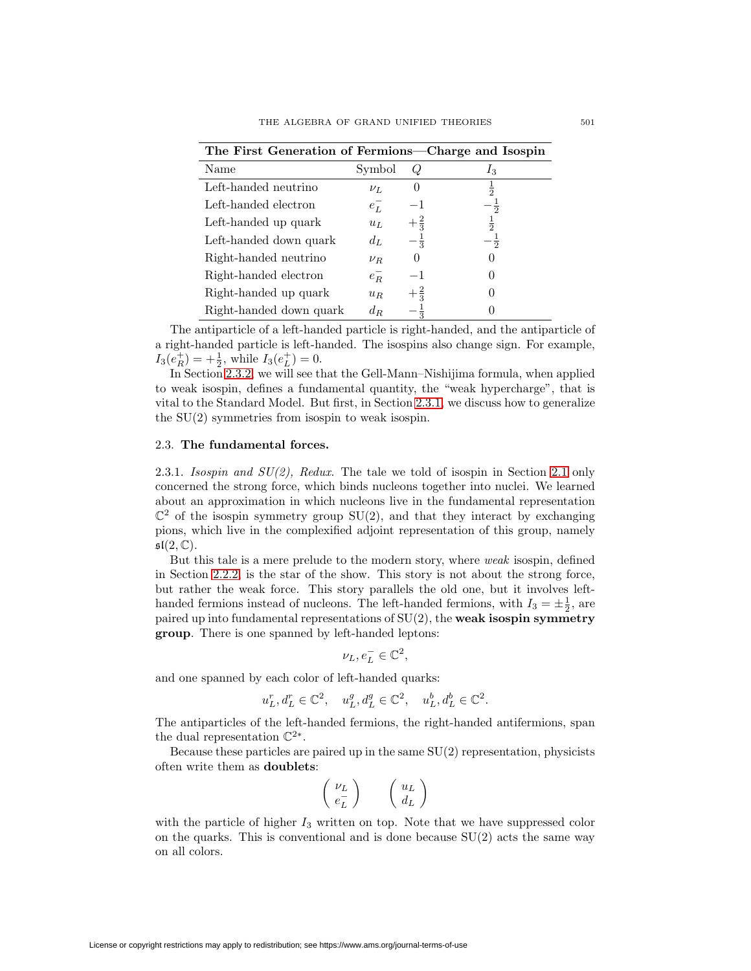| The Throe Generation of Fernhome<br>$\epsilon$ and $\epsilon$ and $\epsilon$ |         |                |                |  |  |
|------------------------------------------------------------------------------|---------|----------------|----------------|--|--|
| Name                                                                         | Symbol  |                | $I_3$          |  |  |
| Left-handed neutrino                                                         | $\nu_L$ |                | $\frac{1}{2}$  |  |  |
| Left-handed electron                                                         | $e_L$   | -1             | $\overline{2}$ |  |  |
| Left-handed up quark                                                         | $u_L$   | $+\frac{2}{3}$ | $\frac{1}{2}$  |  |  |
| Left-handed down quark                                                       | $d_L$   | $-\frac{1}{3}$ | $\overline{2}$ |  |  |
| Right-handed neutrino                                                        | $\nu_R$ |                |                |  |  |
| Right-handed electron                                                        | $e^-_R$ | — 1            |                |  |  |
| Right-handed up quark                                                        | $u_R$   | $+\frac{2}{3}$ |                |  |  |
| Right-handed down quark                                                      | $d_R$   |                |                |  |  |

**The First Generation of Fermions—Charge and Isospin**

The antiparticle of a left-handed particle is right-handed, and the antiparticle of a right-handed particle is left-handed. The isospins also change sign. For example,  $I_3(e_R^+) = +\frac{1}{2}$ , while  $I_3(e_L^+) = 0$ .

In Section [2.3.2,](#page-20-0) we will see that the Gell-Mann–Nishijima formula, when applied to weak isospin, defines a fundamental quantity, the "weak hypercharge", that is vital to the Standard Model. But first, in Section [2.3.1,](#page-18-1) we discuss how to generalize the SU(2) symmetries from isospin to weak isospin.

## <span id="page-18-1"></span><span id="page-18-0"></span>2.3. **The fundamental forces.**

2.3.1. Isospin and  $SU(2)$ , Redux. The tale we told of isospin in Section [2.1](#page-5-0) only concerned the strong force, which binds nucleons together into nuclei. We learned about an approximation in which nucleons live in the fundamental representation  $\mathbb{C}^2$  of the isospin symmetry group SU(2), and that they interact by exchanging pions, which live in the complexified adjoint representation of this group, namely  $\mathfrak{sl}(2,\mathbb{C}).$ 

But this tale is a mere prelude to the modern story, where weak isospin, defined in Section [2.2.2,](#page-16-0) is the star of the show. This story is not about the strong force, but rather the weak force. This story parallels the old one, but it involves lefthanded fermions instead of nucleons. The left-handed fermions, with  $I_3 = \pm \frac{1}{2}$ , are paired up into fundamental representations of SU(2), the **weak isospin symmetry group**. There is one spanned by left-handed leptons:

$$
\nu_L, e^-_L \in \mathbb{C}^2,
$$

and one spanned by each color of left-handed quarks:

$$
u^r_L, d^r_L \in \mathbb{C}^2, \quad u^g_L, d^g_L \in \mathbb{C}^2, \quad u^b_L, d^b_L \in \mathbb{C}^2.
$$

The antiparticles of the left-handed fermions, the right-handed antifermions, span the dual representation  $\mathbb{C}^{2*}$ .

Because these particles are paired up in the same  $SU(2)$  representation, physicists often write them as **doublets**:

$$
\left(\begin{array}{c}\nu_L \\ e^-_L\end{array}\right) \qquad \left(\begin{array}{c}u_L \\ d_L\end{array}\right)
$$

with the particle of higher  $I_3$  written on top. Note that we have suppressed color on the quarks. This is conventional and is done because  $SU(2)$  acts the same way on all colors.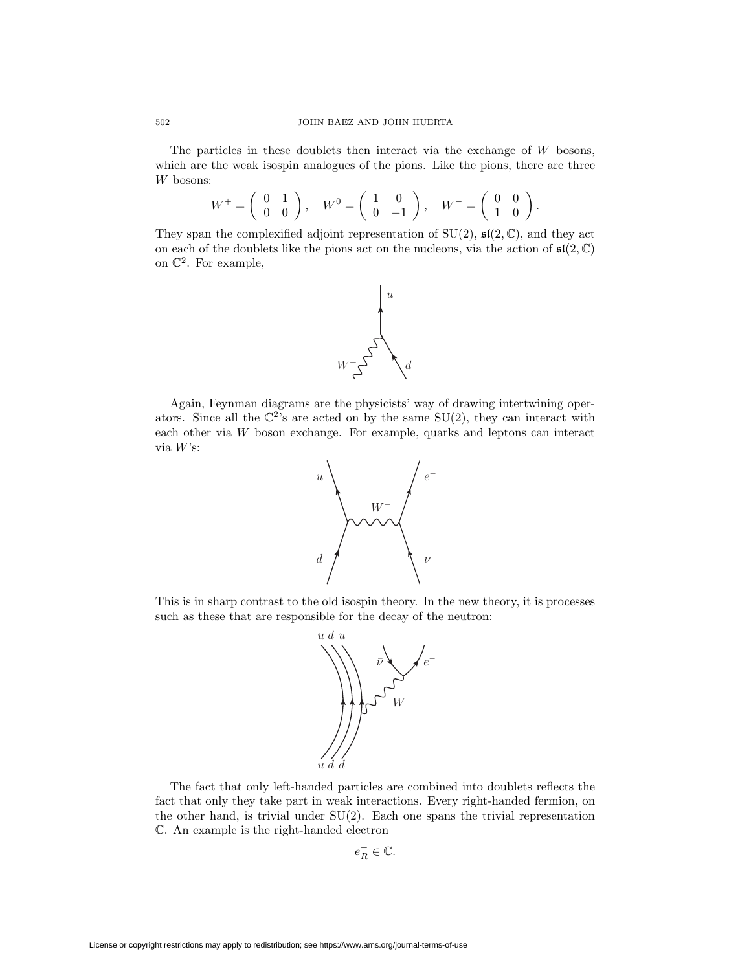The particles in these doublets then interact via the exchange of  $W$  bosons, which are the weak isospin analogues of the pions. Like the pions, there are three W bosons:

$$
W^+ = \left(\begin{array}{cc} 0 & 1 \\ 0 & 0 \end{array}\right), \quad W^0 = \left(\begin{array}{cc} 1 & 0 \\ 0 & -1 \end{array}\right), \quad W^- = \left(\begin{array}{cc} 0 & 0 \\ 1 & 0 \end{array}\right).
$$

They span the complexified adjoint representation of  $SU(2)$ ,  $\mathfrak{sl}(2,\mathbb{C})$ , and they act on each of the doublets like the pions act on the nucleons, via the action of  $\mathfrak{sl}(2,\mathbb{C})$ on  $\mathbb{C}^2$ . For example,



Again, Feynman diagrams are the physicists' way of drawing intertwining operators. Since all the  $\mathbb{C}^2$ 's are acted on by the same SU(2), they can interact with each other via W boson exchange. For example, quarks and leptons can interact via  $W$ 's:



This is in sharp contrast to the old isospin theory. In the new theory, it is processes such as these that are responsible for the decay of the neutron:



The fact that only left-handed particles are combined into doublets reflects the fact that only they take part in weak interactions. Every right-handed fermion, on the other hand, is trivial under  $SU(2)$ . Each one spans the trivial representation C. An example is the right-handed electron

$$
e_R^-\in\mathbb{C}.
$$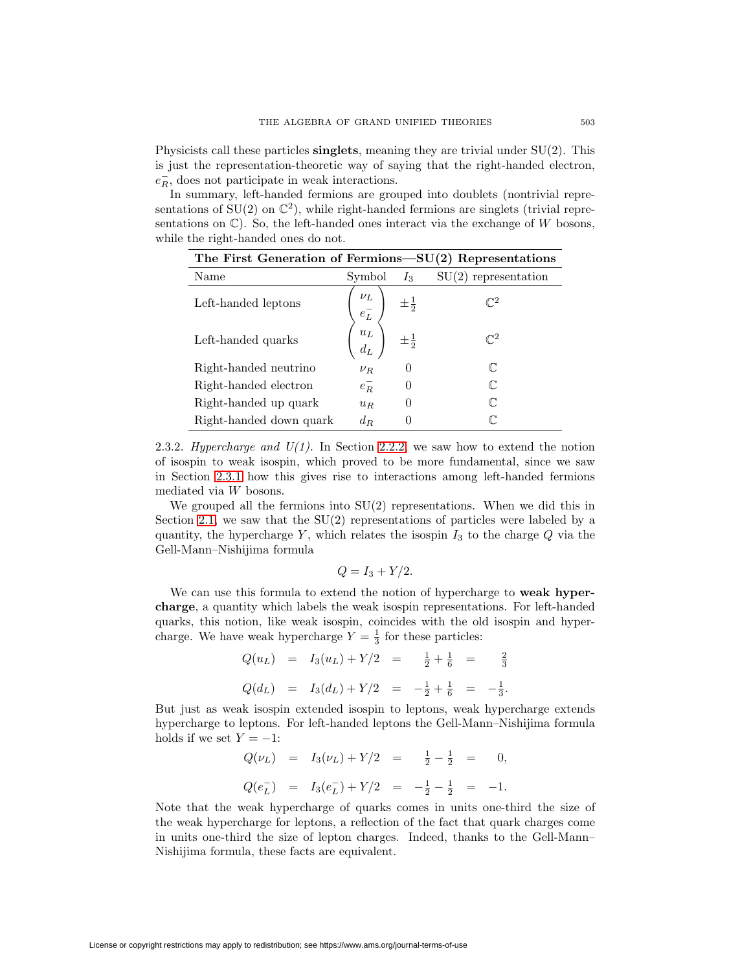Physicists call these particles **singlets**, meaning they are trivial under SU(2). This is just the representation-theoretic way of saying that the right-handed electron,  $e_R^-$ , does not participate in weak interactions.

In summary, left-handed fermions are grouped into doublets (nontrivial representations of  $SU(2)$  on  $\mathbb{C}^2$ ), while right-handed fermions are singlets (trivial representations on  $\mathbb{C}$ ). So, the left-handed ones interact via the exchange of W bosons, while the right-handed ones do not.

| The First Generation of Fermions— $SU(2)$ Representations |                            |                  |                        |  |  |
|-----------------------------------------------------------|----------------------------|------------------|------------------------|--|--|
| Name                                                      | Symbol                     | $I_3$            | $SU(2)$ representation |  |  |
| Left-handed leptons                                       | $\nu_L$<br>$e^-_L$         | $\pm\frac{1}{2}$ | $\mathcal{T}^2$        |  |  |
| Left-handed quarks                                        | $u_L$<br>$d_{\mathcal{L}}$ |                  | $\mathcal{T}^2$        |  |  |
| Right-handed neutrino                                     | $\nu_R$                    | $\theta$         | $\mathbb{C}$           |  |  |
| Right-handed electron                                     | $e_R^-$                    | 0                | $\mathbb{C}$           |  |  |
| Right-handed up quark                                     | $u_R$                      | 0                | C                      |  |  |
| Right-handed down quark                                   | $d_{R}$                    | 0                | C                      |  |  |

<span id="page-20-0"></span>2.3.2. Hypercharge and  $U(1)$ . In Section [2.2.2,](#page-16-0) we saw how to extend the notion of isospin to weak isospin, which proved to be more fundamental, since we saw in Section [2.3.1](#page-18-1) how this gives rise to interactions among left-handed fermions mediated via W bosons.

We grouped all the fermions into  $SU(2)$  representations. When we did this in Section [2.1,](#page-5-0) we saw that the  $SU(2)$  representations of particles were labeled by a quantity, the hypercharge Y, which relates the isospin  $I_3$  to the charge  $Q$  via the Gell-Mann–Nishijima formula

$$
Q = I_3 + Y/2.
$$

We can use this formula to extend the notion of hypercharge to **weak hypercharge**, a quantity which labels the weak isospin representations. For left-handed quarks, this notion, like weak isospin, coincides with the old isospin and hypercharge. We have weak hypercharge  $Y = \frac{1}{3}$  for these particles:

$$
Q(u_L) = I_3(u_L) + Y/2 = \frac{1}{2} + \frac{1}{6} = \frac{2}{3}
$$
  

$$
Q(d_L) = I_3(d_L) + Y/2 = -\frac{1}{2} + \frac{1}{6} = -\frac{1}{3}.
$$

But just as weak isospin extended isospin to leptons, weak hypercharge extends hypercharge to leptons. For left-handed leptons the Gell-Mann–Nishijima formula holds if we set  $Y = -1$ :

$$
Q(\nu_L) = I_3(\nu_L) + Y/2 = \frac{1}{2} - \frac{1}{2} = 0,
$$
  

$$
Q(e_L^-) = I_3(e_L^-) + Y/2 = -\frac{1}{2} - \frac{1}{2} = -1.
$$

Note that the weak hypercharge of quarks comes in units one-third the size of the weak hypercharge for leptons, a reflection of the fact that quark charges come in units one-third the size of lepton charges. Indeed, thanks to the Gell-Mann– Nishijima formula, these facts are equivalent.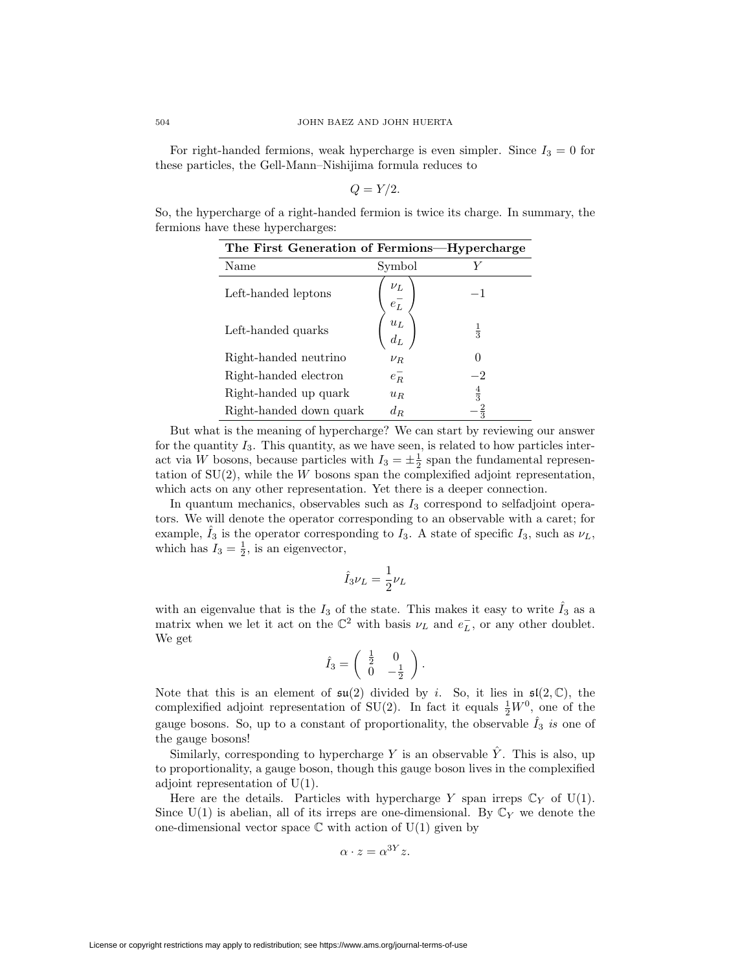For right-handed fermions, weak hypercharge is even simpler. Since  $I_3 = 0$  for these particles, the Gell-Mann–Nishijima formula reduces to

$$
Q=Y/2.
$$

So, the hypercharge of a right-handed fermion is twice its charge. In summary, the fermions have these hypercharges:

| The First Generation of Fermions—Hypercharge |                    |               |
|----------------------------------------------|--------------------|---------------|
| Name                                         | Symbol             |               |
| Left-handed leptons                          | $\nu_L$<br>$e^-_L$ | $-1$          |
| Left-handed quarks                           | $u_L$<br>$d_L$     | $\frac{1}{3}$ |
| Right-handed neutrino                        | $\nu_R$            |               |
| Right-handed electron                        | $e_R^-$            | -2            |
| Right-handed up quark                        | $u_R$              | $\frac{4}{3}$ |
| Right-handed down quark                      | $d_R$              | $\frac{2}{3}$ |

But what is the meaning of hypercharge? We can start by reviewing our answer for the quantity  $I_3$ . This quantity, as we have seen, is related to how particles interact via W bosons, because particles with  $I_3 = \pm \frac{1}{2}$  span the fundamental representation of  $SU(2)$ , while the W bosons span the complexified adjoint representation, which acts on any other representation. Yet there is a deeper connection.

In quantum mechanics, observables such as  $I_3$  correspond to selfadjoint operators. We will denote the operator corresponding to an observable with a caret; for example,  $I_3$  is the operator corresponding to  $I_3$ . A state of specific  $I_3$ , such as  $\nu_L$ , which has  $I_3 = \frac{1}{2}$ , is an eigenvector,

$$
\hat{I}_3 \nu_L = \frac{1}{2} \nu_L
$$

with an eigenvalue that is the  $I_3$  of the state. This makes it easy to write  $\hat{I}_3$  as a matrix when we let it act on the  $\mathbb{C}^2$  with basis  $\nu_L$  and  $e^-_L$ , or any other doublet. We get

$$
\hat{I}_3 = \left( \begin{array}{cc} \frac{1}{2} & 0 \\ 0 & -\frac{1}{2} \end{array} \right).
$$

Note that this is an element of  $\mathfrak{su}(2)$  divided by i. So, it lies in  $\mathfrak{sl}(2,\mathbb{C})$ , the complexified adjoint representation of SU(2). In fact it equals  $\frac{1}{2}W^0$ , one of the gauge bosons. So, up to a constant of proportionality, the observable  $\hat{I}_3$  is one of the gauge bosons!

Similarly, corresponding to hypercharge Y is an observable  $\hat{Y}$ . This is also, up to proportionality, a gauge boson, though this gauge boson lives in the complexified adjoint representation of U(1).

Here are the details. Particles with hypercharge Y span irreps  $\mathbb{C}_Y$  of U(1). Since  $U(1)$  is abelian, all of its irreps are one-dimensional. By  $\mathbb{C}_Y$  we denote the one-dimensional vector space  $\mathbb C$  with action of  $U(1)$  given by

$$
\alpha \cdot z = \alpha^{3Y} z.
$$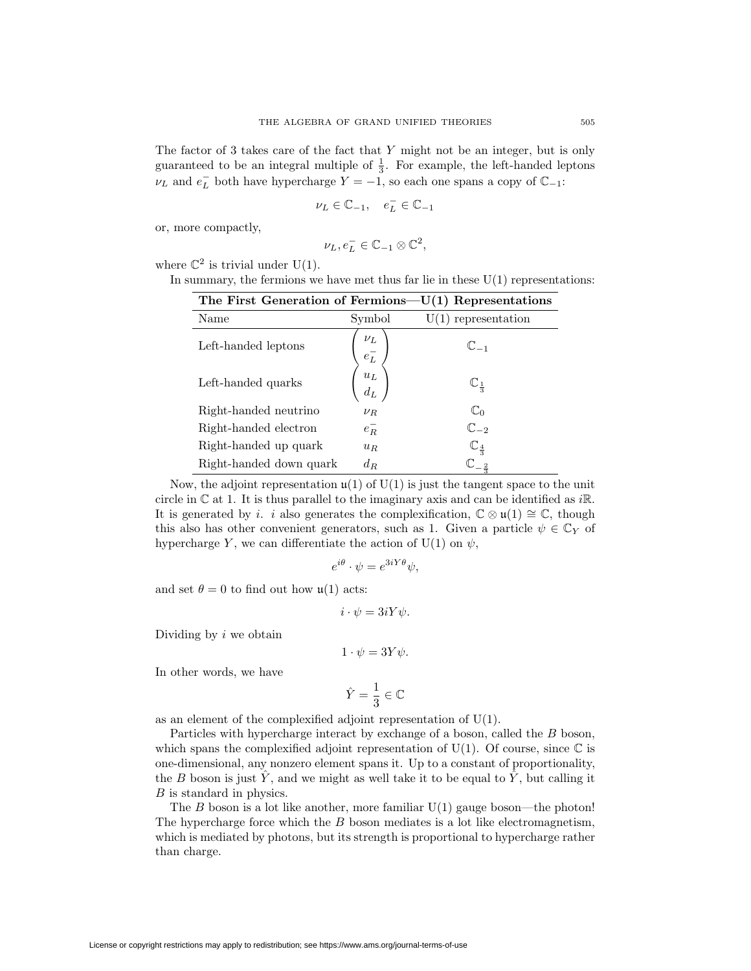The factor of 3 takes care of the fact that Y might not be an integer, but is only guaranteed to be an integral multiple of  $\frac{1}{3}$ . For example, the left-handed leptons  $\nu_L$  and  $e^-_L$  both have hypercharge  $Y = -1$ , so each one spans a copy of  $\mathbb{C}_{-1}$ :

$$
\nu_L \in \mathbb{C}_{-1}, \quad e_L^- \in \mathbb{C}_{-1}
$$

or, more compactly,

$$
\nu_L, e^-_L \in \mathbb{C}_{-1} \otimes \mathbb{C}^2,
$$

where  $\mathbb{C}^2$  is trivial under U(1).

In summary, the fermions we have met thus far lie in these  $U(1)$  representations:

| The First Generation of Fermions— $U(1)$ Representations |                            |                            |
|----------------------------------------------------------|----------------------------|----------------------------|
| Name                                                     | Symbol                     | $U(1)$ representation      |
| Left-handed leptons                                      | $\nu_L$<br>$e^-_L$         | $\mathbb{C}_{-1}$          |
| Left-handed quarks                                       | $u_L$<br>$d_{\mathcal{L}}$ | $\mathbb{C}_{\frac{1}{3}}$ |
| Right-handed neutrino                                    | $\nu_R$                    | $\mathbb{C}_0$             |
| Right-handed electron                                    | $e_R^-$                    | $\mathbb{C}_{-2}$          |
| Right-handed up quark                                    | $u_R$                      | $\mathbb{C}_{\frac{4}{3}}$ |
| Right-handed down quark                                  | $d_R$                      | $\frac{2}{2}$              |

Now, the adjoint representation  $\mathfrak{u}(1)$  of  $\mathrm{U}(1)$  is just the tangent space to the unit circle in  $\mathbb C$  at 1. It is thus parallel to the imaginary axis and can be identified as i $\mathbb R$ . It is generated by i. i also generates the complexification,  $\mathbb{C}\otimes\mathfrak{u}(1) \cong \mathbb{C}$ , though this also has other convenient generators, such as 1. Given a particle  $\psi \in \mathbb{C}_Y$  of hypercharge Y, we can differentiate the action of U(1) on  $\psi$ ,

$$
e^{i\theta} \cdot \psi = e^{3iY\theta} \psi,
$$

and set  $\theta = 0$  to find out how  $\mathfrak{u}(1)$  acts:

$$
i\cdot\psi=3iY\psi.
$$

Dividing by  $i$  we obtain

$$
1 \cdot \psi = 3Y\psi.
$$

In other words, we have

$$
\hat{Y} = \frac{1}{3} \in \mathbb{C}
$$

as an element of the complexified adjoint representation of  $U(1)$ .

Particles with hypercharge interact by exchange of a boson, called the B boson, which spans the complexified adjoint representation of U(1). Of course, since  $\mathbb C$  is one-dimensional, any nonzero element spans it. Up to a constant of proportionality, the B boson is just  $\hat{Y}$ , and we might as well take it to be equal to  $\hat{Y}$ , but calling it B is standard in physics.

The  $B$  boson is a lot like another, more familiar  $U(1)$  gauge boson—the photon! The hypercharge force which the  $B$  boson mediates is a lot like electromagnetism, which is mediated by photons, but its strength is proportional to hypercharge rather than charge.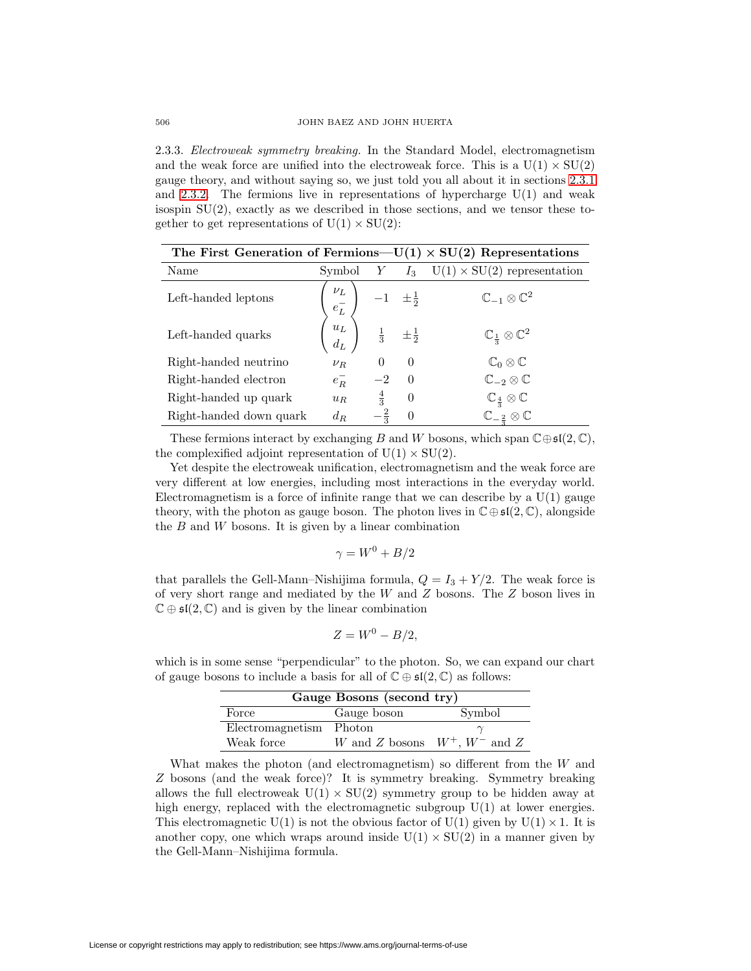<span id="page-23-0"></span>2.3.3. Electroweak symmetry breaking. In the Standard Model, electromagnetism and the weak force are unified into the electroweak force. This is a  $U(1) \times SU(2)$ gauge theory, and without saying so, we just told you all about it in sections [2.3.1](#page-18-1) and [2.3.2.](#page-20-0) The fermions live in representations of hypercharge  $U(1)$  and weak isospin  $SU(2)$ , exactly as we described in those sections, and we tensor these together to get representations of  $U(1) \times SU(2)$ :

| The First Generation of Fermions— $U(1) \times SU(2)$ Representations |                            |               |                      |                                                |  |
|-----------------------------------------------------------------------|----------------------------|---------------|----------------------|------------------------------------------------|--|
| Name                                                                  | Symbol                     | Y             | $I_3$                | $U(1) \times SU(2)$ representation             |  |
| Left-handed leptons                                                   | $\nu_L$<br>$e^-_L$         |               | $-1 \pm \frac{1}{2}$ | $\mathbb{C}_{-1}\otimes \mathbb{C}^2$          |  |
| Left-handed quarks                                                    | $u_L$<br>$d_{\mathcal{L}}$ | $\frac{1}{3}$ | $\pm\frac{1}{2}$     | $\mathbb{C}_{\frac{1}{3}}\otimes \mathbb{C}^2$ |  |
| Right-handed neutrino                                                 | $\nu_R$                    | $\Omega$      | $\theta$             | $\mathbb{C}_0\otimes\mathbb{C}$                |  |
| Right-handed electron                                                 | $e^-_R$                    | $-2$          | $\Omega$             | $\mathbb{C}_{-2}\otimes\mathbb{C}$             |  |
| Right-handed up quark                                                 | $u_R$                      | $\frac{4}{3}$ | $\theta$             | $\mathbb{C}_{\frac{4}{3}}\otimes\mathbb{C}$    |  |
| Right-handed down quark                                               | $d_R$                      |               | $\theta$             | $\mathbb{C}_{-\frac{2}{3}}\otimes\mathbb{C}$   |  |

These fermions interact by exchanging B and W bosons, which span  $\mathbb{C} \oplus \mathfrak{sl}(2,\mathbb{C})$ , the complexified adjoint representation of  $U(1) \times SU(2)$ .

Yet despite the electroweak unification, electromagnetism and the weak force are very different at low energies, including most interactions in the everyday world. Electromagnetism is a force of infinite range that we can describe by a  $U(1)$  gauge theory, with the photon as gauge boson. The photon lives in  $\mathbb{C}\oplus \mathfrak{sl}(2,\mathbb{C})$ , alongside the  $B$  and  $W$  bosons. It is given by a linear combination

$$
\gamma = W^0 + B/2
$$

that parallels the Gell-Mann–Nishijima formula,  $Q = I_3 + Y/2$ . The weak force is of very short range and mediated by the W and Z bosons. The Z boson lives in  $\mathbb{C} \oplus \mathfrak{sl}(2, \mathbb{C})$  and is given by the linear combination

$$
Z = W^0 - B/2,
$$

which is in some sense "perpendicular" to the photon. So, we can expand our chart of gauge bosons to include a basis for all of  $\mathbb{C} \oplus \mathfrak{sl}(2, \mathbb{C})$  as follows:

| Gauge Bosons (second try) |                                    |        |  |
|---------------------------|------------------------------------|--------|--|
| Force                     | Gauge boson                        | Symbol |  |
| Electromagnetism Photon   |                                    |        |  |
| Weak force                | W and Z bosons $W^+$ , $W^-$ and Z |        |  |

What makes the photon (and electromagnetism) so different from the W and Z bosons (and the weak force)? It is symmetry breaking. Symmetry breaking allows the full electroweak  $U(1) \times SU(2)$  symmetry group to be hidden away at high energy, replaced with the electromagnetic subgroup  $U(1)$  at lower energies. This electromagnetic U(1) is not the obvious factor of U(1) given by U(1)  $\times$  1. It is another copy, one which wraps around inside  $U(1) \times SU(2)$  in a manner given by the Gell-Mann–Nishijima formula.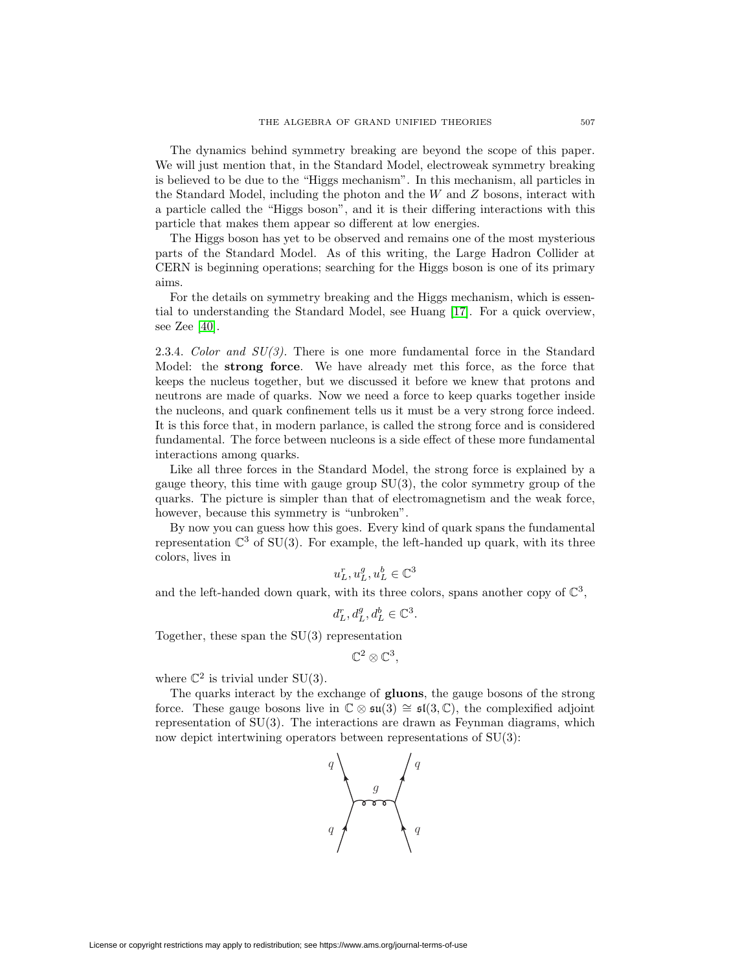The dynamics behind symmetry breaking are beyond the scope of this paper. We will just mention that, in the Standard Model, electroweak symmetry breaking is believed to be due to the "Higgs mechanism". In this mechanism, all particles in the Standard Model, including the photon and the  $W$  and  $Z$  bosons, interact with a particle called the "Higgs boson", and it is their differing interactions with this particle that makes them appear so different at low energies.

The Higgs boson has yet to be observed and remains one of the most mysterious parts of the Standard Model. As of this writing, the Large Hadron Collider at CERN is beginning operations; searching for the Higgs boson is one of its primary aims.

For the details on symmetry breaking and the Higgs mechanism, which is essential to understanding the Standard Model, see Huang [\[17\]](#page-68-10). For a quick overview, see Zee [\[40\]](#page-69-0).

2.3.4. Color and  $SU(3)$ . There is one more fundamental force in the Standard Model: the **strong force**. We have already met this force, as the force that keeps the nucleus together, but we discussed it before we knew that protons and neutrons are made of quarks. Now we need a force to keep quarks together inside the nucleons, and quark confinement tells us it must be a very strong force indeed. It is this force that, in modern parlance, is called the strong force and is considered fundamental. The force between nucleons is a side effect of these more fundamental interactions among quarks.

Like all three forces in the Standard Model, the strong force is explained by a gauge theory, this time with gauge group SU(3), the color symmetry group of the quarks. The picture is simpler than that of electromagnetism and the weak force, however, because this symmetry is "unbroken".

By now you can guess how this goes. Every kind of quark spans the fundamental representation  $\mathbb{C}^3$  of SU(3). For example, the left-handed up quark, with its three colors, lives in

$$
u_L^r,u_L^g,u_L^b\in\mathbb{C}^3
$$

and the left-handed down quark, with its three colors, spans another copy of  $\mathbb{C}^3$ ,

$$
d_L^r, d_L^g, d_L^b \in \mathbb{C}^3.
$$

Together, these span the SU(3) representation

$$
\mathbb{C}^2\otimes\mathbb{C}^3,
$$

where  $\mathbb{C}^2$  is trivial under SU(3).

The quarks interact by the exchange of **gluons**, the gauge bosons of the strong force. These gauge bosons live in  $\mathbb{C} \otimes \mathfrak{su}(3) \cong \mathfrak{sl}(3,\mathbb{C})$ , the complexified adjoint representation of SU(3). The interactions are drawn as Feynman diagrams, which now depict intertwining operators between representations of SU(3):

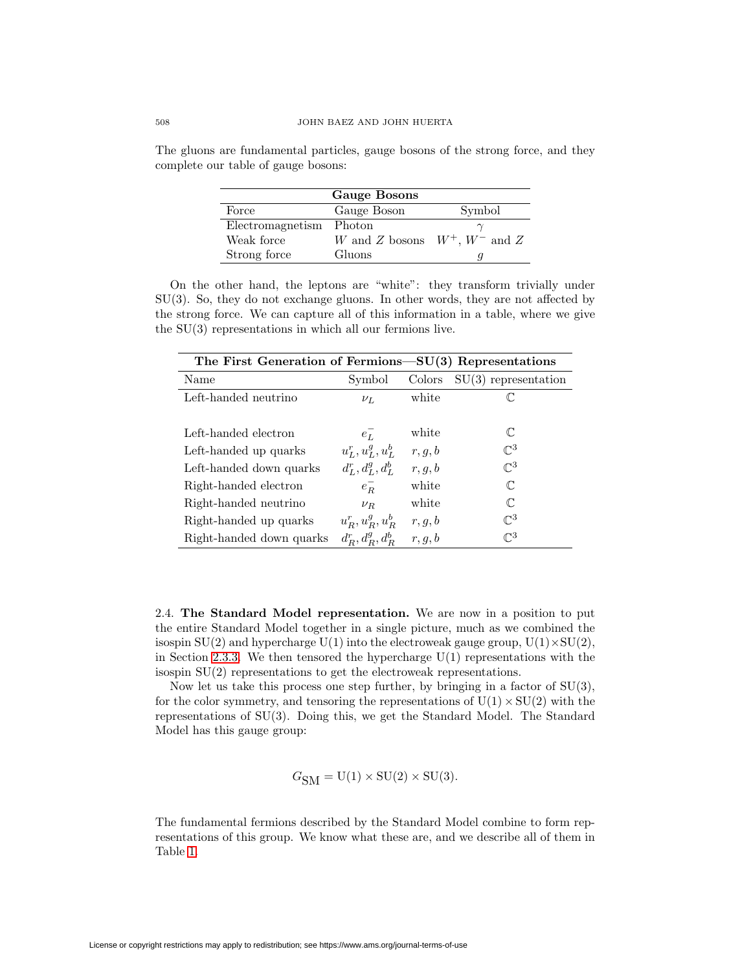The gluons are fundamental particles, gauge bosons of the strong force, and they complete our table of gauge bosons:

| <b>Gauge Bosons</b> |                                    |        |  |  |  |  |
|---------------------|------------------------------------|--------|--|--|--|--|
| Force               | Gauge Boson                        | Symbol |  |  |  |  |
| Electromagnetism    | Photon                             |        |  |  |  |  |
| Weak force          | W and Z bosons $W^+$ , $W^-$ and Z |        |  |  |  |  |
| Strong force        | Gluons                             |        |  |  |  |  |

On the other hand, the leptons are "white": they transform trivially under SU(3). So, they do not exchange gluons. In other words, they are not affected by the strong force. We can capture all of this information in a table, where we give the SU(3) representations in which all our fermions live.

| The First Generation of Fermions— $SU(3)$ Representations |                                   |         |                        |  |  |  |
|-----------------------------------------------------------|-----------------------------------|---------|------------------------|--|--|--|
| Name                                                      | Symbol                            | Colors  | $SU(3)$ representation |  |  |  |
| Left-handed neutrino                                      | $\nu_L$                           | white   |                        |  |  |  |
|                                                           |                                   |         |                        |  |  |  |
| Left-handed electron                                      | $e_{L}$                           | white   | $\mathbb{C}$           |  |  |  |
| Left-handed up quarks                                     | $u_L^r, u_L^g, u_L^b$             | r, g, b | $\mathbb{C}^3$         |  |  |  |
| Left-handed down quarks                                   | $d_{L}^{r}, d_{L}^{g}, d_{L}^{b}$ | r, g, b | $\mathbb{C}^3$         |  |  |  |
| Right-handed electron                                     | $e^-_R$                           | white   | $\mathbb{C}$           |  |  |  |
| Right-handed neutrino                                     | $\nu_R$                           | white   | $\mathbb{C}$           |  |  |  |
| Right-handed up quarks                                    | $u_R^r, u_R^g, u_R^b$             | r, q, b | $\mathbb{C}^3$         |  |  |  |
| Right-handed down quarks                                  | $d_R^r, d_R^g, d_R^b$             | r, g, b | $\mathbb{C}^3$         |  |  |  |

<span id="page-25-0"></span>2.4. **The Standard Model representation.** We are now in a position to put the entire Standard Model together in a single picture, much as we combined the isospin  $SU(2)$  and hypercharge  $U(1)$  into the electroweak gauge group,  $U(1) \times SU(2)$ , in Section [2.3.3.](#page-23-0) We then tensored the hypercharge  $U(1)$  representations with the isospin SU(2) representations to get the electroweak representations.

Now let us take this process one step further, by bringing in a factor of  $SU(3)$ , for the color symmetry, and tensoring the representations of  $U(1) \times SU(2)$  with the representations of SU(3). Doing this, we get the Standard Model. The Standard Model has this gauge group:

$$
G_{\text{SM}} = \text{U}(1) \times \text{SU}(2) \times \text{SU}(3).
$$

The fundamental fermions described by the Standard Model combine to form representations of this group. We know what these are, and we describe all of them in Table [1.](#page-26-0)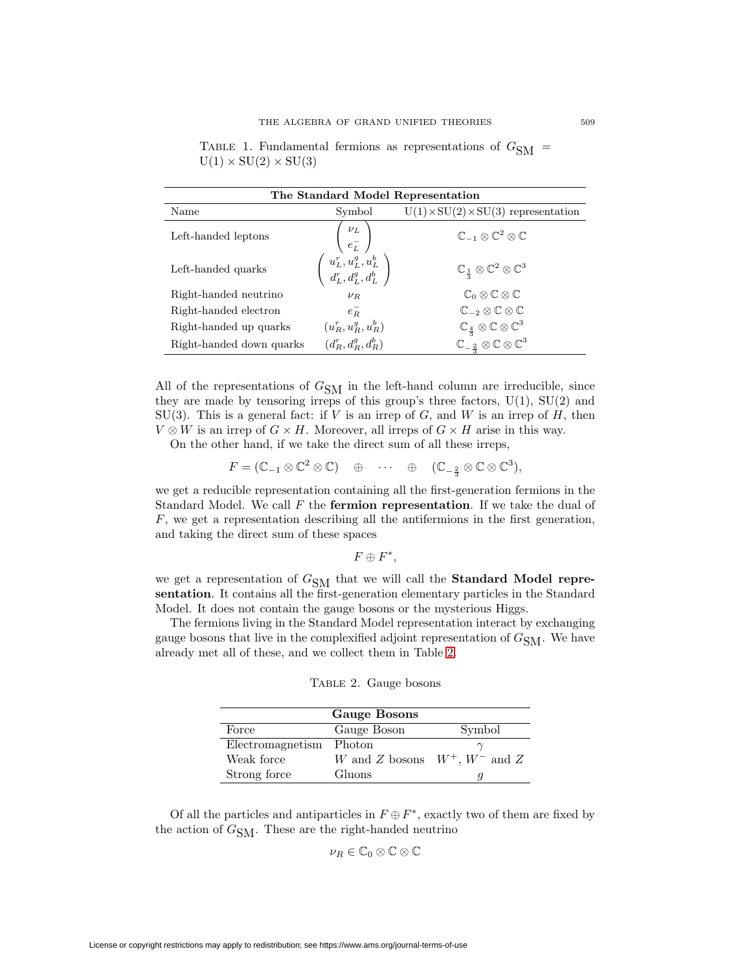<span id="page-26-0"></span>TABLE 1. Fundamental fermions as representations of  $G_{\rm SM}$  =  $U(1) \times SU(2) \times SU(3)$ 

| The Standard Model Representation |                                                                                                     |                                                                                                                                           |  |  |  |  |  |  |
|-----------------------------------|-----------------------------------------------------------------------------------------------------|-------------------------------------------------------------------------------------------------------------------------------------------|--|--|--|--|--|--|
| Name                              | Symbol                                                                                              | $U(1) \times SU(2) \times SU(3)$ representation                                                                                           |  |  |  |  |  |  |
| Left-handed leptons               | $\nu_L$<br>$\left(\begin{array}{cc} e^-_L & I \end{array}\right)$                                   | $\mathbb{C}_{-1}\otimes\mathbb{C}^2\otimes\mathbb{C}$                                                                                     |  |  |  |  |  |  |
| Left-handed quarks                | $\left\langle \begin{array}{c} u_L^r, u_L^g, u_L^b \ d_L^r, d_L^g, d_L^b \end{array} \right\rangle$ | $\mathbb{C}_{\frac{1}{3}}\otimes\mathbb{C}^2\otimes\mathbb{C}^3$                                                                          |  |  |  |  |  |  |
| Right-handed neutrino             | $\nu_R$                                                                                             | $\mathbb{C}_0 \otimes \mathbb{C} \otimes \mathbb{C}$                                                                                      |  |  |  |  |  |  |
| Right-handed electron             | $e_R^-$                                                                                             | $\mathbb{C}_{-2}\otimes\mathbb{C}\otimes\mathbb{C}$                                                                                       |  |  |  |  |  |  |
| Right-handed up quarks            | $(u_R^r, u_R^g, u_R^b)$                                                                             |                                                                                                                                           |  |  |  |  |  |  |
| Right-handed down quarks          | $(d_R^r, d_R^g, d_R^b)$                                                                             | $\mathbb{C}_{\frac{4}{3}} \otimes \mathbb{C} \otimes \mathbb{C}^3$<br>$\mathbb{C}_{-\frac{2}{3}} \otimes \mathbb{C} \otimes \mathbb{C}^3$ |  |  |  |  |  |  |

All of the representations of  $G_{SM}$  in the left-hand column are irreducible, since they are made by tensoring irreps of this group's three factors,  $U(1)$ ,  $SU(2)$  and SU(3). This is a general fact: if V is an irrep of  $G$ , and W is an irrep of  $H$ , then  $V \otimes W$  is an irrep of  $G \times H$ . Moreover, all irreps of  $G \times H$  arise in this way.

On the other hand, if we take the direct sum of all these irreps,

 $F = (\mathbb{C}_{-1} \otimes \mathbb{C}^2 \otimes \mathbb{C}) \quad \oplus \quad \cdots \quad \oplus \quad (\mathbb{C}_{-\frac{2}{3}} \otimes \mathbb{C} \otimes \mathbb{C}^3),$ 

we get a reducible representation containing all the first-generation fermions in the Standard Model. We call F the **fermion representation**. If we take the dual of  $F$ , we get a representation describing all the antifermions in the first generation, and taking the direct sum of these spaces

 $F \oplus F^*$ ,

we get a representation of  $G_{SM}$  that we will call the **Standard Model representation**. It contains all the first-generation elementary particles in the Standard Model. It does not contain the gauge bosons or the mysterious Higgs.

The fermions living in the Standard Model representation interact by exchanging gauge bosons that live in the complexified adjoint representation of  $G_{\text{SM}}$ . We have already met all of these, and we collect them in Table [2.](#page-26-1)

| <b>Gauge Bosons</b> |                                    |        |  |  |  |  |
|---------------------|------------------------------------|--------|--|--|--|--|
| Force               | Gauge Boson                        | Symbol |  |  |  |  |
| Electromagnetism    | Photon                             |        |  |  |  |  |
| Weak force          | W and Z bosons $W^+$ , $W^-$ and Z |        |  |  |  |  |
| Strong force        | Gluons                             |        |  |  |  |  |

<span id="page-26-1"></span>Table 2. Gauge bosons

Of all the particles and antiparticles in  $F \oplus F^*$ , exactly two of them are fixed by the action of  $G_{\text{SM}}$ . These are the right-handed neutrino

$$
\nu_R\in\mathbb{C}_0\otimes\mathbb{C}\otimes\mathbb{C}
$$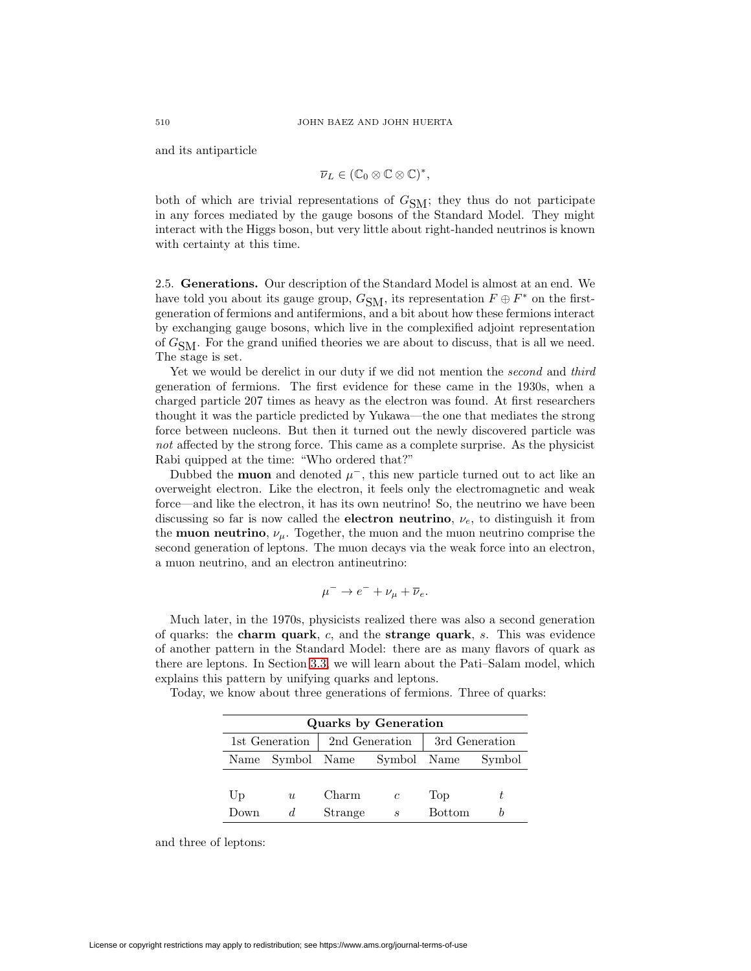and its antiparticle

$$
\overline{\nu}_L \in (\mathbb{C}_0 \otimes \mathbb{C} \otimes \mathbb{C})^*,
$$

both of which are trivial representations of  $G_{\text{SM}}$ ; they thus do not participate in any forces mediated by the gauge bosons of the Standard Model. They might interact with the Higgs boson, but very little about right-handed neutrinos is known with certainty at this time.

<span id="page-27-0"></span>2.5. **Generations.** Our description of the Standard Model is almost at an end. We have told you about its gauge group,  $G_{SM}$ , its representation  $F \oplus F^*$  on the firstgeneration of fermions and antifermions, and a bit about how these fermions interact by exchanging gauge bosons, which live in the complexified adjoint representation of  $G<sub>SM</sub>$ . For the grand unified theories we are about to discuss, that is all we need. The stage is set.

Yet we would be derelict in our duty if we did not mention the *second* and *third* generation of fermions. The first evidence for these came in the 1930s, when a charged particle 207 times as heavy as the electron was found. At first researchers thought it was the particle predicted by Yukawa—the one that mediates the strong force between nucleons. But then it turned out the newly discovered particle was not affected by the strong force. This came as a complete surprise. As the physicist Rabi quipped at the time: "Who ordered that?"

Dubbed the **muon** and denoted  $\mu^-$ , this new particle turned out to act like an overweight electron. Like the electron, it feels only the electromagnetic and weak force—and like the electron, it has its own neutrino! So, the neutrino we have been discussing so far is now called the **electron neutrino**,  $\nu_e$ , to distinguish it from the **muon neutrino**,  $\nu_{\mu}$ . Together, the muon and the muon neutrino comprise the second generation of leptons. The muon decays via the weak force into an electron, a muon neutrino, and an electron antineutrino:

$$
\mu^- \to e^- + \nu_\mu + \overline{\nu}_e.
$$

Much later, in the 1970s, physicists realized there was also a second generation of quarks: the **charm quark**, c, and the **strange quark**, s. This was evidence of another pattern in the Standard Model: there are as many flavors of quark as there are leptons. In Section [3.3,](#page-44-0) we will learn about the Pati–Salam model, which explains this pattern by unifying quarks and leptons.

Today, we know about three generations of fermions. Three of quarks:

| <b>Quarks by Generation</b> |                  |                |               |                |        |  |  |
|-----------------------------|------------------|----------------|---------------|----------------|--------|--|--|
|                             | 1st Generation   | 2nd Generation |               | 3rd Generation |        |  |  |
|                             | Name Symbol Name |                | Symbol Name   |                | Symbol |  |  |
|                             |                  |                |               |                |        |  |  |
| Up                          | $\boldsymbol{u}$ | Charm          | $\mathfrak c$ | Top            |        |  |  |
| Down                        | d                | Strange        | S             | <b>Bottom</b>  |        |  |  |

and three of leptons: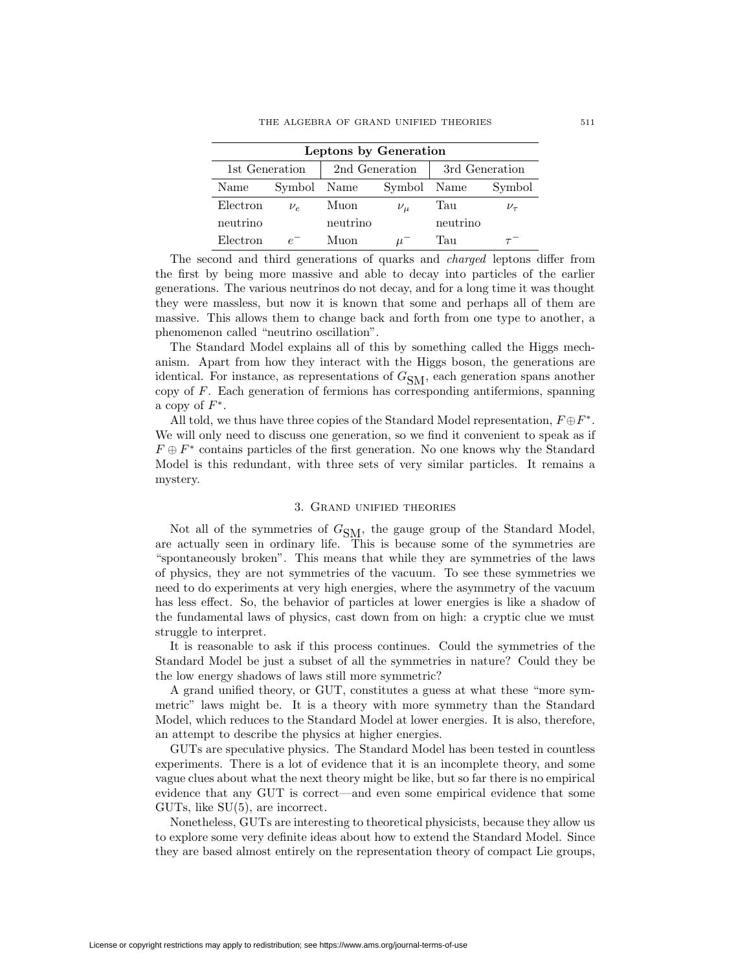| Leptons by Generation |             |                |             |                |              |  |  |
|-----------------------|-------------|----------------|-------------|----------------|--------------|--|--|
| 1st Generation        |             | 2nd Generation |             | 3rd Generation |              |  |  |
| Name                  | Symbol Name |                | Symbol Name |                | Symbol       |  |  |
| Electron              | $\nu_e$     | Muon           | $\nu_\mu$   | Tau            | $\nu_{\tau}$ |  |  |
| neutrino              |             | neutrino       |             | neutrino       |              |  |  |
| Electron              | $e^-$       | Muon           | H.          | Tau            |              |  |  |

The second and third generations of quarks and charged leptons differ from the first by being more massive and able to decay into particles of the earlier generations. The various neutrinos do not decay, and for a long time it was thought they were massless, but now it is known that some and perhaps all of them are massive. This allows them to change back and forth from one type to another, a phenomenon called "neutrino oscillation".

The Standard Model explains all of this by something called the Higgs mechanism. Apart from how they interact with the Higgs boson, the generations are identical. For instance, as representations of  $G_{SM}$ , each generation spans another copy of F. Each generation of fermions has corresponding antifermions, spanning a copy of  $F^*$ .

All told, we thus have three copies of the Standard Model representation,  $F \oplus F^*$ . We will only need to discuss one generation, so we find it convenient to speak as if  $F \oplus F^*$  contains particles of the first generation. No one knows why the Standard Model is this redundant, with three sets of very similar particles. It remains a mystery.

### 3. Grand unified theories

<span id="page-28-0"></span>Not all of the symmetries of  $G_{\rm SM}$ , the gauge group of the Standard Model, are actually seen in ordinary life. This is because some of the symmetries are "spontaneously broken". This means that while they are symmetries of the laws of physics, they are not symmetries of the vacuum. To see these symmetries we need to do experiments at very high energies, where the asymmetry of the vacuum has less effect. So, the behavior of particles at lower energies is like a shadow of the fundamental laws of physics, cast down from on high: a cryptic clue we must struggle to interpret.

It is reasonable to ask if this process continues. Could the symmetries of the Standard Model be just a subset of all the symmetries in nature? Could they be the low energy shadows of laws still more symmetric?

A grand unified theory, or GUT, constitutes a guess at what these "more symmetric" laws might be. It is a theory with more symmetry than the Standard Model, which reduces to the Standard Model at lower energies. It is also, therefore, an attempt to describe the physics at higher energies.

GUTs are speculative physics. The Standard Model has been tested in countless experiments. There is a lot of evidence that it is an incomplete theory, and some vague clues about what the next theory might be like, but so far there is no empirical evidence that any GUT is correct—and even some empirical evidence that some GUTs, like SU(5), are incorrect.

Nonetheless, GUTs are interesting to theoretical physicists, because they allow us to explore some very definite ideas about how to extend the Standard Model. Since they are based almost entirely on the representation theory of compact Lie groups,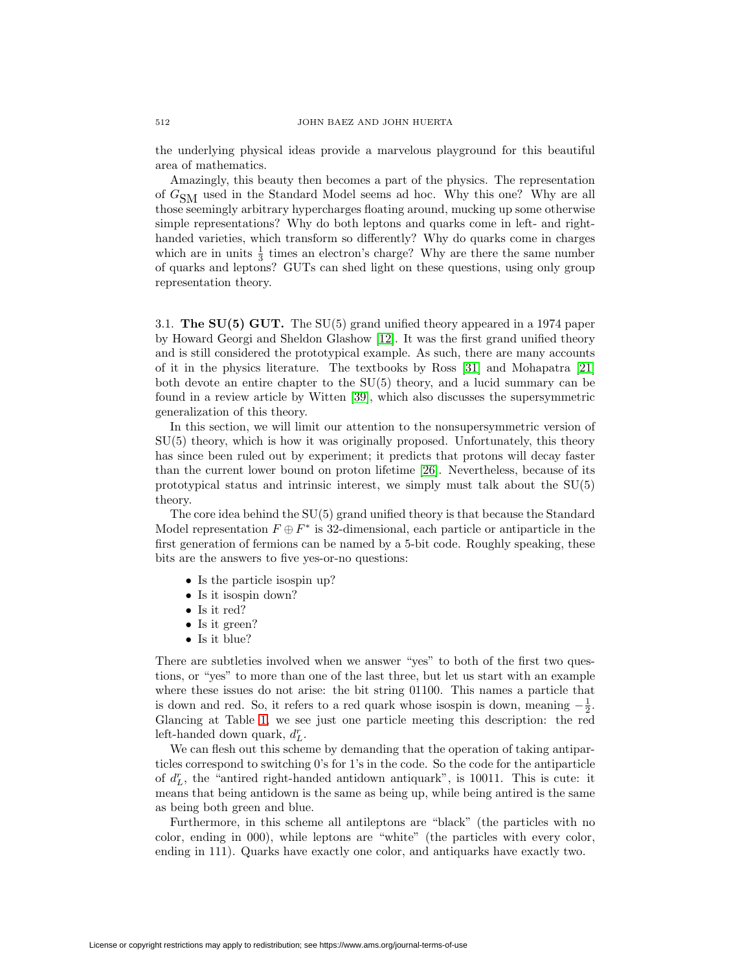the underlying physical ideas provide a marvelous playground for this beautiful area of mathematics.

Amazingly, this beauty then becomes a part of the physics. The representation of  $G<sub>SM</sub>$  used in the Standard Model seems ad hoc. Why this one? Why are all those seemingly arbitrary hypercharges floating around, mucking up some otherwise simple representations? Why do both leptons and quarks come in left- and righthanded varieties, which transform so differently? Why do quarks come in charges which are in units  $\frac{1}{3}$  times an electron's charge? Why are there the same number of quarks and leptons? GUTs can shed light on these questions, using only group representation theory.

<span id="page-29-0"></span>3.1. **The SU(5) GUT.** The SU(5) grand unified theory appeared in a 1974 paper by Howard Georgi and Sheldon Glashow [\[12\]](#page-68-26). It was the first grand unified theory and is still considered the prototypical example. As such, there are many accounts of it in the physics literature. The textbooks by Ross [\[31\]](#page-68-12) and Mohapatra [\[21\]](#page-68-13) both devote an entire chapter to the SU(5) theory, and a lucid summary can be found in a review article by Witten [\[39\]](#page-69-1), which also discusses the supersymmetric generalization of this theory.

In this section, we will limit our attention to the nonsupersymmetric version of SU(5) theory, which is how it was originally proposed. Unfortunately, this theory has since been ruled out by experiment; it predicts that protons will decay faster than the current lower bound on proton lifetime [\[26\]](#page-68-0). Nevertheless, because of its prototypical status and intrinsic interest, we simply must talk about the SU(5) theory.

The core idea behind the SU(5) grand unified theory is that because the Standard Model representation  $F \oplus F^*$  is 32-dimensional, each particle or antiparticle in the first generation of fermions can be named by a 5-bit code. Roughly speaking, these bits are the answers to five yes-or-no questions:

- Is the particle isospin up?
- Is it isospin down?
- Is it red?
- Is it green?
- Is it blue?

There are subtleties involved when we answer "yes" to both of the first two questions, or "yes" to more than one of the last three, but let us start with an example where these issues do not arise: the bit string 01100. This names a particle that is down and red. So, it refers to a red quark whose isospin is down, meaning  $-\frac{1}{2}$ . Glancing at Table [1,](#page-26-0) we see just one particle meeting this description: the red left-handed down quark,  $d_L^r$ .

We can flesh out this scheme by demanding that the operation of taking antiparticles correspond to switching 0's for 1's in the code. So the code for the antiparticle of  $d_L^r$ , the "antired right-handed antidown antiquark", is 10011. This is cute: it means that being antidown is the same as being up, while being antired is the same as being both green and blue.

Furthermore, in this scheme all antileptons are "black" (the particles with no color, ending in 000), while leptons are "white" (the particles with every color, ending in 111). Quarks have exactly one color, and antiquarks have exactly two.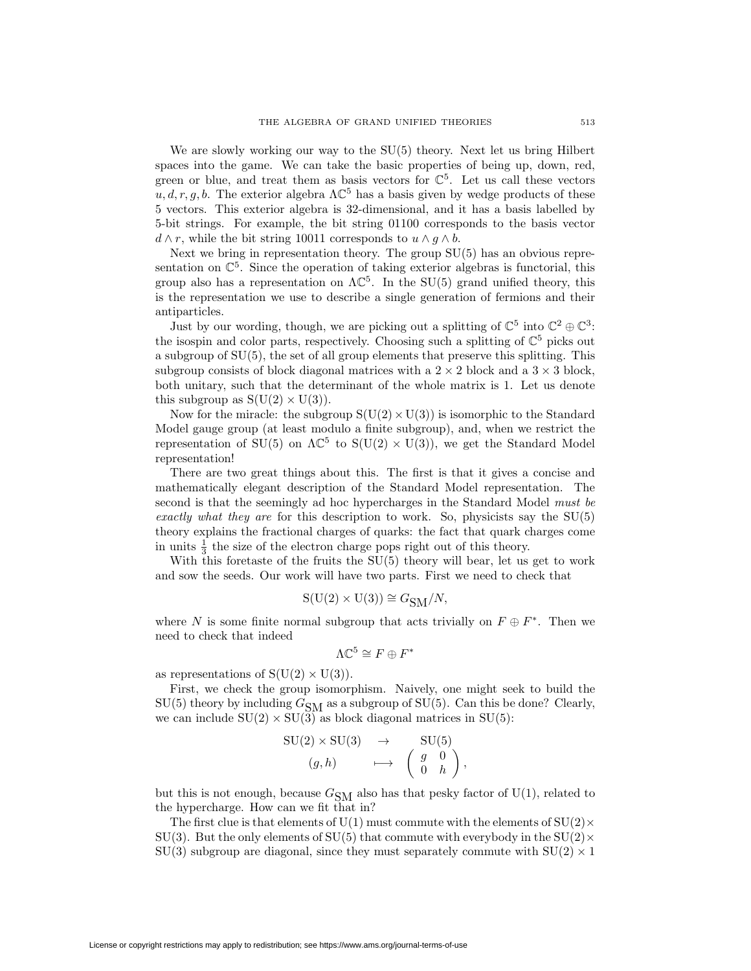We are slowly working our way to the SU(5) theory. Next let us bring Hilbert spaces into the game. We can take the basic properties of being up, down, red, green or blue, and treat them as basis vectors for  $\mathbb{C}^5$ . Let us call these vectors  $u, d, r, g, b$ . The exterior algebra  $\Lambda \mathbb{C}^5$  has a basis given by wedge products of these 5 vectors. This exterior algebra is 32-dimensional, and it has a basis labelled by 5-bit strings. For example, the bit string 01100 corresponds to the basis vector  $d \wedge r$ , while the bit string 10011 corresponds to  $u \wedge q \wedge b$ .

Next we bring in representation theory. The group SU(5) has an obvious representation on  $\mathbb{C}^5$ . Since the operation of taking exterior algebras is functorial, this group also has a representation on  $\Lambda \mathbb{C}^5$ . In the SU(5) grand unified theory, this is the representation we use to describe a single generation of fermions and their antiparticles.

Just by our wording, though, we are picking out a splitting of  $\mathbb{C}^5$  into  $\mathbb{C}^2 \oplus \mathbb{C}^3$ : the isospin and color parts, respectively. Choosing such a splitting of  $\mathbb{C}^5$  picks out a subgroup of  $SU(5)$ , the set of all group elements that preserve this splitting. This subgroup consists of block diagonal matrices with a  $2 \times 2$  block and a  $3 \times 3$  block, both unitary, such that the determinant of the whole matrix is 1. Let us denote this subgroup as  $S(U(2) \times U(3))$ .

Now for the miracle: the subgroup  $S(U(2) \times U(3))$  is isomorphic to the Standard Model gauge group (at least modulo a finite subgroup), and, when we restrict the representation of SU(5) on  $\Lambda \mathbb{C}^5$  to S(U(2)  $\times$  U(3)), we get the Standard Model representation!

There are two great things about this. The first is that it gives a concise and mathematically elegant description of the Standard Model representation. The second is that the seemingly ad hoc hypercharges in the Standard Model must be exactly what they are for this description to work. So, physicists say the  $SU(5)$ theory explains the fractional charges of quarks: the fact that quark charges come in units  $\frac{1}{3}$  the size of the electron charge pops right out of this theory.

With this foretaste of the fruits the  $SU(5)$  theory will bear, let us get to work and sow the seeds. Our work will have two parts. First we need to check that

$$
\mathrm{S}(\mathrm{U}(2)\times \mathrm{U}(3))\cong G_{{\rm SM}}/N,
$$

where N is some finite normal subgroup that acts trivially on  $F \oplus F^*$ . Then we need to check that indeed

$$
\Lambda \mathbb{C}^5 \cong F \oplus F^*
$$

as representations of  $S(U(2) \times U(3))$ .

First, we check the group isomorphism. Naively, one might seek to build the  $SU(5)$  theory by including  $G_{SM}$  as a subgroup of  $SU(5)$ . Can this be done? Clearly, we can include  $SU(2) \times SU(3)$  as block diagonal matrices in  $SU(5)$ :

$$
\begin{array}{ccc} \text{SU}(2)\times \text{SU}(3) & \to & \text{SU}(5) \\ (g,h) & \longmapsto & \begin{pmatrix} g & 0 \\ 0 & h \end{pmatrix}, \end{array}
$$

but this is not enough, because  $G_{\text{SM}}$  also has that pesky factor of U(1), related to the hypercharge. How can we fit that in?

The first clue is that elements of  $U(1)$  must commute with the elements of  $SU(2) \times$ SU(3). But the only elements of SU(5) that commute with everybody in the SU(2) $\times$  $SU(3)$  subgroup are diagonal, since they must separately commute with  $SU(2) \times 1$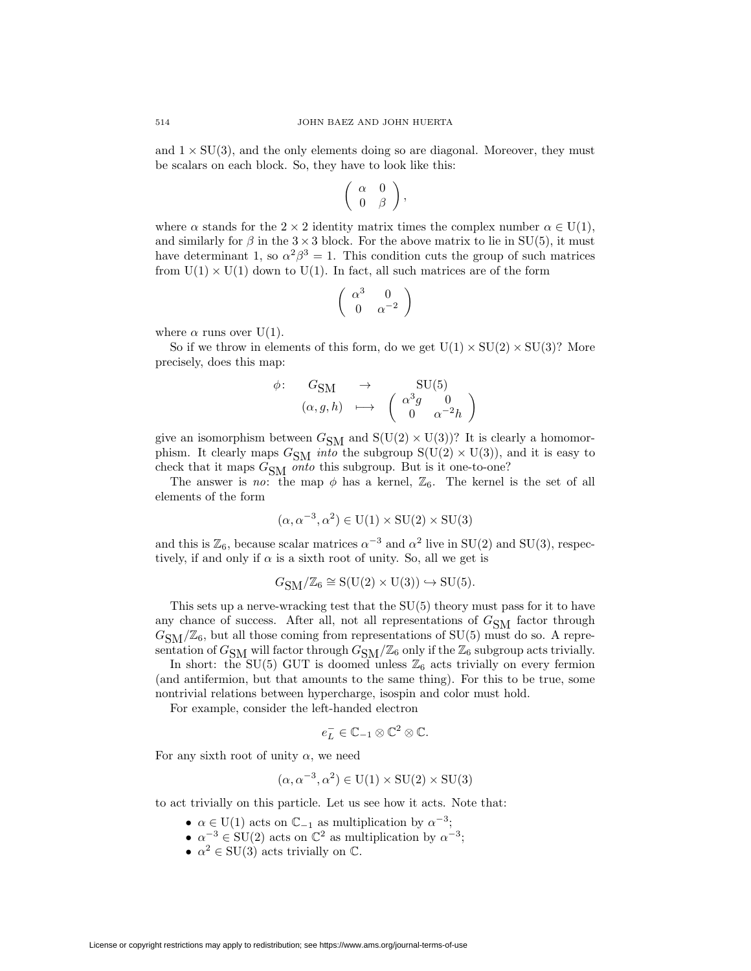and  $1 \times SU(3)$ , and the only elements doing so are diagonal. Moreover, they must be scalars on each block. So, they have to look like this:

$$
\left(\begin{array}{cc} \alpha & 0 \\ 0 & \beta \end{array}\right),
$$

where  $\alpha$  stands for the 2 × 2 identity matrix times the complex number  $\alpha \in U(1)$ , and similarly for  $\beta$  in the 3 × 3 block. For the above matrix to lie in SU(5), it must have determinant 1, so  $\alpha^2 \beta^3 = 1$ . This condition cuts the group of such matrices from  $U(1) \times U(1)$  down to  $U(1)$ . In fact, all such matrices are of the form

$$
\left(\begin{array}{cc} \alpha^3 & 0\\ 0 & \alpha^{-2} \end{array}\right)
$$

where  $\alpha$  runs over U(1).

So if we throw in elements of this form, do we get  $U(1) \times SU(2) \times SU(3)$ ? More precisely, does this map:

$$
\begin{array}{cccc}\n\phi\colon & G_{\text{SM}} & \to & \text{SU}(5) \\
(\alpha, g, h) & \longmapsto & \left(\begin{array}{cc}\alpha^3 g & 0 \\
0 & \alpha^{-2} h\end{array}\right)\n\end{array}
$$

give an isomorphism between  $G_{\text{SM}}$  and  $S(U(2) \times U(3))$ ? It is clearly a homomorphism. It clearly maps  $G_{SM}$  *into* the subgroup  $S(U(2) \times U(3))$ , and it is easy to check that it maps  $G_{\text{SM}}$  onto this subgroup. But is it one-to-one?

The answer is no: the map  $\phi$  has a kernel,  $\mathbb{Z}_6$ . The kernel is the set of all elements of the form

$$
(\alpha, \alpha^{-3}, \alpha^2) \in U(1) \times SU(2) \times SU(3)
$$

and this is  $\mathbb{Z}_6$ , because scalar matrices  $\alpha^{-3}$  and  $\alpha^2$  live in SU(2) and SU(3), respectively, if and only if  $\alpha$  is a sixth root of unity. So, all we get is

$$
G_{\text{SM}}/\mathbb{Z}_6 \cong \text{S}(\text{U}(2) \times \text{U}(3)) \hookrightarrow \text{SU}(5).
$$

This sets up a nerve-wracking test that the SU(5) theory must pass for it to have any chance of success. After all, not all representations of  $G_{\rm SM}$  factor through  $G<sub>SM</sub>/\mathbb{Z}_6$ , but all those coming from representations of SU(5) must do so. A representation of  $G_{\text{SM}}$  will factor through  $G_{\text{SM}}/\mathbb{Z}_6$  only if the  $\mathbb{Z}_6$  subgroup acts trivially.

In short: the SU(5) GUT is doomed unless  $\mathbb{Z}_6$  acts trivially on every fermion (and antifermion, but that amounts to the same thing). For this to be true, some nontrivial relations between hypercharge, isospin and color must hold.

For example, consider the left-handed electron

$$
e_L^- \in \mathbb{C}_{-1} \otimes \mathbb{C}^2 \otimes \mathbb{C}.
$$

For any sixth root of unity  $\alpha$ , we need

$$
(\alpha, \alpha^{-3}, \alpha^2) \in U(1) \times SU(2) \times SU(3)
$$

to act trivially on this particle. Let us see how it acts. Note that:

- $\alpha \in U(1)$  acts on  $\mathbb{C}_{-1}$  as multiplication by  $\alpha^{-3}$ ;
- $\alpha^{-3} \in SU(2)$  acts on  $\mathbb{C}^2$  as multiplication by  $\alpha^{-3}$ ;
- $\alpha^2 \in SU(3)$  acts trivially on  $\mathbb{C}$ .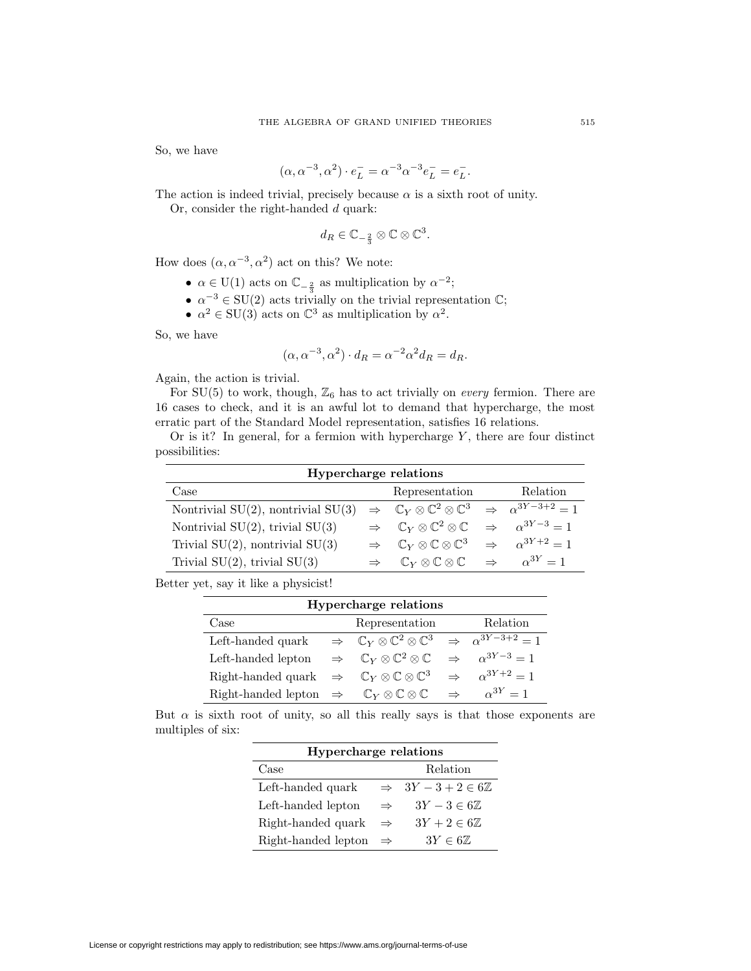So, we have

$$
(\alpha, \alpha^{-3}, \alpha^2) \cdot e_L^- = \alpha^{-3} \alpha^{-3} e_L^- = e_L^-.
$$

The action is indeed trivial, precisely because  $\alpha$  is a sixth root of unity.

Or, consider the right-handed  $d$  quark:

$$
d_R \in \mathbb{C}_{-\frac{2}{3}} \otimes \mathbb{C} \otimes \mathbb{C}^3.
$$

How does  $(\alpha, \alpha^{-3}, \alpha^2)$  act on this? We note:

- $\alpha \in U(1)$  acts on  $\mathbb{C}_{-\frac{2}{3}}$  as multiplication by  $\alpha^{-2}$ ;
- $\alpha^{-3} \in SU(2)$  acts trivially on the trivial representation  $\mathbb{C}$ ;
- $\alpha^2 \in SU(3)$  acts on  $\mathbb{C}^3$  as multiplication by  $\alpha^2$ .

So, we have

$$
(\alpha, \alpha^{-3}, \alpha^2) \cdot d_R = \alpha^{-2} \alpha^2 d_R = d_R.
$$

Again, the action is trivial.

For SU(5) to work, though,  $\mathbb{Z}_6$  has to act trivially on *every* fermion. There are 16 cases to check, and it is an awful lot to demand that hypercharge, the most erratic part of the Standard Model representation, satisfies 16 relations.

|                |  |  | Or is it? In general, for a fermion with hypercharge $Y$ , there are four distinct |  |  |  |
|----------------|--|--|------------------------------------------------------------------------------------|--|--|--|
| possibilities: |  |  |                                                                                    |  |  |  |

| Hypercharge relations                   |  |                                                                                              |  |                                   |  |  |  |
|-----------------------------------------|--|----------------------------------------------------------------------------------------------|--|-----------------------------------|--|--|--|
| Case                                    |  | Representation                                                                               |  | Relation                          |  |  |  |
| Nontrivial $SU(2)$ , nontrivial $SU(3)$ |  | $\Rightarrow$ $\mathbb{C}_Y \otimes \mathbb{C}^2 \otimes \mathbb{C}^3$                       |  | $\Rightarrow \alpha^{3Y-3+2} = 1$ |  |  |  |
| Nontrivial $SU(2)$ , trivial $SU(3)$    |  | $\Rightarrow$ $\mathbb{C}_Y \otimes \mathbb{C}^2 \otimes \mathbb{C}$                         |  | $\Rightarrow \alpha^{3Y-3} = 1$   |  |  |  |
| Trivial $SU(2)$ , nontrivial $SU(3)$    |  | $\Rightarrow$ $\mathbb{C}_Y \otimes \mathbb{C} \otimes \mathbb{C}^3$                         |  | $\Rightarrow \alpha^{3Y+2} = 1$   |  |  |  |
| Trivial $SU(2)$ , trivial $SU(3)$       |  | $\mathbb{C}_Y \otimes \mathbb{C} \otimes \mathbb{C} \quad \Rightarrow \quad \alpha^{3Y} = 1$ |  |                                   |  |  |  |

Better yet, say it like a physicist!

| <b>Hypercharge relations</b>                                                            |  |                                                                        |               |                                   |  |  |  |
|-----------------------------------------------------------------------------------------|--|------------------------------------------------------------------------|---------------|-----------------------------------|--|--|--|
| Representation<br>Relation<br>Case                                                      |  |                                                                        |               |                                   |  |  |  |
| Left-handed quark                                                                       |  | $\Rightarrow$ $\mathbb{C}_Y \otimes \mathbb{C}^2 \otimes \mathbb{C}^3$ |               | $\Rightarrow \alpha^{3Y-3+2} = 1$ |  |  |  |
| Left-handed lepton                                                                      |  | $\Rightarrow$ $\mathbb{C}_Y \otimes \mathbb{C}^2 \otimes \mathbb{C}$   | $\Rightarrow$ | $\alpha^{3Y-3} = 1$               |  |  |  |
| Right-handed quark $\Rightarrow$ $\mathbb{C}_Y \otimes \mathbb{C} \otimes \mathbb{C}^3$ |  |                                                                        | $\Rightarrow$ | $\alpha^{3Y+2} = 1$               |  |  |  |
| Right-handed lepton $\Rightarrow$ $\mathbb{C}_Y \otimes \mathbb{C} \otimes \mathbb{C}$  |  |                                                                        | $\Rightarrow$ | $\alpha^{3Y}=1$                   |  |  |  |

But  $\alpha$  is sixth root of unity, so all this really says is that those exponents are multiples of six:

| Hypercharge relations |               |                                      |  |  |  |  |
|-----------------------|---------------|--------------------------------------|--|--|--|--|
| Case                  |               | Relation                             |  |  |  |  |
| Left-handed quark     |               | $\Rightarrow 3Y-3+2 \in 6\mathbb{Z}$ |  |  |  |  |
| Left-handed lepton    | $\Rightarrow$ | $3Y-3 \in 6\mathbb{Z}$               |  |  |  |  |
| Right-handed quark    | $\Rightarrow$ | $3Y + 2 \in 6\mathbb{Z}$             |  |  |  |  |
| Right-handed lepton   | $\Rightarrow$ | $3Y \in 6\mathbb{Z}$                 |  |  |  |  |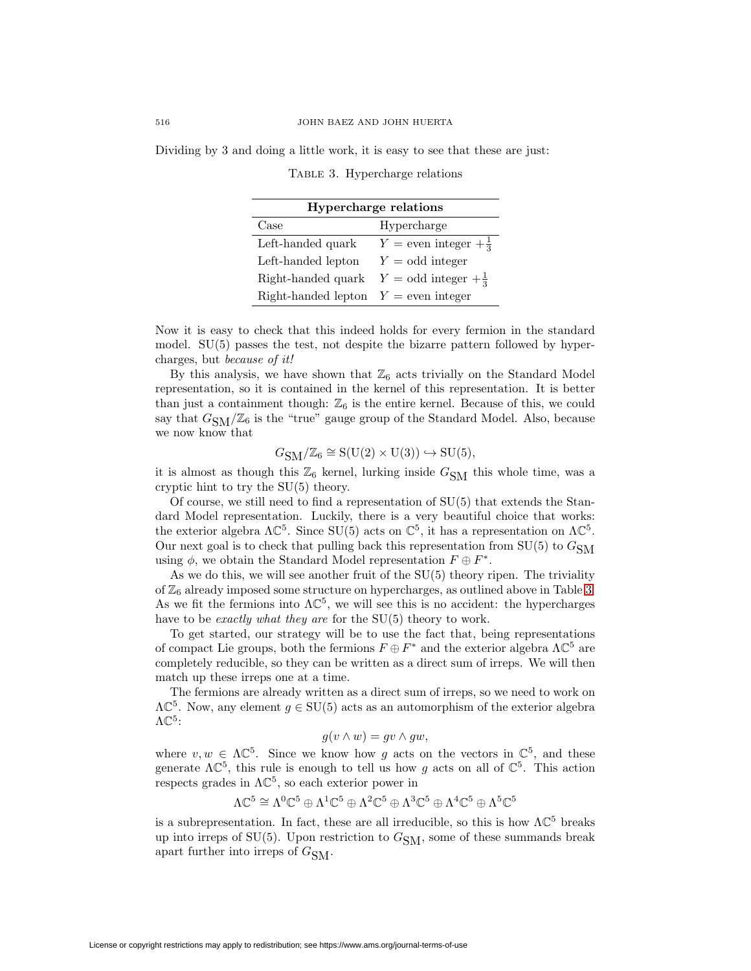Dividing by 3 and doing a little work, it is easy to see that these are just:

<span id="page-33-0"></span>

| <b>Hypercharge relations</b>           |                                        |  |  |  |  |
|----------------------------------------|----------------------------------------|--|--|--|--|
| Case                                   | Hypercharge                            |  |  |  |  |
| Left-handed quark                      | $Y =$ even integer $+\frac{1}{3}$      |  |  |  |  |
| Left-handed lepton                     | $Y = \text{odd integer}$               |  |  |  |  |
| Right-handed quark                     | $Y = \text{odd integer} + \frac{1}{3}$ |  |  |  |  |
| Right-handed lepton $Y =$ even integer |                                        |  |  |  |  |

Table 3. Hypercharge relations

Now it is easy to check that this indeed holds for every fermion in the standard model. SU(5) passes the test, not despite the bizarre pattern followed by hypercharges, but because of it!

By this analysis, we have shown that  $\mathbb{Z}_6$  acts trivially on the Standard Model representation, so it is contained in the kernel of this representation. It is better than just a containment though:  $\mathbb{Z}_6$  is the entire kernel. Because of this, we could say that  $G<sub>SM</sub>/\mathbb{Z}_6$  is the "true" gauge group of the Standard Model. Also, because we now know that

$$
G_{\text{SM}}/\mathbb{Z}_6 \cong \text{S}(\text{U}(2) \times \text{U}(3)) \hookrightarrow \text{SU}(5),
$$

it is almost as though this  $\mathbb{Z}_6$  kernel, lurking inside  $G_{\text{SM}}$  this whole time, was a cryptic hint to try the SU(5) theory.

Of course, we still need to find a representation of  $SU(5)$  that extends the Standard Model representation. Luckily, there is a very beautiful choice that works: the exterior algebra  $\Lambda \mathbb{C}^5$ . Since SU(5) acts on  $\mathbb{C}^5$ , it has a representation on  $\Lambda \mathbb{C}^5$ . Our next goal is to check that pulling back this representation from  $SU(5)$  to  $G<sub>SM</sub>$ using  $\phi$ , we obtain the Standard Model representation  $F \oplus F^*$ .

As we do this, we will see another fruit of the SU(5) theory ripen. The triviality of  $\mathbb{Z}_6$  already imposed some structure on hypercharges, as outlined above in Table [3.](#page-33-0) As we fit the fermions into  $\Lambda \mathbb{C}^5$ , we will see this is no accident: the hypercharges have to be *exactly what they are* for the SU(5) theory to work.

To get started, our strategy will be to use the fact that, being representations of compact Lie groups, both the fermions  $F \oplus F^*$  and the exterior algebra  $\Lambda \mathbb{C}^5$  are completely reducible, so they can be written as a direct sum of irreps. We will then match up these irreps one at a time.

The fermions are already written as a direct sum of irreps, so we need to work on  $\Lambda \mathbb{C}^5$ . Now, any element  $g \in SU(5)$  acts as an automorphism of the exterior algebra  $\Lambda \mathbb{C}^5$ :

$$
g(v \wedge w) = gv \wedge gw,
$$

where  $v, w \in \Lambda \mathbb{C}^5$ . Since we know how g acts on the vectors in  $\mathbb{C}^5$ , and these generate  $\Lambda \mathbb{C}^5$ , this rule is enough to tell us how g acts on all of  $\mathbb{C}^5$ . This action respects grades in  $\Lambda \mathbb{C}^5$ , so each exterior power in

$$
\Lambda \mathbb{C}^5 \cong \Lambda^0 \mathbb{C}^5 \oplus \Lambda^1 \mathbb{C}^5 \oplus \Lambda^2 \mathbb{C}^5 \oplus \Lambda^3 \mathbb{C}^5 \oplus \Lambda^4 \mathbb{C}^5 \oplus \Lambda^5 \mathbb{C}^5
$$

is a subrepresentation. In fact, these are all irreducible, so this is how  $\Lambda \mathbb{C}^5$  breaks up into irreps of SU(5). Upon restriction to  $G_{SM}$ , some of these summands break apart further into irreps of  $G_{\text{SM}}$ .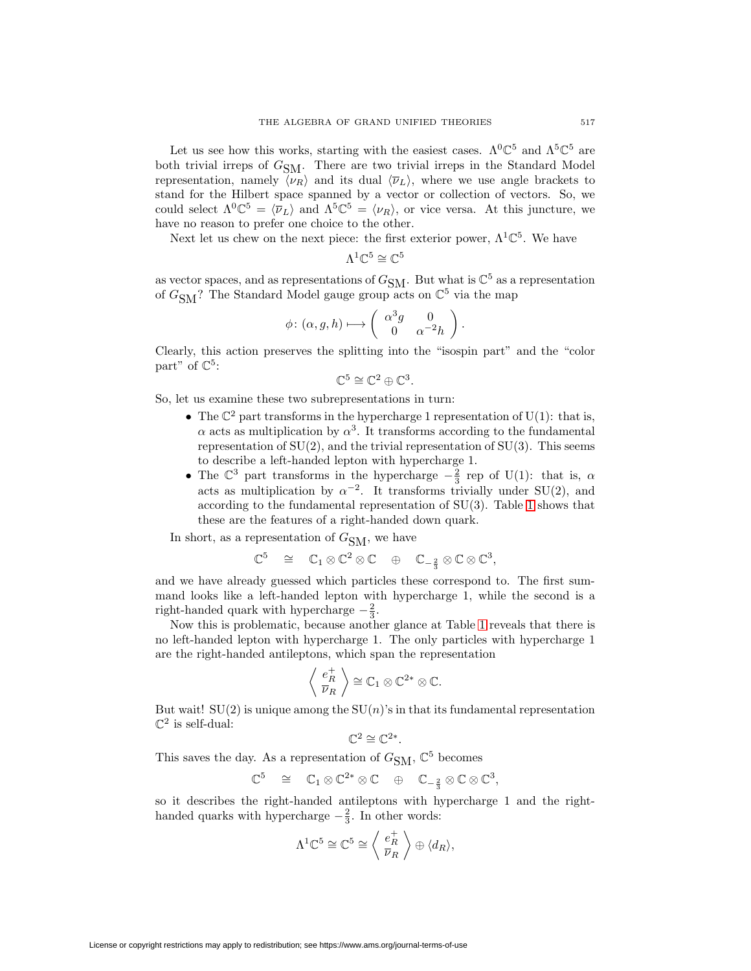Let us see how this works, starting with the easiest cases.  $\Lambda^0\mathbb{C}^5$  and  $\Lambda^5\mathbb{C}^5$  are both trivial irreps of  $G_{SM}$ . There are two trivial irreps in the Standard Model representation, namely  $\langle \nu_R \rangle$  and its dual  $\langle \overline{\nu}_L \rangle$ , where we use angle brackets to stand for the Hilbert space spanned by a vector or collection of vectors. So, we could select  $\Lambda^0\mathbb{C}^5 = \langle \overline{\nu}_L \rangle$  and  $\Lambda^5\mathbb{C}^5 = \langle \nu_R \rangle$ , or vice versa. At this juncture, we have no reason to prefer one choice to the other.

Next let us chew on the next piece: the first exterior power,  $\Lambda^1\mathbb{C}^5$ . We have

$$
\Lambda^1\mathbb{C}^5\cong\mathbb{C}^5
$$

as vector spaces, and as representations of  $G_{\rm SM}.$  But what is  $\mathbb{C}^5$  as a representation of  $G<sub>SM</sub>$ ? The Standard Model gauge group acts on  $\mathbb{C}^5$  via the map

$$
\phi \colon (\alpha, g, h) \longmapsto \left( \begin{array}{cc} \alpha^3 g & 0 \\ 0 & \alpha^{-2} h \end{array} \right).
$$

Clearly, this action preserves the splitting into the "isospin part" and the "color part" of  $\mathbb{C}^5$ :

$$
\mathbb{C}^5 \cong \mathbb{C}^2 \oplus \mathbb{C}^3.
$$

So, let us examine these two subrepresentations in turn:

- The  $\mathbb{C}^2$  part transforms in the hypercharge 1 representation of U(1): that is,  $\alpha$  acts as multiplication by  $\alpha^3$ . It transforms according to the fundamental representation of  $SU(2)$ , and the trivial representation of  $SU(3)$ . This seems to describe a left-handed lepton with hypercharge 1.
- The  $\mathbb{C}^3$  part transforms in the hypercharge  $-\frac{2}{3}$  rep of U(1): that is,  $\alpha$ acts as multiplication by  $\alpha^{-2}$ . It transforms trivially under SU(2), and according to the fundamental representation of SU(3). Table [1](#page-26-0) shows that these are the features of a right-handed down quark.

In short, as a representation of  $G_{SM}$ , we have

$$
\mathbb{C}^5 \quad \cong \quad \mathbb{C}_1 \otimes \mathbb{C}^2 \otimes \mathbb{C} \quad \oplus \quad \mathbb{C}_{-\frac{2}{3}} \otimes \mathbb{C} \otimes \mathbb{C}^3,
$$

and we have already guessed which particles these correspond to. The first summand looks like a left-handed lepton with hypercharge 1, while the second is a right-handed quark with hypercharge  $-\frac{2}{3}$ .

Now this is problematic, because another glance at Table [1](#page-26-0) reveals that there is no left-handed lepton with hypercharge 1. The only particles with hypercharge 1 are the right-handed antileptons, which span the representation

$$
\left\langle \begin{array}{c} e_R^+ \\ \overline{\nu}_R \end{array} \right\rangle \cong \mathbb{C}_1 \otimes \mathbb{C}^{2*} \otimes \mathbb{C}.
$$

But wait!  $SU(2)$  is unique among the  $SU(n)$ 's in that its fundamental representation  $\mathbb{C}^2$  is self-dual:

$$
\mathbb{C}^2 \cong \mathbb{C}^{2*}.
$$

This saves the day. As a representation of  $G_{\text{SM}}$ ,  $\mathbb{C}^5$  becomes

$$
\mathbb{C}^5 \quad \cong \quad \mathbb{C}_1 \otimes \mathbb{C}^{2*} \otimes \mathbb{C} \quad \oplus \quad \mathbb{C}_{-\frac{2}{3}} \otimes \mathbb{C} \otimes \mathbb{C}^3,
$$

so it describes the right-handed antileptons with hypercharge 1 and the righthanded quarks with hypercharge  $-\frac{2}{3}$ . In other words:

$$
\Lambda^{1}\mathbb{C}^{5} \cong \mathbb{C}^{5} \cong \left\langle \begin{array}{c} e_{R}^{+} \\ \overline{\nu}_{R} \end{array} \right\rangle \oplus \langle d_{R} \rangle,
$$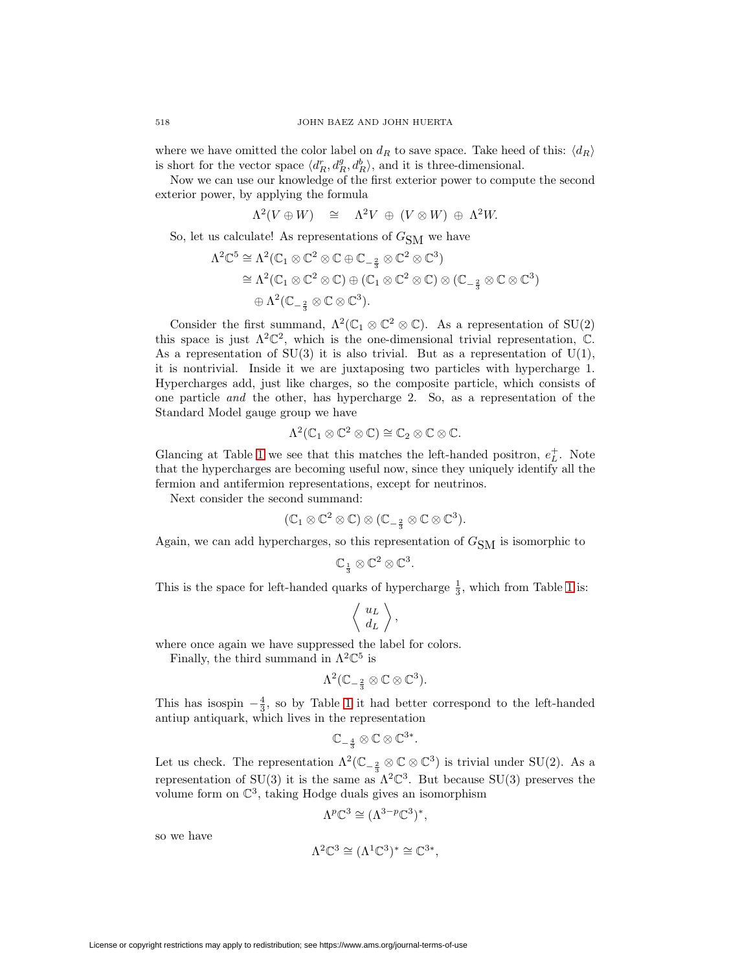where we have omitted the color label on  $d<sub>R</sub>$  to save space. Take heed of this:  $\langle d<sub>R</sub> \rangle$ is short for the vector space  $\langle d_R^r, d_R^g, d_R^b \rangle$ , and it is three-dimensional.

Now we can use our knowledge of the first exterior power to compute the second exterior power, by applying the formula

$$
\Lambda^2(V \oplus W) \quad \cong \quad \Lambda^2 V \ \oplus \ (V \otimes W) \ \oplus \ \Lambda^2 W.
$$

So, let us calculate! As representations of  $G_{\text{SM}}$  we have

$$
\Lambda^2 \mathbb{C}^5 \cong \Lambda^2 (\mathbb{C}_1 \otimes \mathbb{C}^2 \otimes \mathbb{C} \oplus \mathbb{C}_{-\frac{2}{3}} \otimes \mathbb{C}^2 \otimes \mathbb{C}^3)
$$
  
\n
$$
\cong \Lambda^2 (\mathbb{C}_1 \otimes \mathbb{C}^2 \otimes \mathbb{C}) \oplus (\mathbb{C}_1 \otimes \mathbb{C}^2 \otimes \mathbb{C}) \otimes (\mathbb{C}_{-\frac{2}{3}} \otimes \mathbb{C} \otimes \mathbb{C}^3)
$$
  
\n
$$
\oplus \Lambda^2 (\mathbb{C}_{-\frac{2}{3}} \otimes \mathbb{C} \otimes \mathbb{C}^3).
$$

Consider the first summand,  $\Lambda^2(\mathbb{C}_1 \otimes \mathbb{C}^2 \otimes \mathbb{C})$ . As a representation of SU(2) this space is just  $\Lambda^2 \mathbb{C}^2$ , which is the one-dimensional trivial representation,  $\mathbb{C}$ . As a representation of  $SU(3)$  it is also trivial. But as a representation of  $U(1)$ , it is nontrivial. Inside it we are juxtaposing two particles with hypercharge 1. Hypercharges add, just like charges, so the composite particle, which consists of one particle and the other, has hypercharge 2. So, as a representation of the Standard Model gauge group we have

$$
\Lambda^2(\mathbb{C}_1 \otimes \mathbb{C}^2 \otimes \mathbb{C}) \cong \mathbb{C}_2 \otimes \mathbb{C} \otimes \mathbb{C}.
$$

Glancing at Table [1](#page-26-0) we see that this matches the left-handed positron,  $e^+_L$ . Note that the hypercharges are becoming useful now, since they uniquely identify all the fermion and antifermion representations, except for neutrinos.

Next consider the second summand:

$$
(\mathbb{C}_1 \otimes \mathbb{C}^2 \otimes \mathbb{C}) \otimes (\mathbb{C}_{-\frac{2}{3}} \otimes \mathbb{C} \otimes \mathbb{C}^3).
$$

Again, we can add hypercharges, so this representation of  $G_\mathrm{SM}$  is isomorphic to

$$
\mathbb{C}_{\frac{1}{3}}\otimes \mathbb{C}^2\otimes \mathbb{C}^3.
$$

This is the space for left-handed quarks of hypercharge  $\frac{1}{3}$ , which from Table [1](#page-26-0) is:

$$
\left\langle \begin{array}{c} u_L \\ d_L \end{array} \right\rangle,
$$

where once again we have suppressed the label for colors.

Finally, the third summand in  $\Lambda^2 \mathbb{C}^5$  is

$$
\Lambda^2(\mathbb{C}_{-\frac{2}{3}}\otimes\mathbb{C}\otimes\mathbb{C}^3).
$$

This has isospin  $-\frac{4}{3}$ , so by Table [1](#page-26-0) it had better correspond to the left-handed antiup antiquark, which lives in the representation

$$
\mathbb{C}_{-\frac{4}{3}}\otimes\mathbb{C}\otimes\mathbb{C}^{3*}.
$$

Let us check. The representation  $\Lambda^2(\mathbb{C}_{-\frac{2}{3}} \otimes \mathbb{C} \otimes \mathbb{C}^3)$  is trivial under SU(2). As a representation of SU(3) it is the same as  $\Lambda^2 \mathbb{C}^3$ . But because SU(3) preserves the volume form on  $\mathbb{C}^3$ , taking Hodge duals gives an isomorphism

$$
\Lambda^p\mathbb{C}^3 \cong (\Lambda^{3-p}\mathbb{C}^3)^*,
$$

so we have

$$
\Lambda^2 \mathbb{C}^3 \cong (\Lambda^1 \mathbb{C}^3)^* \cong \mathbb{C}^{3*},
$$

License or copyright restrictions may apply to redistribution; see https://www.ams.org/journal-terms-of-use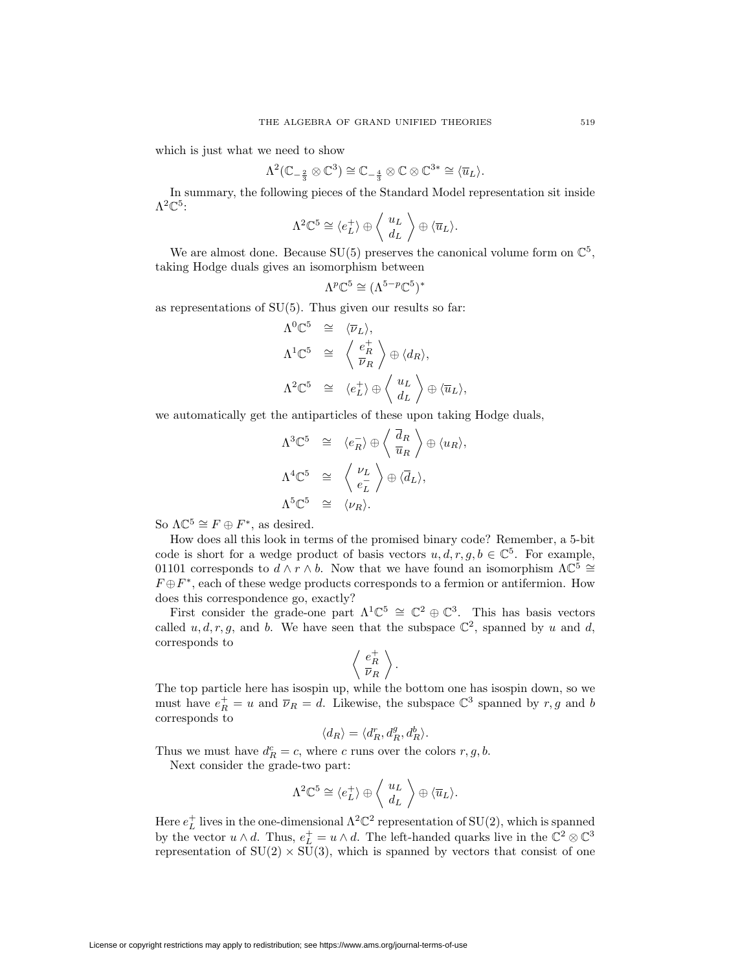which is just what we need to show

$$
\Lambda^2(\mathbb{C}_{-\frac{2}{3}} \otimes \mathbb{C}^3) \cong \mathbb{C}_{-\frac{4}{3}} \otimes \mathbb{C} \otimes \mathbb{C}^{3*} \cong \langle \overline{u}_L \rangle.
$$

In summary, the following pieces of the Standard Model representation sit inside  $\Lambda^2\mathbb{C}^5$ :

$$
\Lambda^2 \mathbb{C}^5 \cong \langle e_L^+ \rangle \oplus \left\langle \begin{array}{c} u_L \\ d_L \end{array} \right\rangle \oplus \langle \overline{u}_L \rangle.
$$

We are almost done. Because SU(5) preserves the canonical volume form on  $\mathbb{C}^5$ , taking Hodge duals gives an isomorphism between

$$
\Lambda^p \mathbb{C}^5 \cong (\Lambda^{5-p} \mathbb{C}^5)^*
$$

as representations of  $SU(5)$ . Thus given our results so far:

$$
\Lambda^0 \mathbb{C}^5 \cong \langle \overline{\nu}_L \rangle,
$$
  
\n
$$
\Lambda^1 \mathbb{C}^5 \cong \left\langle \frac{e_R^+}{\overline{\nu}_R} \right\rangle \oplus \langle d_R \rangle,
$$
  
\n
$$
\Lambda^2 \mathbb{C}^5 \cong \langle e_L^+ \rangle \oplus \left\langle \frac{u_L}{d_L} \right\rangle \oplus \langle \overline{u}_L \rangle,
$$

we automatically get the antiparticles of these upon taking Hodge duals,

$$
\Lambda^3 \mathbb{C}^5 \cong \langle e_R^- \rangle \oplus \langle \frac{\overline{d}_R}{\overline{u}_R} \rangle \oplus \langle u_R \rangle,
$$
  

$$
\Lambda^4 \mathbb{C}^5 \cong \langle \frac{\nu_L}{e_L^-} \rangle \oplus \langle \overline{d}_L \rangle,
$$
  

$$
\Lambda^5 \mathbb{C}^5 \cong \langle \nu_R \rangle.
$$

So  $\Lambda \mathbb{C}^5 \cong F \oplus F^*$ , as desired.

How does all this look in terms of the promised binary code? Remember, a 5-bit code is short for a wedge product of basis vectors  $u, d, r, q, b \in \mathbb{C}^5$ . For example, 01101 corresponds to  $d \wedge r \wedge b$ . Now that we have found an isomorphism  $\Lambda \mathbb{C}^5 \cong$  $F \oplus F^*$ , each of these wedge products corresponds to a fermion or antifermion. How does this correspondence go, exactly?

First consider the grade-one part  $\Lambda^1\mathbb{C}^5 \cong \mathbb{C}^2 \oplus \mathbb{C}^3$ . This has basis vectors called u, d, r, g, and b. We have seen that the subspace  $\mathbb{C}^2$ , spanned by u and d, corresponds to

$$
\left\langle\ \frac{e_R^+}{\overline{\nu}_R}\ \right\rangle.
$$

The top particle here has isospin up, while the bottom one has isospin down, so we must have  $e_R^+ = u$  and  $\overline{\nu}_R = d$ . Likewise, the subspace  $\mathbb{C}^3$  spanned by  $r, g$  and b corresponds to

$$
\langle d_R \rangle = \langle d_R^r, d_R^g, d_R^b \rangle.
$$

Thus we must have  $d_R^c = c$ , where c runs over the colors  $r, g, b$ .

Next consider the grade-two part:

$$
\Lambda^2 \mathbb{C}^5 \cong \langle e_L^+ \rangle \oplus \langle u_L \atop d_L \rangle \oplus \langle \overline{u}_L \rangle.
$$

Here  $e_L^+$  lives in the one-dimensional  $\Lambda^2\mathbb{C}^2$  representation of  $\mathrm{SU}(2)$ , which is spanned by the vector  $u \wedge d$ . Thus,  $e_L^+ = u \wedge d$ . The left-handed quarks live in the  $\mathbb{C}^2 \otimes \mathbb{C}^3$ representation of  $SU(2) \times SU(3)$ , which is spanned by vectors that consist of one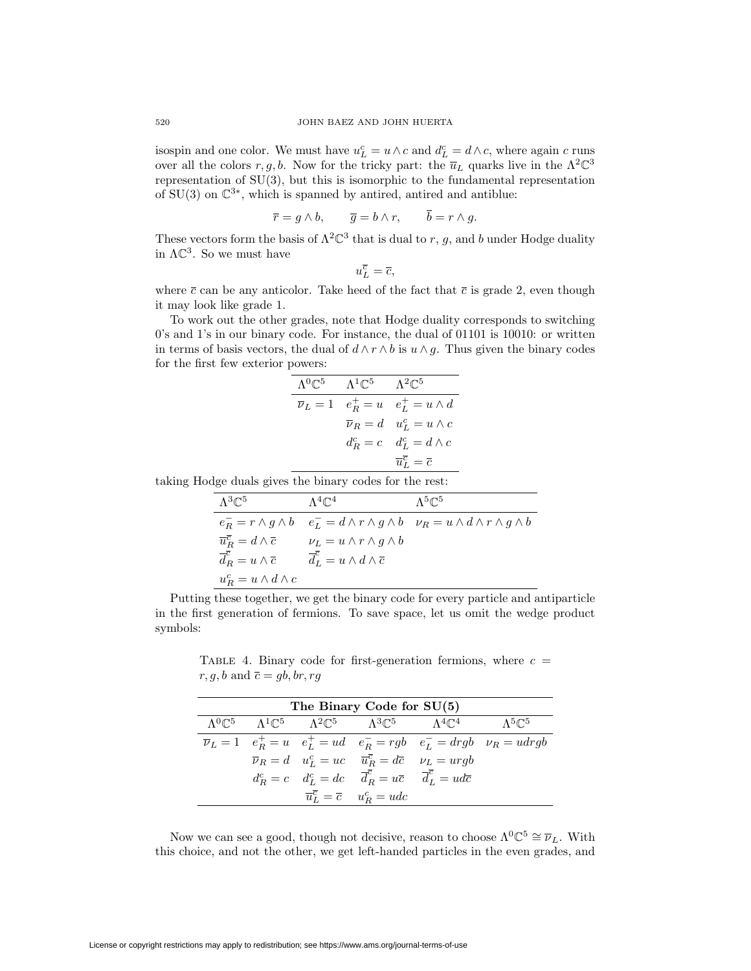isospin and one color. We must have  $u<sub>L</sub><sup>c</sup> = u \wedge c$  and  $d<sub>L</sub><sup>c</sup> = d \wedge c$ , where again c runs over all the colors r, g, b. Now for the tricky part: the  $\overline{u}_L$  quarks live in the  $\Lambda^2\mathbb{C}^3$ representation of SU(3), but this is isomorphic to the fundamental representation of SU(3) on  $\mathbb{C}^{3*}$ , which is spanned by antired, antired and antiblue:

$$
\overline{r} = g \wedge b, \qquad \overline{g} = b \wedge r, \qquad \overline{b} = r \wedge g.
$$

These vectors form the basis of  $\Lambda^2 \mathbb{C}^3$  that is dual to r, g, and b under Hodge duality in  $\Lambda \mathbb{C}^3$ . So we must have

$$
u_L^{\overline{c}} = \overline{c},
$$

where  $\bar{c}$  can be any anticolor. Take heed of the fact that  $\bar{c}$  is grade 2, even though it may look like grade 1.

To work out the other grades, note that Hodge duality corresponds to switching 0's and 1's in our binary code. For instance, the dual of 01101 is 10010: or written in terms of basis vectors, the dual of  $d \wedge r \wedge b$  is  $u \wedge g$ . Thus given the binary codes for the first few exterior powers:

| $\Lambda^0\mathbb{C}^5$ | $\Lambda^1\mathbb{C}^5$ | $\Lambda^2\mathbb{C}^5$                                 |
|-------------------------|-------------------------|---------------------------------------------------------|
|                         |                         | $\overline{\nu}_L = 1$ $e^+_R = u$ $e^+_L = u \wedge d$ |
|                         |                         | $\overline{\nu}_R = d \quad u_L^c = u \wedge c$         |
|                         |                         | $d_R^c = c \quad d_L^c = d \wedge c$                    |
|                         |                         | $\overline{u}_L^{\overline{c}} = \overline{c}$          |

taking Hodge duals gives the binary codes for the rest:

| $\Lambda^3\mathbb{C}^5$                              | $\Lambda^4\mathbb{C}^4$                             | $\Lambda^{5}\mathbb{C}^5$                                                                                            |
|------------------------------------------------------|-----------------------------------------------------|----------------------------------------------------------------------------------------------------------------------|
|                                                      |                                                     | $e^-_B = r \wedge g \wedge b$ $e^-_L = d \wedge r \wedge g \wedge b$ $\nu_R = u \wedge d \wedge r \wedge g \wedge b$ |
| $\overline{u}_B^{\overline{c}}=d\wedge \overline{c}$ | $\nu_L = u \wedge r \wedge q \wedge b$              |                                                                                                                      |
| $\overline{d}_B^{\overline{c}}=u\wedge \overline{c}$ | $\overline{d}^c_L = u \wedge d \wedge \overline{c}$ |                                                                                                                      |
| $u_R^c = u \wedge d \wedge c$                        |                                                     |                                                                                                                      |

Putting these together, we get the binary code for every particle and antiparticle in the first generation of fermions. To save space, let us omit the wedge product symbols:

<span id="page-37-0"></span>TABLE 4. Binary code for first-generation fermions, where  $c =$  $r, g, b$  and  $\overline{c} = gb, br, rg$ 

| The Binary Code for $SU(5)$ |  |  |                                                                                                                                       |                                                                                                                                                                               |                                                                                              |
|-----------------------------|--|--|---------------------------------------------------------------------------------------------------------------------------------------|-------------------------------------------------------------------------------------------------------------------------------------------------------------------------------|----------------------------------------------------------------------------------------------|
|                             |  |  |                                                                                                                                       | $\Lambda^{0}\mathcal{C}^{5}$ $\Lambda^{1}\mathcal{C}^{5}$ $\Lambda^{2}\mathcal{C}^{5}$ $\Lambda^{3}\mathcal{C}^{5}$ $\Lambda^{4}\mathcal{C}^{4}$ $\Lambda^{5}\mathcal{C}^{5}$ |                                                                                              |
|                             |  |  |                                                                                                                                       |                                                                                                                                                                               | $\overline{\nu}_L = 1$ $e^+_R = u$ $e^+_L = ud$ $e^-_R = rgb$ $e^-_L = drgb$ $\nu_R = udrgb$ |
|                             |  |  | $\overline{\nu}_R = d \quad u_L^c = uc \quad \overline{u}_R^{\overline{c}} = d\overline{c} \quad \nu_L = urgb$                        |                                                                                                                                                                               |                                                                                              |
|                             |  |  | $d_R^c = c \quad d_L^c = dc \quad \overline{d}_R^{\overline{c}} = u\overline{c} \quad \overline{d}_L^{\overline{c}} = ud\overline{c}$ |                                                                                                                                                                               |                                                                                              |
|                             |  |  | $\overline{u}_L^{\overline{c}} = \overline{c}$ $u_R^c = udc$                                                                          |                                                                                                                                                                               |                                                                                              |

Now we can see a good, though not decisive, reason to choose  $\Lambda^0\mathbb{C}^5 \cong \overline{\nu}_L$ . With this choice, and not the other, we get left-handed particles in the even grades, and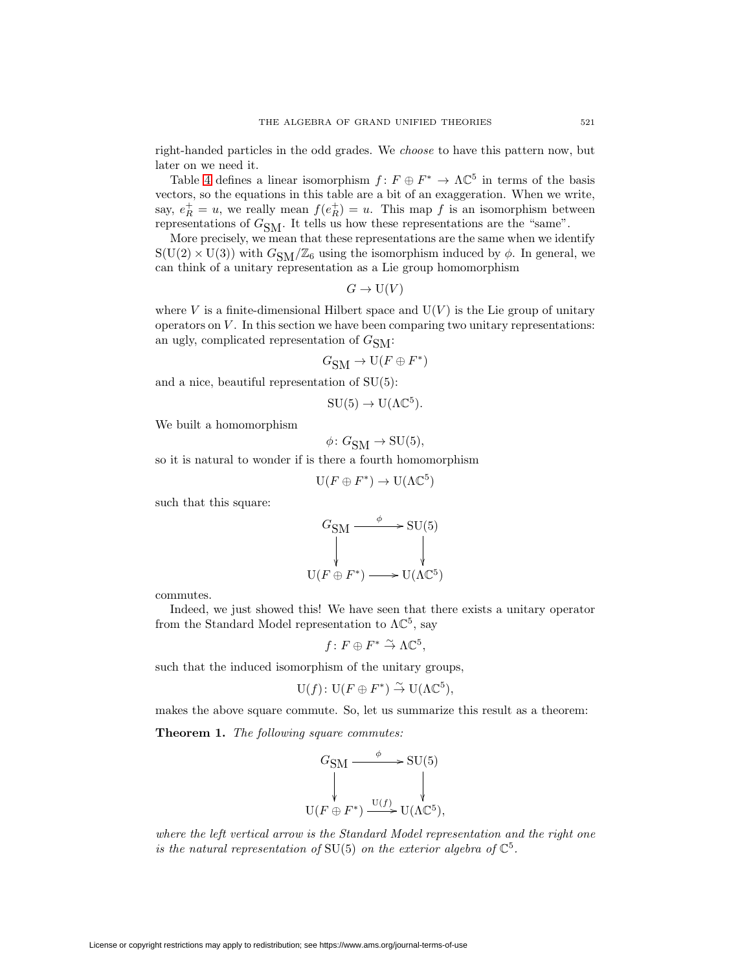right-handed particles in the odd grades. We choose to have this pattern now, but later on we need it.

Table [4](#page-37-0) defines a linear isomorphism  $f: F \oplus F^* \to \Lambda \mathbb{C}^5$  in terms of the basis vectors, so the equations in this table are a bit of an exaggeration. When we write, say,  $e_R^+ = u$ , we really mean  $f(e_R^+) = u$ . This map f is an isomorphism between representations of  $G<sub>SM</sub>$ . It tells us how these representations are the "same".

More precisely, we mean that these representations are the same when we identify  $S(U(2) \times U(3))$  with  $G<sub>SM</sub>/\mathbb{Z}_6$  using the isomorphism induced by  $\phi$ . In general, we can think of a unitary representation as a Lie group homomorphism

$$
G \to U(V)
$$

where V is a finite-dimensional Hilbert space and  $U(V)$  is the Lie group of unitary operators on  $V$ . In this section we have been comparing two unitary representations: an ugly, complicated representation of  $G_{\text{SM}}$ :

$$
G_{\text{SM}} \to \mathrm{U}(F \oplus F^*)
$$

and a nice, beautiful representation of SU(5):

 $SU(5) \rightarrow U(\Lambda \mathbb{C}^5)$ .

We built a homomorphism

 $\phi\colon G_{\text{SM}} \to \text{SU}(5),$ 

so it is natural to wonder if is there a fourth homomorphism

 $U(F \oplus F^*) \to U(\Lambda \mathbb{C}^5)$ 

such that this square:

$$
G_{\text{SM}} \xrightarrow{\phi} \text{SU}(5)
$$
  
\n
$$
\downarrow \qquad \qquad \downarrow
$$
  
\n
$$
\text{U}(F \oplus F^*) \longrightarrow \text{U}(\Lambda \mathbb{C}^5)
$$

commutes.

Indeed, we just showed this! We have seen that there exists a unitary operator from the Standard Model representation to  $\Lambda \mathbb{C}^5$ , say

$$
f\colon F\oplus F^*\stackrel{\sim}{\to} \Lambda{\mathbb{C}}^5,
$$

such that the induced isomorphism of the unitary groups,

$$
U(f) \colon U(F \oplus F^*) \stackrel{\sim}{\to} U(\Lambda \mathbb{C}^5),
$$

<span id="page-38-0"></span>makes the above square commute. So, let us summarize this result as a theorem:

**Theorem 1.** The following square commutes:

$$
G_{\text{SM}} \xrightarrow{\phi} \text{SU}(5)
$$
  
\n
$$
\downarrow \qquad \qquad \downarrow
$$
  
\n
$$
\text{U}(F \oplus F^*) \xrightarrow{\text{U}(f)} \text{U}(\Lambda \mathbb{C}^5),
$$

where the left vertical arrow is the Standard Model representation and the right one is the natural representation of SU(5) on the exterior algebra of  $\mathbb{C}^5$ .

License or copyright restrictions may apply to redistribution; see https://www.ams.org/journal-terms-of-use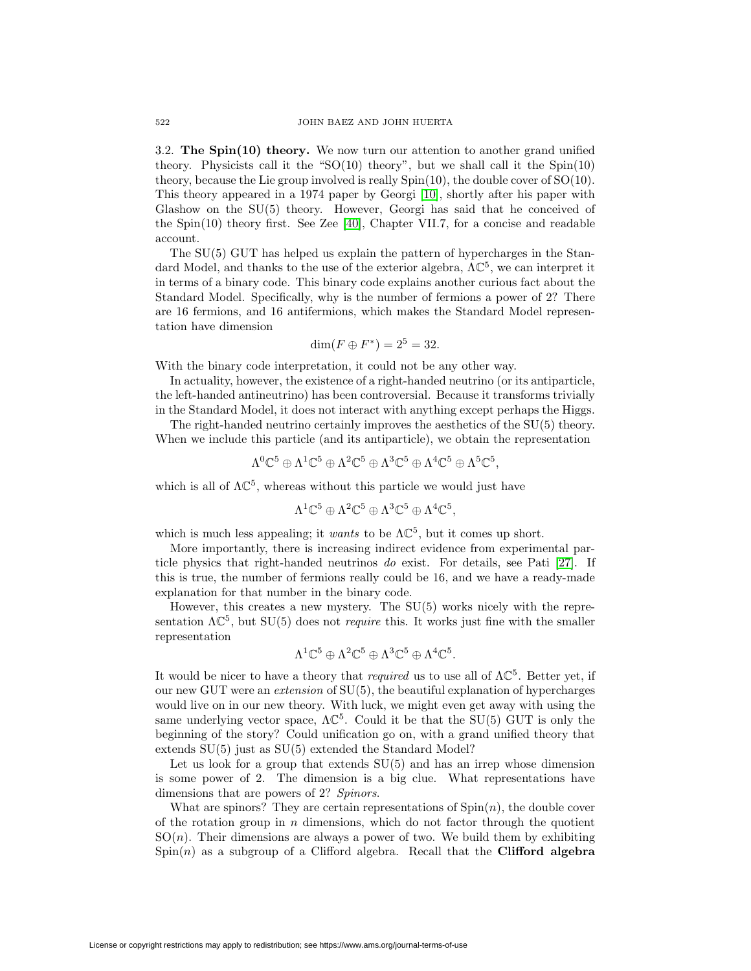<span id="page-39-0"></span>3.2. **The Spin(10) theory.** We now turn our attention to another grand unified theory. Physicists call it the "SO(10) theory", but we shall call it the  $Spin(10)$ theory, because the Lie group involved is really Spin(10), the double cover of SO(10). This theory appeared in a 1974 paper by Georgi [\[10\]](#page-68-27), shortly after his paper with Glashow on the SU(5) theory. However, Georgi has said that he conceived of the Spin(10) theory first. See Zee [\[40\]](#page-69-0), Chapter VII.7, for a concise and readable account.

The SU(5) GUT has helped us explain the pattern of hypercharges in the Standard Model, and thanks to the use of the exterior algebra,  $\Lambda \mathbb{C}^5$ , we can interpret it in terms of a binary code. This binary code explains another curious fact about the Standard Model. Specifically, why is the number of fermions a power of 2? There are 16 fermions, and 16 antifermions, which makes the Standard Model representation have dimension

$$
\dim(F \oplus F^*) = 2^5 = 32.
$$

With the binary code interpretation, it could not be any other way.

In actuality, however, the existence of a right-handed neutrino (or its antiparticle, the left-handed antineutrino) has been controversial. Because it transforms trivially in the Standard Model, it does not interact with anything except perhaps the Higgs.

The right-handed neutrino certainly improves the aesthetics of the SU(5) theory. When we include this particle (and its antiparticle), we obtain the representation

$$
\Lambda^0\mathbb{C}^5\oplus \Lambda^1\mathbb{C}^5\oplus \Lambda^2\mathbb{C}^5\oplus \Lambda^3\mathbb{C}^5\oplus \Lambda^4\mathbb{C}^5\oplus \Lambda^5\mathbb{C}^5,
$$

which is all of  $\Lambda \mathbb{C}^5$ , whereas without this particle we would just have

$$
\Lambda^1\mathbb{C}^5\oplus\Lambda^2\mathbb{C}^5\oplus\Lambda^3\mathbb{C}^5\oplus\Lambda^4\mathbb{C}^5,
$$

which is much less appealing; it wants to be  $\Lambda \mathbb{C}^5$ , but it comes up short.

More importantly, there is increasing indirect evidence from experimental particle physics that right-handed neutrinos do exist. For details, see Pati [\[27\]](#page-68-1). If this is true, the number of fermions really could be 16, and we have a ready-made explanation for that number in the binary code.

However, this creates a new mystery. The SU(5) works nicely with the representation  $\Lambda \mathbb{C}^5$ , but SU(5) does not *require* this. It works just fine with the smaller representation

$$
\Lambda^1\mathbb{C}^5\oplus\Lambda^2\mathbb{C}^5\oplus\Lambda^3\mathbb{C}^5\oplus\Lambda^4\mathbb{C}^5.
$$

It would be nicer to have a theory that *required* us to use all of  $\Lambda \mathbb{C}^5$ . Better yet, if our new GUT were an extension of SU(5), the beautiful explanation of hypercharges would live on in our new theory. With luck, we might even get away with using the same underlying vector space,  $\Lambda \mathbb{C}^5$ . Could it be that the SU(5) GUT is only the beginning of the story? Could unification go on, with a grand unified theory that extends SU(5) just as SU(5) extended the Standard Model?

Let us look for a group that extends  $SU(5)$  and has an irrep whose dimension is some power of 2. The dimension is a big clue. What representations have dimensions that are powers of 2? Spinors.

What are spinors? They are certain representations of  $Spin(n)$ , the double cover of the rotation group in  $n$  dimensions, which do not factor through the quotient  $SO(n)$ . Their dimensions are always a power of two. We build them by exhibiting  $Spin(n)$  as a subgroup of a Clifford algebra. Recall that the **Clifford algebra**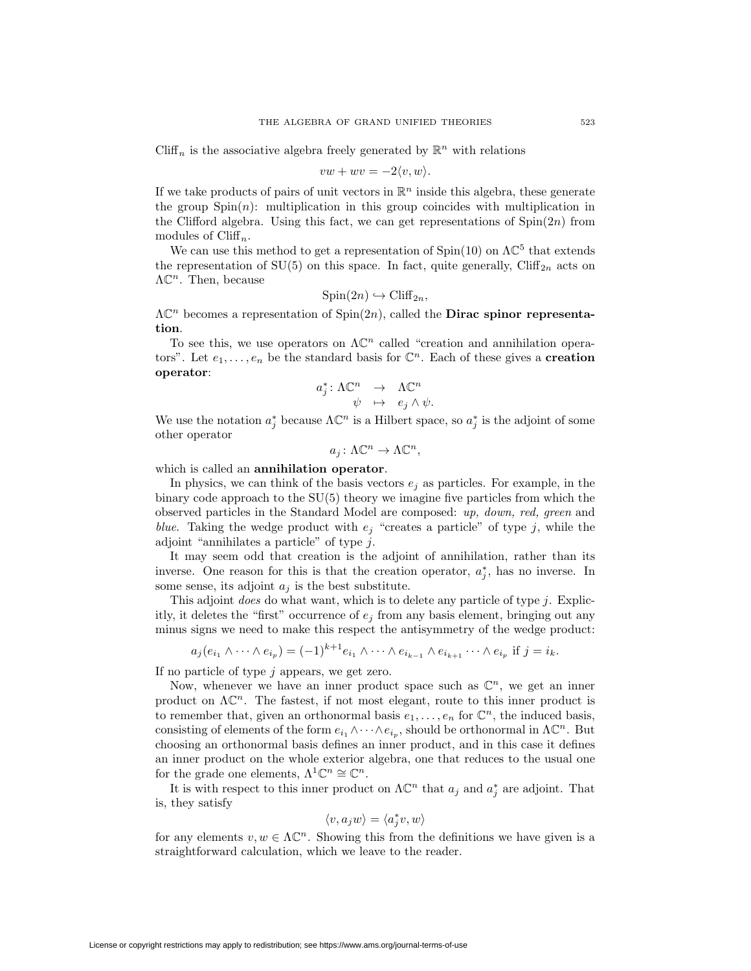$Cliff_n$  is the associative algebra freely generated by  $\mathbb{R}^n$  with relations

$$
vw + wv = -2\langle v, w \rangle.
$$

If we take products of pairs of unit vectors in  $\mathbb{R}^n$  inside this algebra, these generate the group  $Spin(n)$ : multiplication in this group coincides with multiplication in the Clifford algebra. Using this fact, we can get representations of  $Spin(2n)$  from modules of  $Cliff_n$ .

We can use this method to get a representation of  $Spin(10)$  on  $\Lambda \mathbb{C}^5$  that extends the representation of  $SU(5)$  on this space. In fact, quite generally,  $Cliff_{2n}$  acts on  $\Lambda \mathbb{C}^n$ . Then, because

$$
Spin(2n) \hookrightarrow \text{Cliff}_{2n},
$$

ΛC<sup>n</sup> becomes a representation of Spin(2n), called the **Dirac spinor representation**.

To see this, we use operators on  $\Lambda \mathbb{C}^n$  called "creation and annihilation operators". Let  $e_1, \ldots, e_n$  be the standard basis for  $\mathbb{C}^n$ . Each of these gives a **creation operator**:

$$
\begin{array}{rcl} a_j^*\colon \Lambda\mathbb{C}^n & \to & \Lambda\mathbb{C}^n\\ \psi & \mapsto & e_j\wedge\psi. \end{array}
$$

We use the notation  $a_j^*$  because  $\Lambda \mathbb{C}^n$  is a Hilbert space, so  $a_j^*$  is the adjoint of some other operator

$$
a_j \colon \Lambda \mathbb{C}^n \to \Lambda \mathbb{C}^n,
$$

which is called an **annihilation operator**.

In physics, we can think of the basis vectors  $e_j$  as particles. For example, in the binary code approach to the SU(5) theory we imagine five particles from which the observed particles in the Standard Model are composed: up, down, red, green and blue. Taking the wedge product with  $e_i$  "creates a particle" of type j, while the adjoint "annihilates a particle" of type  $j$ .

It may seem odd that creation is the adjoint of annihilation, rather than its inverse. One reason for this is that the creation operator,  $a_j^*$ , has no inverse. In some sense, its adjoint  $a_i$  is the best substitute.

This adjoint *does* do what want, which is to delete any particle of type j. Explicitly, it deletes the "first" occurrence of  $e_i$  from any basis element, bringing out any minus signs we need to make this respect the antisymmetry of the wedge product:

$$
a_j(e_{i_1} \wedge \cdots \wedge e_{i_p}) = (-1)^{k+1} e_{i_1} \wedge \cdots \wedge e_{i_{k-1}} \wedge e_{i_{k+1}} \cdots \wedge e_{i_p} \text{ if } j = i_k.
$$

If no particle of type  $j$  appears, we get zero.

Now, whenever we have an inner product space such as  $\mathbb{C}^n$ , we get an inner product on  $\Lambda \mathbb{C}^n$ . The fastest, if not most elegant, route to this inner product is to remember that, given an orthonormal basis  $e_1, \ldots, e_n$  for  $\mathbb{C}^n$ , the induced basis, consisting of elements of the form  $e_{i_1} \wedge \cdots \wedge e_{i_p}$ , should be orthonormal in  $\Lambda \mathbb{C}^n$ . But choosing an orthonormal basis defines an inner product, and in this case it defines an inner product on the whole exterior algebra, one that reduces to the usual one for the grade one elements,  $\Lambda^1 \mathbb{C}^n \cong \mathbb{C}^n$ .

It is with respect to this inner product on  $\Lambda \mathbb{C}^n$  that  $a_j$  and  $a_j^*$  are adjoint. That is, they satisfy

$$
\langle v, a_j w \rangle = \langle a_j^* v, w \rangle
$$

for any elements  $v, w \in \Lambda\mathbb{C}^n$ . Showing this from the definitions we have given is a straightforward calculation, which we leave to the reader.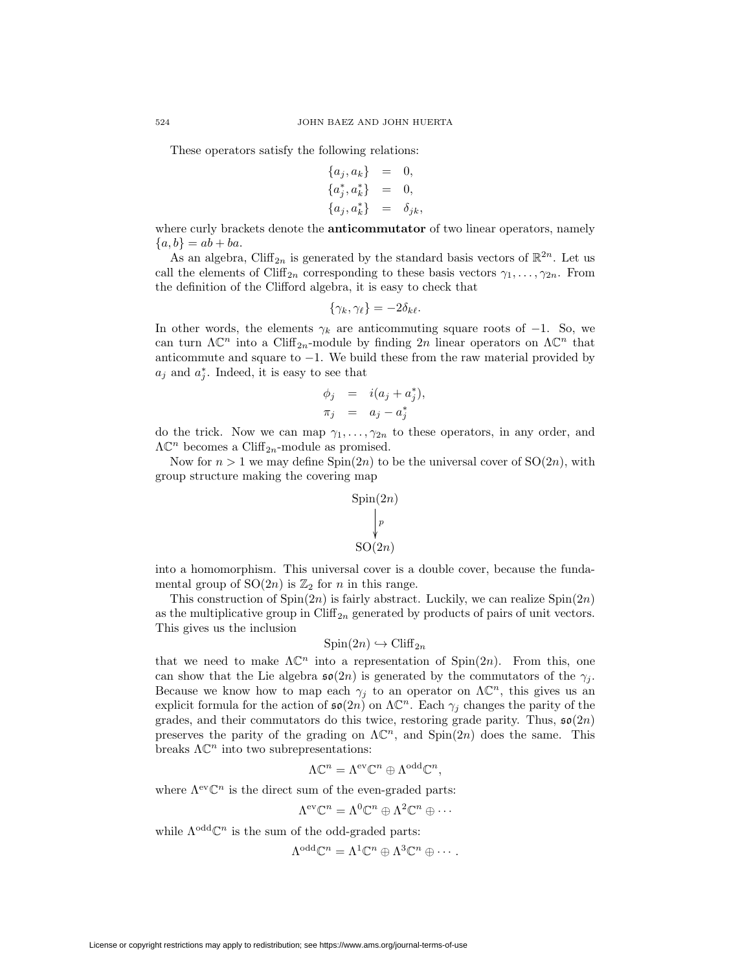These operators satisfy the following relations:

$$
\begin{aligned}\n\{a_j, a_k\} &= 0, \\
\{a_j^*, a_k^*\} &= 0, \\
\{a_j, a_k^*\} &= \delta_{jk},\n\end{aligned}
$$

where curly brackets denote the **anticommutator** of two linear operators, namely  ${a, b} = ab + ba.$ 

As an algebra, Cliff<sub>2n</sub> is generated by the standard basis vectors of  $\mathbb{R}^{2n}$ . Let us call the elements of Cliff<sub>2n</sub> corresponding to these basis vectors  $\gamma_1, \ldots, \gamma_{2n}$ . From the definition of the Clifford algebra, it is easy to check that

$$
\{\gamma_k,\gamma_\ell\}=-2\delta_{k\ell}.
$$

In other words, the elements  $\gamma_k$  are anticommuting square roots of −1. So, we can turn  $\Lambda \mathbb{C}^n$  into a Cliff<sub>2n</sub>-module by finding 2n linear operators on  $\Lambda \mathbb{C}^n$  that anticommute and square to −1. We build these from the raw material provided by  $a_j$  and  $a_j^*$ . Indeed, it is easy to see that

$$
\begin{array}{rcl}\n\phi_j & = & i(a_j + a_j^*), \\
\pi_j & = & a_j - a_j^*\n\end{array}
$$

do the trick. Now we can map  $\gamma_1, \ldots, \gamma_{2n}$  to these operators, in any order, and  $\Lambda \mathbb{C}^n$  becomes a Cliff<sub>2n</sub>-module as promised.

Now for  $n > 1$  we may define  $\text{Spin}(2n)$  to be the universal cover of  $\text{SO}(2n)$ , with group structure making the covering map

$$
\begin{array}{c}\n\text{Spin}(2n) \\
\downarrow^{p} \\
\text{SO}(2n)\n\end{array}
$$

into a homomorphism. This universal cover is a double cover, because the fundamental group of  $SO(2n)$  is  $\mathbb{Z}_2$  for n in this range.

This construction of  $Spin(2n)$  is fairly abstract. Luckily, we can realize  $Spin(2n)$ as the multiplicative group in  $Cliff_{2n}$  generated by products of pairs of unit vectors. This gives us the inclusion

$$
Spin(2n) \hookrightarrow \text{Cliff}_{2n}
$$

that we need to make  $\Lambda \mathbb{C}^n$  into a representation of Spin(2n). From this, one can show that the Lie algebra  $\mathfrak{so}(2n)$  is generated by the commutators of the  $\gamma_i$ . Because we know how to map each  $\gamma_j$  to an operator on  $\Lambda \mathbb{C}^n$ , this gives us an explicit formula for the action of  $\mathfrak{so}(2n)$  on  $\Lambda \mathbb{C}^n$ . Each  $\gamma_i$  changes the parity of the grades, and their commutators do this twice, restoring grade parity. Thus,  $\mathfrak{so}(2n)$ preserves the parity of the grading on  $\Lambda\mathbb{C}^n$ , and  $\text{Spin}(2n)$  does the same. This breaks  $\Lambda \mathbb{C}^n$  into two subrepresentations:

$$
\Lambda \mathbb{C}^n = \Lambda^{\mathrm{ev}} \mathbb{C}^n \oplus \Lambda^{\mathrm{odd}} \mathbb{C}^n,
$$

where  $\Lambda^{ev}\mathbb{C}^n$  is the direct sum of the even-graded parts:

$$
\Lambda^{\mathrm{ev}}\mathbb{C}^n=\Lambda^0\mathbb{C}^n\oplus\Lambda^2\mathbb{C}^n\oplus\cdots
$$

while  $\Lambda^{odd}\mathbb{C}^n$  is the sum of the odd-graded parts:

$$
\Lambda^{\text{odd}}\mathbb{C}^n=\Lambda^1\mathbb{C}^n\oplus\Lambda^3\mathbb{C}^n\oplus\cdots.
$$

License or copyright restrictions may apply to redistribution; see https://www.ams.org/journal-terms-of-use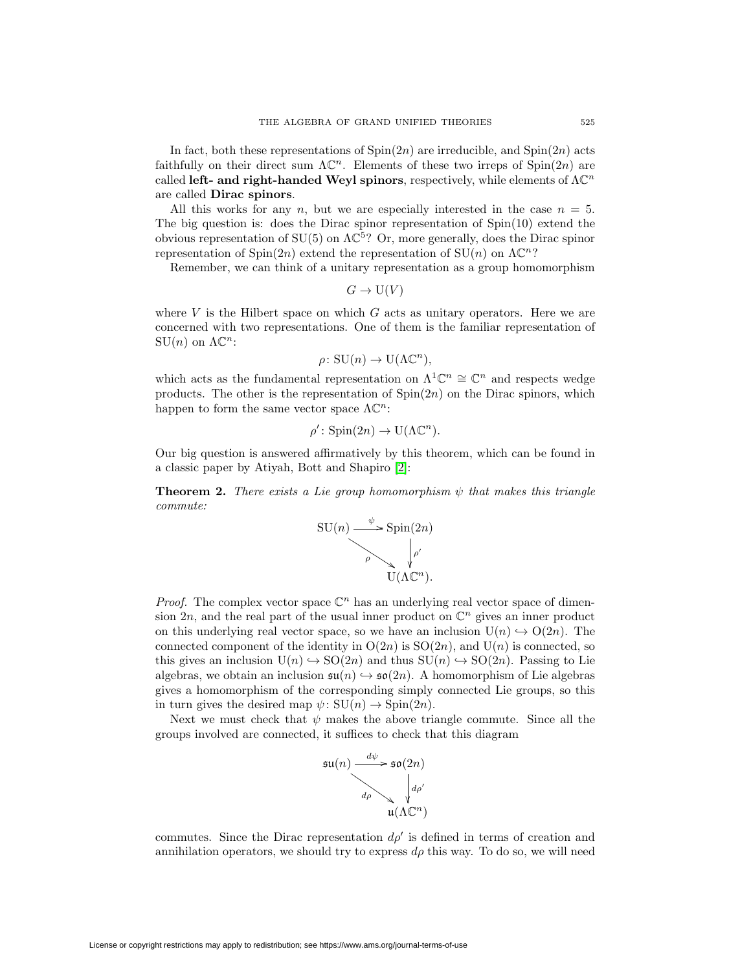In fact, both these representations of  $\text{Spin}(2n)$  are irreducible, and  $\text{Spin}(2n)$  acts faithfully on their direct sum  $\Lambda\mathbb{C}^n$ . Elements of these two irreps of  $Spin(2n)$  are called **left- and right-handed Weyl spinors**, respectively, while elements of  $\Lambda\mathbb{C}^n$ are called **Dirac spinors**.

All this works for any n, but we are especially interested in the case  $n = 5$ . The big question is: does the Dirac spinor representation of Spin(10) extend the obvious representation of  $SU(5)$  on  $\Lambda \mathbb{C}^5$ ? Or, more generally, does the Dirac spinor representation of Spin(2n) extend the representation of  $SU(n)$  on  $\Lambda \mathbb{C}^n$ ?

Remember, we can think of a unitary representation as a group homomorphism

$$
G \to U(V)
$$

where  $V$  is the Hilbert space on which  $G$  acts as unitary operators. Here we are concerned with two representations. One of them is the familiar representation of  $SU(n)$  on  $\Lambda \mathbb{C}^n$ :

$$
\rho\colon \mathrm{SU}(n)\to \mathrm{U}(\Lambda\mathbb{C}^n),
$$

which acts as the fundamental representation on  $\Lambda^1\mathbb{C}^n \cong \mathbb{C}^n$  and respects wedge products. The other is the representation of  $Spin(2n)$  on the Dirac spinors, which happen to form the same vector space  $\Lambda \mathbb{C}^n$ :

$$
\rho' \colon \text{Spin}(2n) \to \text{U}(\Lambda \mathbb{C}^n).
$$

<span id="page-42-0"></span>Our big question is answered affirmatively by this theorem, which can be found in a classic paper by Atiyah, Bott and Shapiro [\[2\]](#page-67-6):

**Theorem 2.** There exists a Lie group homomorphism  $\psi$  that makes this triangle commute:



*Proof.* The complex vector space  $\mathbb{C}^n$  has an underlying real vector space of dimension  $2n$ , and the real part of the usual inner product on  $\mathbb{C}^n$  gives an inner product on this underlying real vector space, so we have an inclusion  $U(n) \hookrightarrow O(2n)$ . The connected component of the identity in  $O(2n)$  is  $SO(2n)$ , and  $U(n)$  is connected, so this gives an inclusion  $U(n) \hookrightarrow SO(2n)$  and thus  $SU(n) \hookrightarrow SO(2n)$ . Passing to Lie algebras, we obtain an inclusion  $\mathfrak{su}(n) \hookrightarrow \mathfrak{so}(2n)$ . A homomorphism of Lie algebras gives a homomorphism of the corresponding simply connected Lie groups, so this in turn gives the desired map  $\psi: SU(n) \to Spin(2n)$ .

Next we must check that  $\psi$  makes the above triangle commute. Since all the groups involved are connected, it suffices to check that this diagram



commutes. Since the Dirac representation  $d\rho'$  is defined in terms of creation and annihilation operators, we should try to express  $d\rho$  this way. To do so, we will need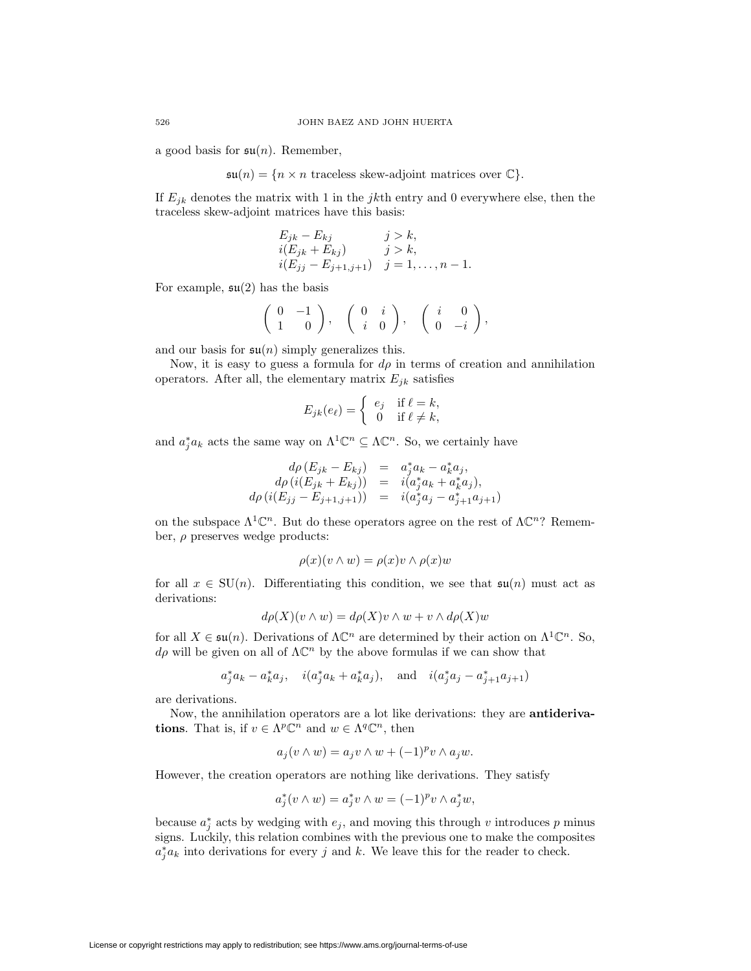a good basis for  $\mathfrak{su}(n)$ . Remember,

 $\mathfrak{su}(n) = \{n \times n \text{ traceless skew-adjoint matrices over } \mathbb{C}\}.$ 

If  $E_{jk}$  denotes the matrix with 1 in the jkth entry and 0 everywhere else, then the traceless skew-adjoint matrices have this basis:

$$
E_{jk} - E_{kj} \t j > k,\ni(E_{jk} + E_{kj}) \t j > k,\ni(E_{jj} - E_{j+1,j+1}) \t j = 1, ..., n - 1.
$$

For example,  $\mathfrak{su}(2)$  has the basis

$$
\left(\begin{array}{cc} 0 & -1 \\ 1 & 0 \end{array}\right), \quad \left(\begin{array}{cc} 0 & i \\ i & 0 \end{array}\right), \quad \left(\begin{array}{cc} i & 0 \\ 0 & -i \end{array}\right),
$$

and our basis for  $\mathfrak{su}(n)$  simply generalizes this.

Now, it is easy to guess a formula for  $d\rho$  in terms of creation and annihilation operators. After all, the elementary matrix  $E_{ik}$  satisfies

$$
E_{jk}(e_{\ell}) = \begin{cases} e_j & \text{if } \ell = k, \\ 0 & \text{if } \ell \neq k, \end{cases}
$$

and  $a_j^* a_k$  acts the same way on  $\Lambda^1 \mathbb{C}^n \subseteq \Lambda \mathbb{C}^n$ . So, we certainly have

$$
d\rho(E_{jk} - E_{kj}) = a_j^* a_k - a_k^* a_j,
$$
  
\n
$$
d\rho(i(E_{jk} + E_{kj})) = i(a_j^* a_k + a_k^* a_j),
$$
  
\n
$$
d\rho(i(E_{jj} - E_{j+1,j+1})) = i(a_j^* a_j - a_{j+1}^* a_{j+1})
$$

on the subspace  $\Lambda^1 \mathbb{C}^n$ . But do these operators agree on the rest of  $\Lambda \mathbb{C}^n$ ? Remember,  $\rho$  preserves wedge products:

$$
\rho(x)(v \wedge w) = \rho(x)v \wedge \rho(x)w
$$

for all  $x \in SU(n)$ . Differentiating this condition, we see that  $\mathfrak{su}(n)$  must act as derivations:

$$
d\rho(X)(v \wedge w) = d\rho(X)v \wedge w + v \wedge d\rho(X)w
$$

for all  $X \in \mathfrak{su}(n)$ . Derivations of  $\Lambda \mathbb{C}^n$  are determined by their action on  $\Lambda^1 \mathbb{C}^n$ . So,  $d\rho$  will be given on all of  $\Lambda \mathbb{C}^n$  by the above formulas if we can show that

$$
a_j^* a_k - a_k^* a_j
$$
,  $i(a_j^* a_k + a_k^* a_j)$ , and  $i(a_j^* a_j - a_{j+1}^* a_{j+1})$ 

are derivations.

Now, the annihilation operators are a lot like derivations: they are **antiderivations**. That is, if  $v \in \Lambda^p \mathbb{C}^n$  and  $w \in \Lambda^q \mathbb{C}^n$ , then

$$
a_j(v \wedge w) = a_j v \wedge w + (-1)^p v \wedge a_j w.
$$

However, the creation operators are nothing like derivations. They satisfy

$$
a_j^*(v \wedge w) = a_j^* v \wedge w = (-1)^p v \wedge a_j^* w,
$$

because  $a_j^*$  acts by wedging with  $e_j$ , and moving this through v introduces p minus signs. Luckily, this relation combines with the previous one to make the composites  $a_j^* a_k$  into derivations for every j and k. We leave this for the reader to check.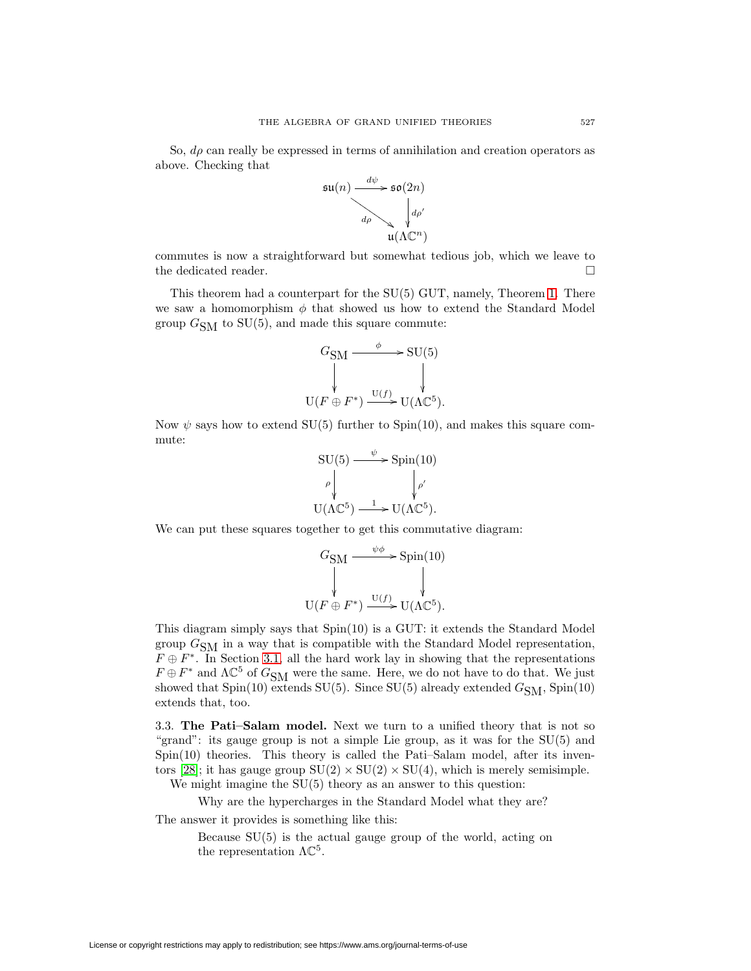So,  $d\rho$  can really be expressed in terms of annihilation and creation operators as above. Checking that



commutes is now a straightforward but somewhat tedious job, which we leave to the dedicated reader.

This theorem had a counterpart for the SU(5) GUT, namely, Theorem [1.](#page-38-0) There we saw a homomorphism  $\phi$  that showed us how to extend the Standard Model group  $G_{\text{SM}}$  to SU(5), and made this square commute:

$$
G_{\text{SM}} \xrightarrow{\phi} \text{SU}(5)
$$
  
\n
$$
\downarrow \qquad \qquad \downarrow
$$
  
\n
$$
\text{U}(F \oplus F^*) \xrightarrow{\text{U}(f)} \text{U}(\Lambda \mathbb{C}^5).
$$

Now  $\psi$  says how to extend SU(5) further to Spin(10), and makes this square commute:

$$
\text{SU}(5) \xrightarrow{\psi} \text{Spin}(10)
$$
\n
$$
\rho \downarrow \qquad \qquad \downarrow \rho'
$$
\n
$$
\text{U}(\Lambda \mathbb{C}^5) \xrightarrow{1} \text{U}(\Lambda \mathbb{C}^5).
$$

We can put these squares together to get this commutative diagram:

$$
G_{\text{SM}} \xrightarrow{\psi \phi} \text{Spin}(10)
$$
\n
$$
\downarrow \qquad \qquad \downarrow
$$
\n
$$
U(F \oplus F^*) \xrightarrow{U(f)} U(\Lambda \mathbb{C}^5).
$$

This diagram simply says that  $Spin(10)$  is a GUT: it extends the Standard Model group  $G_{\text{SM}}$  in a way that is compatible with the Standard Model representation,  $F \oplus F^*$ . In Section [3.1,](#page-29-0) all the hard work lay in showing that the representations  $F \oplus F^*$  and  $\Lambda \mathbb{C}^5$  of  $G_{\text{SM}}$  were the same. Here, we do not have to do that. We just showed that  $Spin(10)$  extends  $SU(5)$ . Since  $SU(5)$  already extended  $G<sub>SM</sub>$ ,  $Spin(10)$ extends that, too.

<span id="page-44-0"></span>3.3. **The Pati–Salam model.** Next we turn to a unified theory that is not so "grand": its gauge group is not a simple Lie group, as it was for the SU(5) and  $Spin(10)$  theories. This theory is called the Pati–Salam model, after its inven-tors [\[28\]](#page-68-28); it has gauge group  $SU(2) \times SU(2) \times SU(4)$ , which is merely semisimple.

We might imagine the  $SU(5)$  theory as an answer to this question:

Why are the hypercharges in the Standard Model what they are?

The answer it provides is something like this:

Because SU(5) is the actual gauge group of the world, acting on the representation  $\Lambda \mathbb{C}^5$ .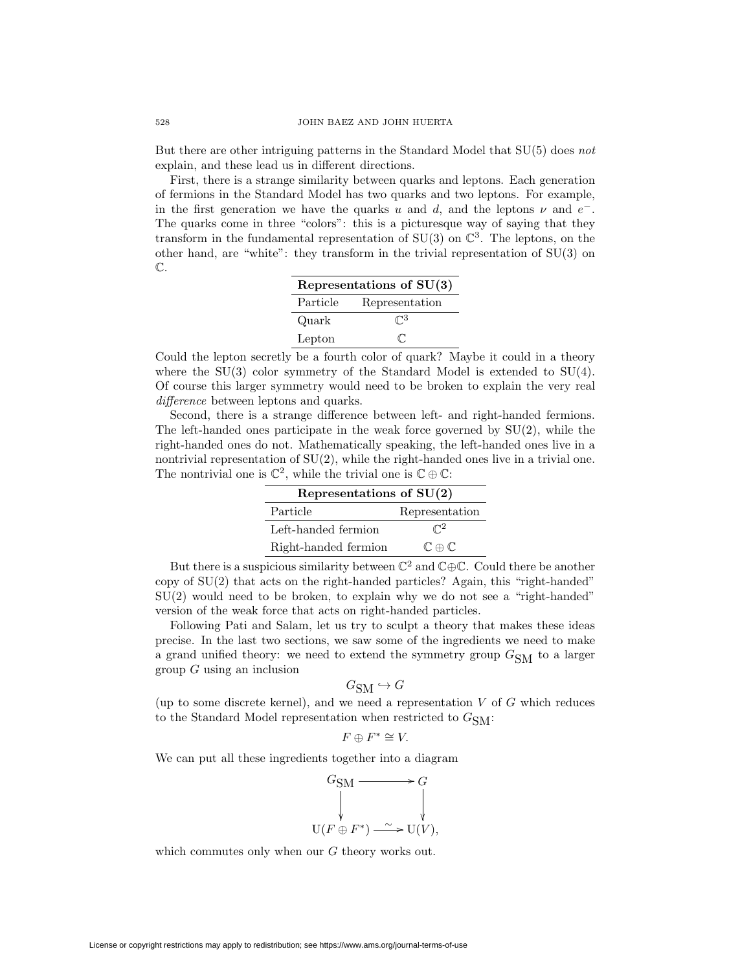But there are other intriguing patterns in the Standard Model that SU(5) does not explain, and these lead us in different directions.

First, there is a strange similarity between quarks and leptons. Each generation of fermions in the Standard Model has two quarks and two leptons. For example, in the first generation we have the quarks u and d, and the leptons  $\nu$  and  $e^-$ . The quarks come in three "colors": this is a picturesque way of saying that they transform in the fundamental representation of  $SU(3)$  on  $\mathbb{C}^3$ . The leptons, on the other hand, are "white": they transform in the trivial representation of  $SU(3)$  on C.

| Representations of $SU(3)$ |                           |  |
|----------------------------|---------------------------|--|
| Particle                   | Representation            |  |
| Quark                      | $\mathbb{C}^3$            |  |
| Lepton                     | $\mathbb{C}^{\mathbb{C}}$ |  |

Could the lepton secretly be a fourth color of quark? Maybe it could in a theory where the  $SU(3)$  color symmetry of the Standard Model is extended to  $SU(4)$ . Of course this larger symmetry would need to be broken to explain the very real difference between leptons and quarks.

Second, there is a strange difference between left- and right-handed fermions. The left-handed ones participate in the weak force governed by  $SU(2)$ , while the right-handed ones do not. Mathematically speaking, the left-handed ones live in a nontrivial representation of  $SU(2)$ , while the right-handed ones live in a trivial one. The nontrivial one is  $\mathbb{C}^2$ , while the trivial one is  $\mathbb{C} \oplus \mathbb{C}$ :

| Representations of $SU(2)$ |                              |  |
|----------------------------|------------------------------|--|
| Particle                   | Representation               |  |
| Left-handed fermion        | $\mathbb{C}^2$               |  |
| Right-handed fermion       | $\mathbb{C}\oplus\mathbb{C}$ |  |

But there is a suspicious similarity between  $\mathbb{C}^2$  and  $\mathbb{C}\oplus\mathbb{C}$ . Could there be another copy of  $SU(2)$  that acts on the right-handed particles? Again, this "right-handed" SU(2) would need to be broken, to explain why we do not see a "right-handed" version of the weak force that acts on right-handed particles.

Following Pati and Salam, let us try to sculpt a theory that makes these ideas precise. In the last two sections, we saw some of the ingredients we need to make a grand unified theory: we need to extend the symmetry group  $G_{\text{SM}}$  to a larger group  $G$  using an inclusion

$$
G_{\text{SM}} \hookrightarrow G
$$

(up to some discrete kernel), and we need a representation  $V$  of  $G$  which reduces to the Standard Model representation when restricted to  $G_{\rm SM}$ :

$$
F\oplus F^*\cong V.
$$

We can put all these ingredients together into a diagram



which commutes only when our  $G$  theory works out.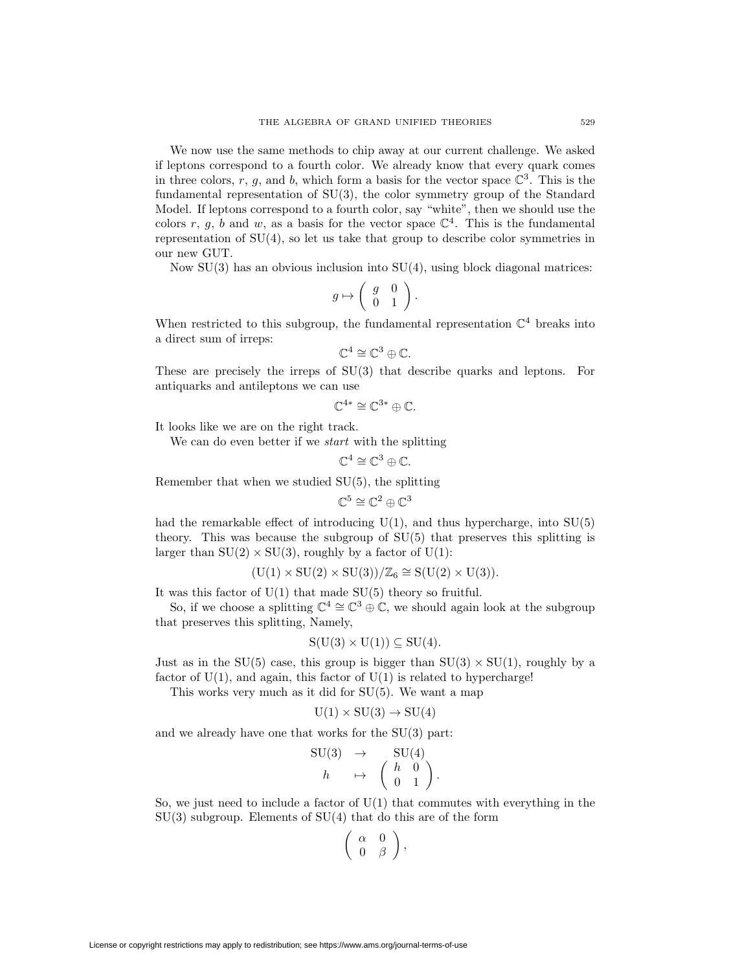We now use the same methods to chip away at our current challenge. We asked if leptons correspond to a fourth color. We already know that every quark comes in three colors, r, g, and b, which form a basis for the vector space  $\mathbb{C}^3$ . This is the fundamental representation of SU(3), the color symmetry group of the Standard Model. If leptons correspond to a fourth color, say "white", then we should use the colors r, q, b and w, as a basis for the vector space  $\mathbb{C}^4$ . This is the fundamental representation of  $SU(4)$ , so let us take that group to describe color symmetries in our new GUT.

Now  $SU(3)$  has an obvious inclusion into  $SU(4)$ , using block diagonal matrices:

$$
g \mapsto \left( \begin{array}{cc} g & 0 \\ 0 & 1 \end{array} \right).
$$

When restricted to this subgroup, the fundamental representation  $\mathbb{C}^4$  breaks into a direct sum of irreps:

$$
\mathbb{C}^4\cong \mathbb{C}^3\oplus \mathbb{C}.
$$

These are precisely the irreps of SU(3) that describe quarks and leptons. For antiquarks and antileptons we can use

$$
\mathbb{C}^{4*}\cong \mathbb{C}^{3*}\oplus \mathbb{C}.
$$

It looks like we are on the right track.

We can do even better if we *start* with the splitting

$$
\mathbb{C}^4 \cong \mathbb{C}^3 \oplus \mathbb{C}.
$$

Remember that when we studied SU(5), the splitting

$$
\mathbb{C}^5\cong\mathbb{C}^2\oplus\mathbb{C}^3
$$

had the remarkable effect of introducing  $U(1)$ , and thus hypercharge, into  $SU(5)$ theory. This was because the subgroup of SU(5) that preserves this splitting is larger than  $SU(2) \times SU(3)$ , roughly by a factor of  $U(1)$ :

$$
(U(1) \times SU(2) \times SU(3))/\mathbb{Z}_6 \cong S(U(2) \times U(3)).
$$

It was this factor of  $U(1)$  that made  $SU(5)$  theory so fruitful.

So, if we choose a splitting  $\mathbb{C}^4 \cong \mathbb{C}^3 \oplus \mathbb{C}$ , we should again look at the subgroup that preserves this splitting, Namely,

$$
S(U(3) \times U(1)) \subseteq SU(4).
$$

Just as in the SU(5) case, this group is bigger than  $SU(3) \times SU(1)$ , roughly by a factor of  $U(1)$ , and again, this factor of  $U(1)$  is related to hypercharge!

This works very much as it did for SU(5). We want a map

$$
U(1) \times SU(3) \rightarrow SU(4)
$$

and we already have one that works for the SU(3) part:

$$
\begin{array}{ccc} \mathrm{SU}(3) & \to & \mathrm{SU}(4) \\ h & \mapsto & \left(\begin{array}{cc} h & 0 \\ 0 & 1 \end{array}\right). \end{array}
$$

So, we just need to include a factor of  $U(1)$  that commutes with everything in the  $SU(3)$  subgroup. Elements of  $SU(4)$  that do this are of the form

$$
\left(\begin{array}{cc} \alpha & 0 \\ 0 & \beta \end{array}\right),
$$

License or copyright restrictions may apply to redistribution; see https://www.ams.org/journal-terms-of-use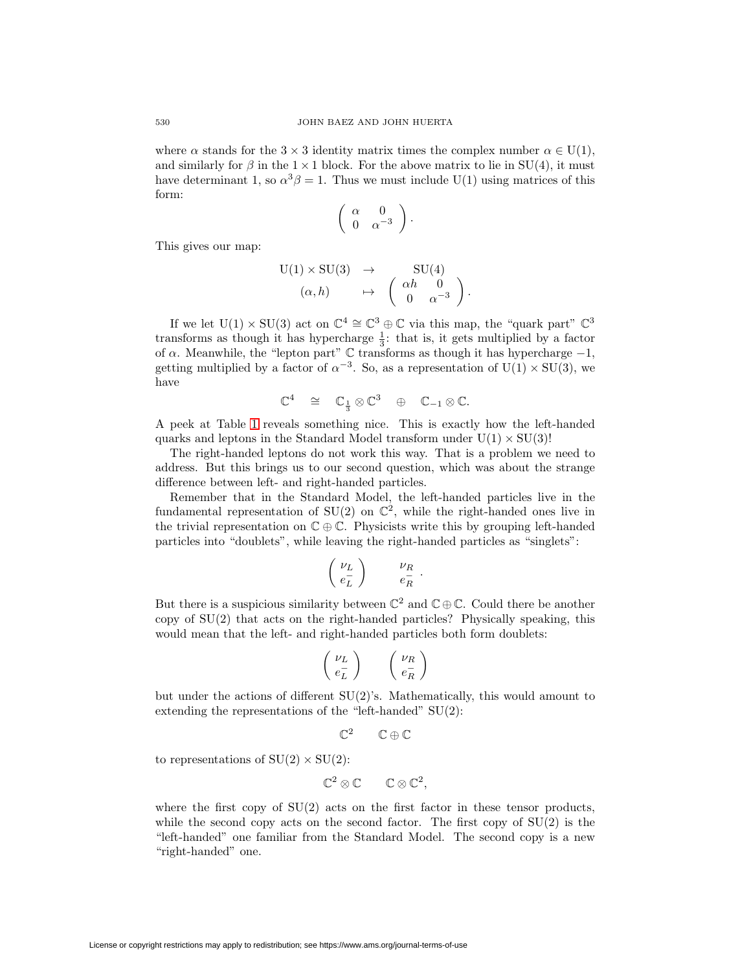where  $\alpha$  stands for the  $3 \times 3$  identity matrix times the complex number  $\alpha \in U(1)$ , and similarly for  $\beta$  in the 1 × 1 block. For the above matrix to lie in SU(4), it must have determinant 1, so  $\alpha^3 \beta = 1$ . Thus we must include U(1) using matrices of this form:

$$
\left(\begin{array}{cc} \alpha & 0 \\ 0 & \alpha^{-3} \end{array}\right)
$$

.

This gives our map:

$$
U(1) \times SU(3) \rightarrow SU(4)
$$
  
\n
$$
(\alpha, h) \rightarrow (\alpha h \quad 0
$$
  
\n
$$
0 \quad \alpha^{-3} ).
$$

If we let  $U(1) \times SU(3)$  act on  $\mathbb{C}^4 \cong \mathbb{C}^3 \oplus \mathbb{C}$  via this map, the "quark part"  $\mathbb{C}^3$ transforms as though it has hypercharge  $\frac{1}{3}$ : that is, it gets multiplied by a factor of  $\alpha$ . Meanwhile, the "lepton part"  $\mathbb C$  transforms as though it has hypercharge  $-1$ , getting multiplied by a factor of  $\alpha^{-3}$ . So, as a representation of U(1) × SU(3), we have

$$
\mathbb{C}^4 \quad \cong \quad \mathbb{C}_{\frac{1}{3}} \otimes \mathbb{C}^3 \quad \oplus \quad \mathbb{C}_{-1} \otimes \mathbb{C}.
$$

A peek at Table [1](#page-26-0) reveals something nice. This is exactly how the left-handed quarks and leptons in the Standard Model transform under  $U(1) \times SU(3)$ !

The right-handed leptons do not work this way. That is a problem we need to address. But this brings us to our second question, which was about the strange difference between left- and right-handed particles.

Remember that in the Standard Model, the left-handed particles live in the fundamental representation of SU(2) on  $\mathbb{C}^2$ , while the right-handed ones live in the trivial representation on  $\mathbb{C} \oplus \mathbb{C}$ . Physicists write this by grouping left-handed particles into "doublets", while leaving the right-handed particles as "singlets":

$$
\begin{pmatrix} \nu_L \\ e_L^- \end{pmatrix} \qquad \begin{array}{c} \nu_R \\ e_R^- \end{array}
$$

.

But there is a suspicious similarity between  $\mathbb{C}^2$  and  $\mathbb{C} \oplus \mathbb{C}$ . Could there be another copy of SU(2) that acts on the right-handed particles? Physically speaking, this would mean that the left- and right-handed particles both form doublets:

$$
\left(\begin{array}{c}\nu_L\\e_L^-\end{array}\right)\qquad\left(\begin{array}{c}\nu_R\\e_R^-\end{array}\right)
$$

but under the actions of different  $SU(2)$ 's. Mathematically, this would amount to extending the representations of the "left-handed"  $SU(2)$ :

$$
\mathbb{C}^2 \qquad \mathbb{C} \oplus \mathbb{C}
$$

to representations of  $SU(2) \times SU(2)$ :

$$
\mathbb{C}^2\otimes\mathbb{C}\qquad\mathbb{C}\otimes\mathbb{C}^2,
$$

where the first copy of  $SU(2)$  acts on the first factor in these tensor products, while the second copy acts on the second factor. The first copy of SU(2) is the "left-handed" one familiar from the Standard Model. The second copy is a new "right-handed" one.

License or copyright restrictions may apply to redistribution; see https://www.ams.org/journal-terms-of-use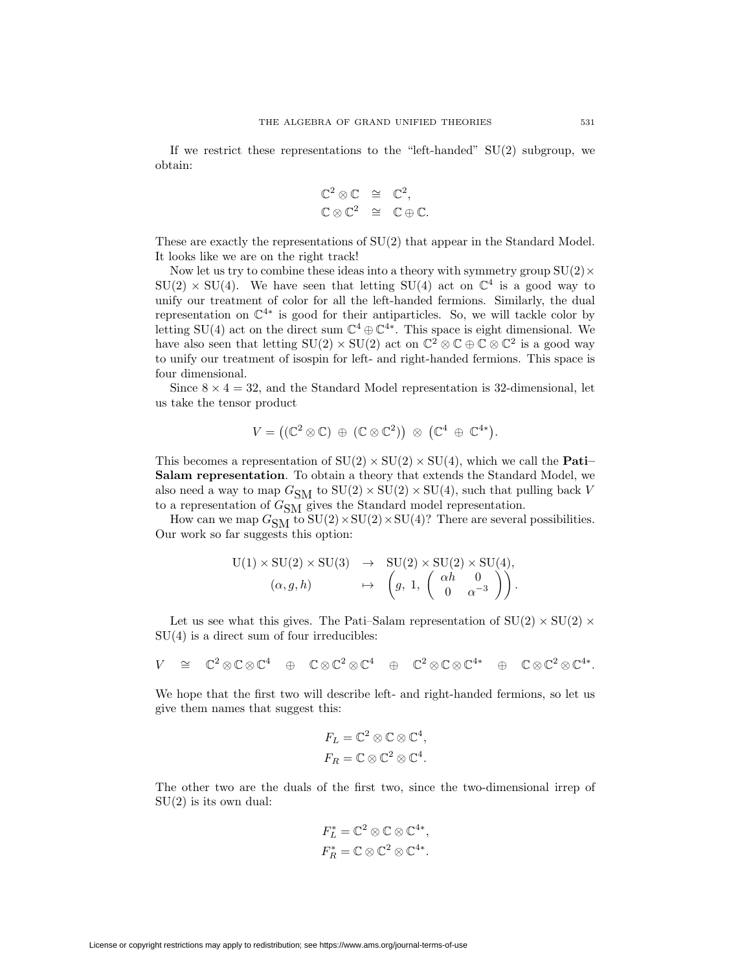If we restrict these representations to the "left-handed"  $SU(2)$  subgroup, we obtain:

$$
\mathbb{C}^2 \otimes \mathbb{C} \cong \mathbb{C}^2,
$$
  

$$
\mathbb{C} \otimes \mathbb{C}^2 \cong \mathbb{C} \oplus \mathbb{C}.
$$

These are exactly the representations of SU(2) that appear in the Standard Model. It looks like we are on the right track!

Now let us try to combine these ideas into a theory with symmetry group  $SU(2) \times$  $SU(2) \times SU(4)$ . We have seen that letting  $SU(4)$  act on  $\mathbb{C}^4$  is a good way to unify our treatment of color for all the left-handed fermions. Similarly, the dual representation on  $\mathbb{C}^{4*}$  is good for their antiparticles. So, we will tackle color by letting SU(4) act on the direct sum  $\mathbb{C}^4 \oplus \mathbb{C}^{4*}$ . This space is eight dimensional. We have also seen that letting  $SU(2) \times SU(2)$  act on  $\mathbb{C}^2 \otimes \mathbb{C} \oplus \mathbb{C} \otimes \mathbb{C}^2$  is a good way to unify our treatment of isospin for left- and right-handed fermions. This space is four dimensional.

Since  $8 \times 4 = 32$ , and the Standard Model representation is 32-dimensional, let us take the tensor product

$$
V = ((\mathbb{C}^2 \otimes \mathbb{C}) \oplus (\mathbb{C} \otimes \mathbb{C}^2)) \otimes (\mathbb{C}^4 \oplus \mathbb{C}^{4*}).
$$

This becomes a representation of  $SU(2) \times SU(2) \times SU(4)$ , which we call the **Pati**-**Salam representation**. To obtain a theory that extends the Standard Model, we also need a way to map  $G_{\text{SM}}$  to  $SU(2) \times SU(2) \times SU(4)$ , such that pulling back V to a representation of  $G_{\text{SM}}$  gives the Standard model representation.

How can we map  $G_{\text{SM}}$  to  $SU(2) \times SU(2) \times SU(4)$ ? There are several possibilities. Our work so far suggests this option:

$$
U(1) \times SU(2) \times SU(3) \rightarrow SU(2) \times SU(2) \times SU(4),
$$
  
\n
$$
(\alpha, g, h) \rightarrow \left( g, 1, \begin{pmatrix} \alpha h & 0 \\ 0 & \alpha^{-3} \end{pmatrix} \right).
$$

Let us see what this gives. The Pati–Salam representation of  $SU(2) \times SU(2) \times$ SU(4) is a direct sum of four irreducibles:

$$
V \quad \cong \quad \mathbb{C}^2 \otimes \mathbb{C} \otimes \mathbb{C}^4 \quad \oplus \quad \mathbb{C} \otimes \mathbb{C}^2 \otimes \mathbb{C}^4 \quad \oplus \quad \mathbb{C}^2 \otimes \mathbb{C} \otimes \mathbb{C}^{4*} \quad \oplus \quad \mathbb{C} \otimes \mathbb{C}^2 \otimes \mathbb{C}^{4*}.
$$

We hope that the first two will describe left- and right-handed fermions, so let us give them names that suggest this:

$$
F_L = \mathbb{C}^2 \otimes \mathbb{C} \otimes \mathbb{C}^4,
$$
  

$$
F_R = \mathbb{C} \otimes \mathbb{C}^2 \otimes \mathbb{C}^4.
$$

The other two are the duals of the first two, since the two-dimensional irrep of  $SU(2)$  is its own dual:

$$
F_L^* = \mathbb{C}^2 \otimes \mathbb{C} \otimes \mathbb{C}^{4*},
$$
  

$$
F_R^* = \mathbb{C} \otimes \mathbb{C}^2 \otimes \mathbb{C}^{4*}.
$$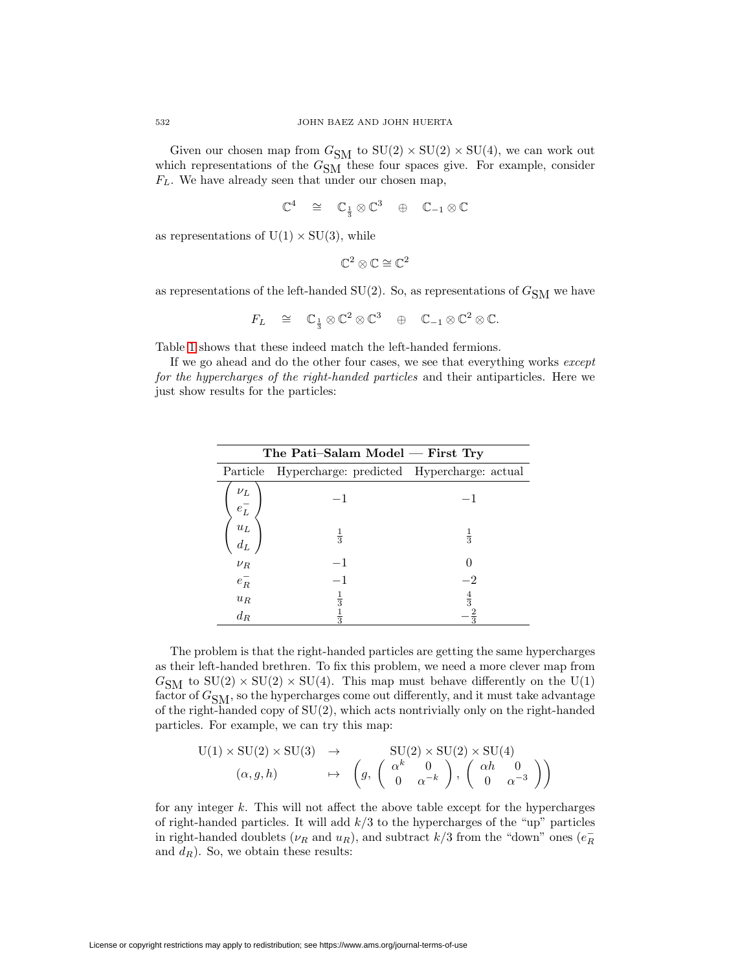Given our chosen map from  $G_{SM}$  to  $SU(2) \times SU(2) \times SU(4)$ , we can work out which representations of the  $G<sub>SM</sub>$  these four spaces give. For example, consider  $F<sub>L</sub>$ . We have already seen that under our chosen map,

$$
\mathbb{C}^4 \quad \cong \quad \mathbb{C}_{\frac{1}{3}} \otimes \mathbb{C}^3 \quad \oplus \quad \mathbb{C}_{-1} \otimes \mathbb{C}
$$

as representations of  $U(1) \times SU(3)$ , while

$$
\mathbb{C}^2\otimes\mathbb{C}\cong\mathbb{C}^2
$$

as representations of the left-handed SU(2). So, as representations of  $G_{SM}$  we have

$$
F_L \quad \cong \quad \mathbb{C}_{\frac{1}{3}} \otimes \mathbb{C}^2 \otimes \mathbb{C}^3 \quad \oplus \quad \mathbb{C}_{-1} \otimes \mathbb{C}^2 \otimes \mathbb{C}.
$$

Table [1](#page-26-0) shows that these indeed match the left-handed fermions.

If we go ahead and do the other four cases, we see that everything works except for the hypercharges of the right-handed particles and their antiparticles. Here we just show results for the particles:

| The Pati–Salam Model — First Try |                                            |               |  |
|----------------------------------|--------------------------------------------|---------------|--|
| Particle                         | Hypercharge: predicted Hypercharge: actual |               |  |
| $\nu_L$<br>$e^-_L$               | -1                                         | $-1$          |  |
| $u_{L}$<br>$d_L$                 | $\frac{1}{3}$                              | $\frac{1}{3}$ |  |
| $\nu_R$                          | —1                                         |               |  |
| $e^{-}_{R}$                      |                                            |               |  |
| $u_{R}$                          | $\frac{1}{3}$                              | $\frac{4}{3}$ |  |
| $d_R$                            | $\frac{1}{3}$                              |               |  |

The problem is that the right-handed particles are getting the same hypercharges as their left-handed brethren. To fix this problem, we need a more clever map from  $G<sub>SM</sub>$  to  $SU(2) \times SU(2) \times SU(4)$ . This map must behave differently on the U(1) factor of  $G_{\text{SM}}$ , so the hypercharges come out differently, and it must take advantage of the right-handed copy of  $SU(2)$ , which acts nontrivially only on the right-handed particles. For example, we can try this map:

$$
U(1) \times SU(2) \times SU(3) \rightarrow SU(2) \times SU(2) \times SU(4)
$$
  
\n
$$
(\alpha, g, h) \rightarrow \left( g, \begin{pmatrix} \alpha^k & 0 \\ 0 & \alpha^{-k} \end{pmatrix}, \begin{pmatrix} \alpha h & 0 \\ 0 & \alpha^{-3} \end{pmatrix} \right)
$$

for any integer  $k$ . This will not affect the above table except for the hypercharges of right-handed particles. It will add  $k/3$  to the hypercharges of the "up" particles in right-handed doublets ( $\nu_R$  and  $u_R$ ), and subtract  $k/3$  from the "down" ones  $(e_R^-)$ and  $d_R$ ). So, we obtain these results: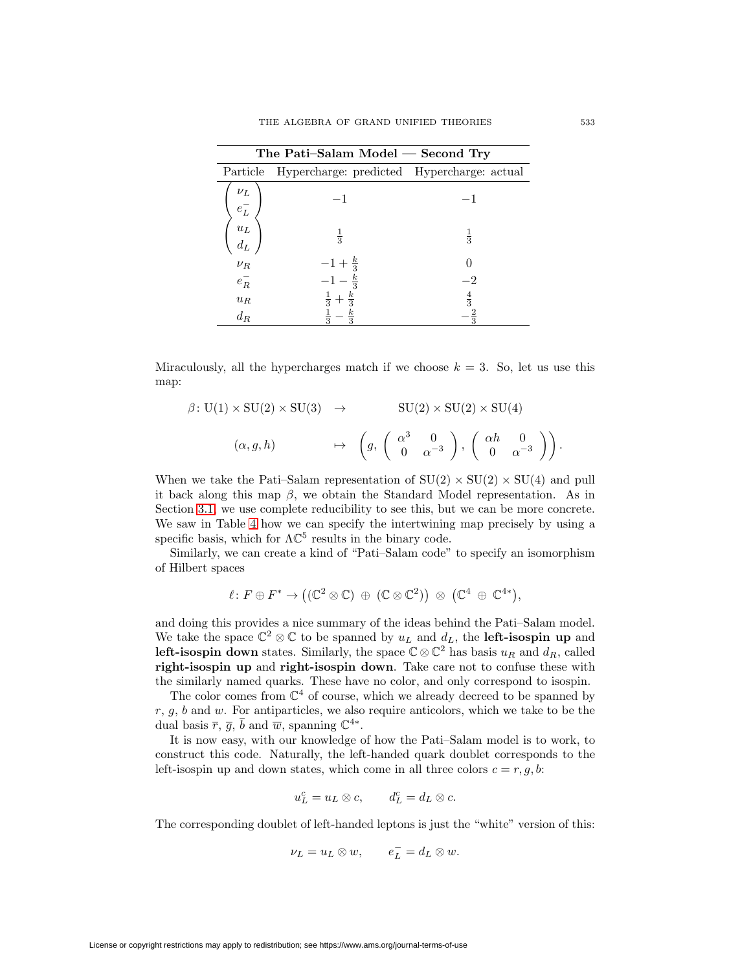| The Pati-Salam Model – Second Try |                                            |               |  |
|-----------------------------------|--------------------------------------------|---------------|--|
| Particle                          | Hypercharge: predicted Hypercharge: actual |               |  |
| $\nu_L$<br>$e^-_L$                |                                            |               |  |
| $u_L$<br>$d_L$                    | $\frac{1}{3}$                              | $\frac{1}{3}$ |  |
| $\nu_R$                           | $-1+\frac{k}{3}$                           |               |  |
| $e_R^-$                           | $rac{k}{2}$                                | -2            |  |
| $u_R$                             | $rac{k}{2}$<br>$\frac{1}{3}$               | $\frac{4}{3}$ |  |
| $d_R$                             |                                            |               |  |

Miraculously, all the hypercharges match if we choose  $k = 3$ . So, let us use this map:

$$
\beta: U(1) \times SU(2) \times SU(3) \rightarrow SU(2) \times SU(2) \times SU(4)
$$
  

$$
(\alpha, g, h) \rightarrow \left( g, \begin{pmatrix} \alpha^3 & 0 \\ 0 & \alpha^{-3} \end{pmatrix}, \begin{pmatrix} \alpha h & 0 \\ 0 & \alpha^{-3} \end{pmatrix} \right).
$$

When we take the Pati–Salam representation of  $SU(2) \times SU(2) \times SU(4)$  and pull it back along this map  $\beta$ , we obtain the Standard Model representation. As in Section [3.1,](#page-29-0) we use complete reducibility to see this, but we can be more concrete. We saw in Table [4](#page-37-0) how we can specify the intertwining map precisely by using a specific basis, which for  $\Lambda \mathbb{C}^5$  results in the binary code.

Similarly, we can create a kind of "Pati–Salam code" to specify an isomorphism of Hilbert spaces

$$
\ell \colon F \oplus F^* \to ((\mathbb{C}^2 \otimes \mathbb{C}) \oplus (\mathbb{C} \otimes \mathbb{C}^2)) \otimes (\mathbb{C}^4 \oplus \mathbb{C}^{4*}),
$$

and doing this provides a nice summary of the ideas behind the Pati–Salam model. We take the space  $\mathbb{C}^2 \otimes \mathbb{C}$  to be spanned by  $u_L$  and  $d_L$ , the **left-isospin up** and **left-isospin down** states. Similarly, the space  $\mathbb{C} \otimes \mathbb{C}^2$  has basis  $u_R$  and  $d_R$ , called **right-isospin up** and **right-isospin down**. Take care not to confuse these with the similarly named quarks. These have no color, and only correspond to isospin.

The color comes from  $\mathbb{C}^4$  of course, which we already decreed to be spanned by  $r, g, b$  and w. For antiparticles, we also require anticolors, which we take to be the dual basis  $\overline{r}$ ,  $\overline{g}$ ,  $\overline{b}$  and  $\overline{w}$ , spanning  $\mathbb{C}^{4*}$ .

It is now easy, with our knowledge of how the Pati–Salam model is to work, to construct this code. Naturally, the left-handed quark doublet corresponds to the left-isospin up and down states, which come in all three colors  $c = r, g, b$ :

$$
u_L^c = u_L \otimes c, \qquad d_L^c = d_L \otimes c.
$$

The corresponding doublet of left-handed leptons is just the "white" version of this:

$$
\nu_L = u_L \otimes w, \qquad e_L^- = d_L \otimes w.
$$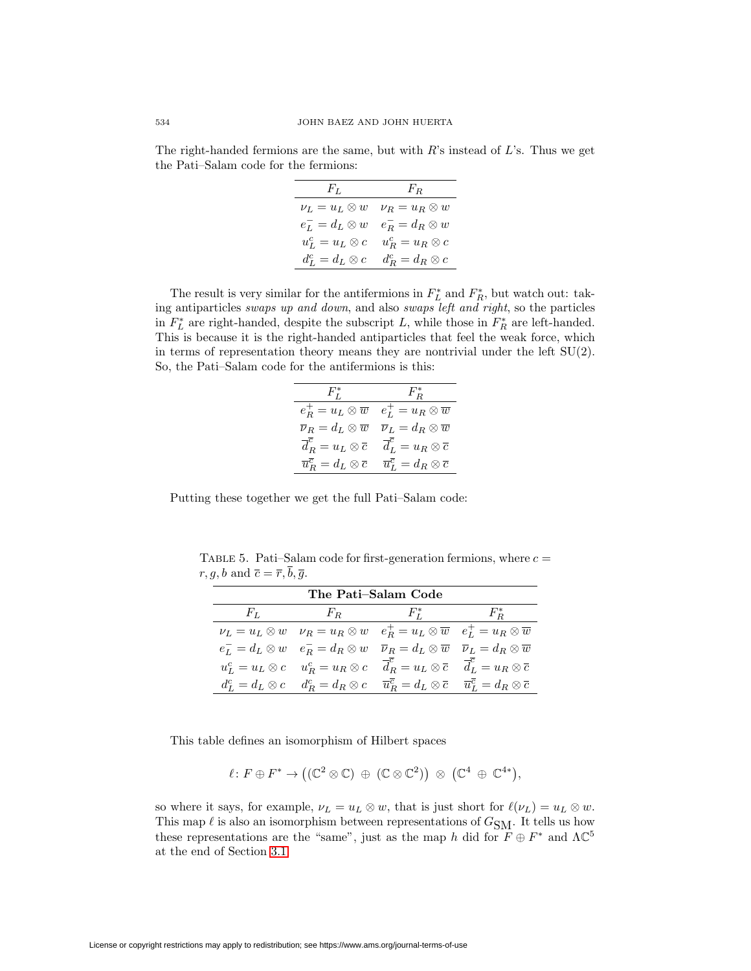The right-handed fermions are the same, but with  $R$ 's instead of  $L$ 's. Thus we get the Pati–Salam code for the fermions:

| $F_L$                   | $F_R$                   |  |
|-------------------------|-------------------------|--|
| $\nu_L = u_L \otimes w$ | $\nu_R = u_R \otimes w$ |  |
| $e^-_L = d_L \otimes w$ | $e_R^- = d_R \otimes w$ |  |
| $u_L^c = u_L \otimes c$ | $u_R^c = u_R \otimes c$ |  |
| $d_L^c = d_L \otimes c$ | $d_R^c = d_R \otimes c$ |  |

The result is very similar for the antifermions in  $F_L^*$  and  $F_R^*$ , but watch out: taking antiparticles swaps up and down, and also swaps left and right, so the particles in  $F_L^*$  are right-handed, despite the subscript L, while those in  $F_R^*$  are left-handed. This is because it is the right-handed antiparticles that feel the weak force, which in terms of representation theory means they are nontrivial under the left  $SU(2)$ . So, the Pati–Salam code for the antifermions is this:

| $F_I^*$                                                 | $F^*_{\overline{B}}$                                                                                                      |  |
|---------------------------------------------------------|---------------------------------------------------------------------------------------------------------------------------|--|
|                                                         | $e_R^+ = u_L \otimes \overline{w}$ $e_L^+ = u_R \otimes \overline{w}$                                                     |  |
| $\overline{\nu}_R = d_L \otimes \overline{w}$           | $\overline{\nu}_L = d_R \otimes \overline{w}$                                                                             |  |
|                                                         | $\overline{d}_R^{\overline{c}} = u_L \otimes \overline{c} \quad \overline{d}_L^{\overline{c}} = u_R \otimes \overline{c}$ |  |
| $\overline{u}_R^{\overline{c}}=d_L\otimes \overline{c}$ | $\overline{u}_L^{\overline{c}}=d_R\otimes \overline{c}$                                                                   |  |

Putting these together we get the full Pati–Salam code:

<span id="page-51-0"></span>TABLE 5. Pati–Salam code for first-generation fermions, where  $c =$  $r, g, b$  and  $\overline{c} = \overline{r}, \overline{b}, \overline{g}$ .

| The Pati-Salam Code |                                                                                                                                                                       |  |  |  |
|---------------------|-----------------------------------------------------------------------------------------------------------------------------------------------------------------------|--|--|--|
|                     | $F_L$ $F_R$ $F_I^*$ $F_R^*$                                                                                                                                           |  |  |  |
|                     | $\nu_L = u_L \otimes w \quad \nu_R = u_R \otimes w \quad e_R^+ = u_L \otimes \overline{w} \quad e_L^+ = u_R \otimes \overline{w}$                                     |  |  |  |
|                     | $e_L^- = d_L \otimes w \quad e_R^- = d_R \otimes w \quad \overline{\nu}_R = d_L \otimes \overline{w} \quad \overline{\nu}_L = d_R \otimes \overline{w}$               |  |  |  |
|                     | $u_L^c = u_L \otimes c \quad u_R^c = u_R \otimes c \quad \overline{d}_R^c = u_L \otimes \overline{c} \quad \overline{d}_L^c = u_R \otimes \overline{c}$               |  |  |  |
|                     | $d_L^c = d_L \otimes c$ $d_R^c = d_R \otimes c$ $\overline{u}_R^{\overline{c}} = d_L \otimes \overline{c}$ $\overline{u}_L^{\overline{c}} = d_R \otimes \overline{c}$ |  |  |  |

This table defines an isomorphism of Hilbert spaces

$$
\ell \colon F \oplus F^* \to ((\mathbb{C}^2 \otimes \mathbb{C}) \oplus (\mathbb{C} \otimes \mathbb{C}^2)) \otimes (\mathbb{C}^4 \oplus \mathbb{C}^{4*}),
$$

so where it says, for example,  $\nu_L = u_L \otimes w$ , that is just short for  $\ell(\nu_L) = u_L \otimes w$ . This map  $\ell$  is also an isomorphism between representations of  $G_{SM}$ . It tells us how these representations are the "same", just as the map h did for  $F \oplus F^*$  and  $\Lambda \mathbb{C}^5$ at the end of Section [3.1.](#page-29-0)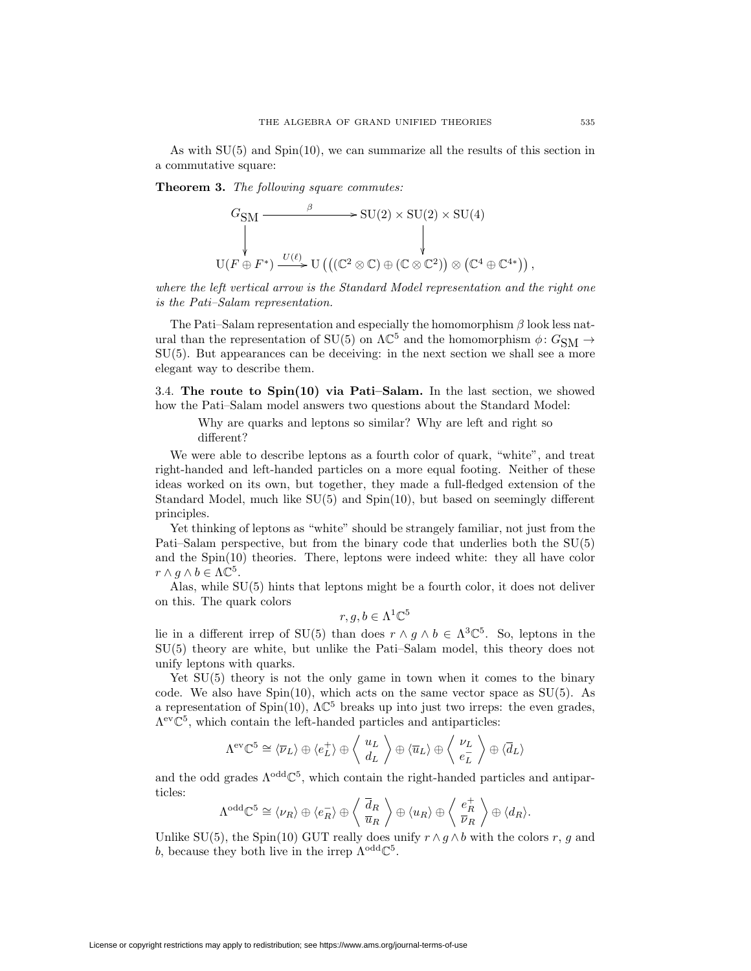<span id="page-52-1"></span>As with SU(5) and Spin(10), we can summarize all the results of this section in a commutative square:

**Theorem 3.** The following square commutes:

$$
G_{\text{SM}} \xrightarrow{\beta} \text{SU}(2) \times \text{SU}(2) \times \text{SU}(4)
$$
  
\n
$$
\downarrow \qquad \qquad \downarrow
$$
  
\n
$$
\text{U}(F \oplus F^*) \xrightarrow{U(\ell)} \text{U} \left( \left( (\mathbb{C}^2 \otimes \mathbb{C}) \oplus (\mathbb{C} \otimes \mathbb{C}^2) \right) \otimes (\mathbb{C}^4 \oplus \mathbb{C}^{4*}) \right),
$$

where the left vertical arrow is the Standard Model representation and the right one is the Pati–Salam representation.

The Pati–Salam representation and especially the homomorphism  $\beta$  look less natural than the representation of SU(5) on  $\Lambda \mathbb{C}^5$  and the homomorphism  $\phi \colon G_{\text{SM}} \to$  $SU(5)$ . But appearances can be deceiving: in the next section we shall see a more elegant way to describe them.

<span id="page-52-0"></span>3.4. **The route to Spin(10) via Pati–Salam.** In the last section, we showed how the Pati–Salam model answers two questions about the Standard Model:

Why are quarks and leptons so similar? Why are left and right so different?

We were able to describe leptons as a fourth color of quark, "white", and treat right-handed and left-handed particles on a more equal footing. Neither of these ideas worked on its own, but together, they made a full-fledged extension of the Standard Model, much like SU(5) and Spin(10), but based on seemingly different principles.

Yet thinking of leptons as "white" should be strangely familiar, not just from the Pati–Salam perspective, but from the binary code that underlies both the SU(5) and the Spin(10) theories. There, leptons were indeed white: they all have color  $r \wedge g \wedge b \in \Lambda \mathbb{C}^5$ .

Alas, while SU(5) hints that leptons might be a fourth color, it does not deliver on this. The quark colors

$$
r,g,b\in \Lambda^1\mathbb{C}^5
$$

lie in a different irrep of SU(5) than does  $r \wedge g \wedge b \in \Lambda^3 \mathbb{C}^5$ . So, leptons in the SU(5) theory are white, but unlike the Pati–Salam model, this theory does not unify leptons with quarks.

Yet SU(5) theory is not the only game in town when it comes to the binary code. We also have  $Spin(10)$ , which acts on the same vector space as  $SU(5)$ . As a representation of Spin(10),  $\Lambda \mathbb{C}^5$  breaks up into just two irreps: the even grades,  $\Lambda^{\text{ev}}\mathbb{C}^5$ , which contain the left-handed particles and antiparticles:

$$
\Lambda^{\text{ev}}\mathbb{C}^5 \cong \langle \overline{\nu}_L \rangle \oplus \langle e_L^+ \rangle \oplus \langle \frac{u_L}{d_L} \rangle \oplus \langle \overline{u}_L \rangle \oplus \langle \frac{\nu_L}{e_L^-} \rangle \oplus \langle \overline{d}_L \rangle
$$

and the odd grades  $\Lambda^{odd}\mathbb{C}^5$ , which contain the right-handed particles and antiparticles:

$$
\Lambda^{\text{odd}}\mathbb{C}^5 \cong \langle \nu_R \rangle \oplus \langle e_R^- \rangle \oplus \left\langle \frac{\overline{d}_R}{\overline{u}_R} \right\rangle \oplus \langle u_R \rangle \oplus \left\langle \frac{e_R^+}{\overline{\nu}_R} \right\rangle \oplus \langle d_R \rangle.
$$

Unlike SU(5), the Spin(10) GUT really does unify  $r \wedge q \wedge b$  with the colors r, g and b, because they both live in the irrep  $\Lambda^{odd}\mathbb{C}^5$ .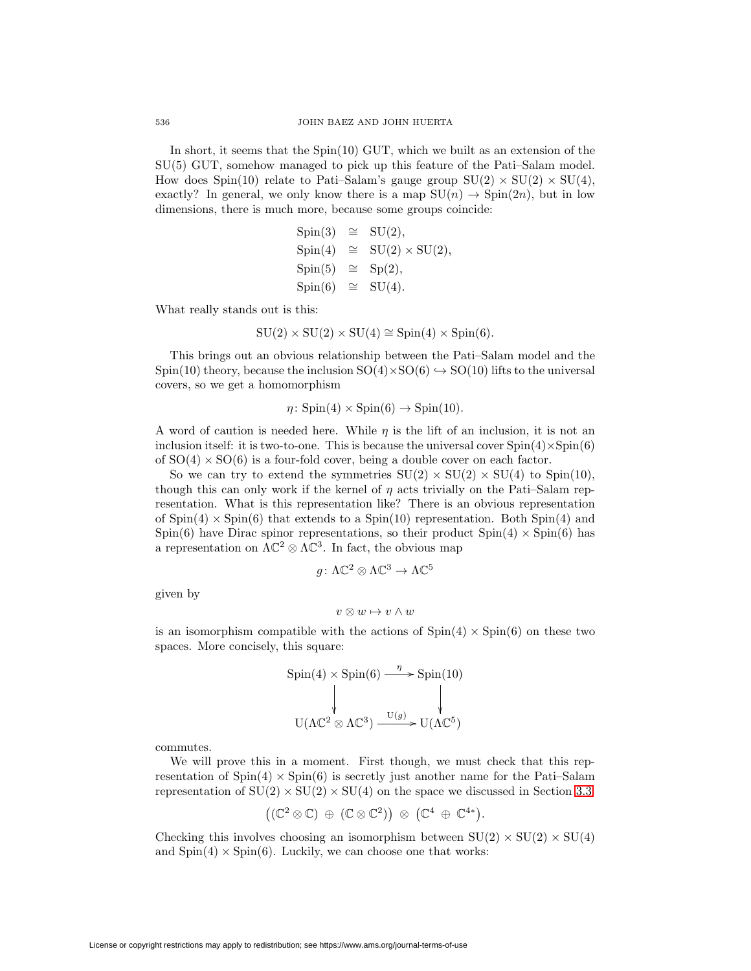In short, it seems that the Spin(10) GUT, which we built as an extension of the SU(5) GUT, somehow managed to pick up this feature of the Pati–Salam model. How does Spin(10) relate to Pati–Salam's gauge group  $SU(2) \times SU(2) \times SU(4)$ , exactly? In general, we only know there is a map  $SU(n) \to Spin(2n)$ , but in low dimensions, there is much more, because some groups coincide:

$$
Spin(3) \cong SU(2),
$$
  
\n
$$
Spin(4) \cong SU(2) \times SU(2),
$$
  
\n
$$
Spin(5) \cong Sp(2),
$$
  
\n
$$
Spin(6) \cong SU(4).
$$

What really stands out is this:

$$
SU(2) \times SU(2) \times SU(4) \cong Spin(4) \times Spin(6).
$$

This brings out an obvious relationship between the Pati–Salam model and the Spin(10) theory, because the inclusion  $SO(4) \times SO(6) \hookrightarrow SO(10)$  lifts to the universal covers, so we get a homomorphism

$$
\eta \colon \text{Spin}(4) \times \text{Spin}(6) \to \text{Spin}(10).
$$

A word of caution is needed here. While  $\eta$  is the lift of an inclusion, it is not an inclusion itself: it is two-to-one. This is because the universal cover  $Spin(4)\times Spin(6)$ of  $SO(4) \times SO(6)$  is a four-fold cover, being a double cover on each factor.

So we can try to extend the symmetries  $SU(2) \times SU(2) \times SU(4)$  to  $Spin(10)$ , though this can only work if the kernel of  $\eta$  acts trivially on the Pati–Salam representation. What is this representation like? There is an obvious representation of  $Spin(4) \times Spin(6)$  that extends to a  $Spin(10)$  representation. Both  $Spin(4)$  and Spin(6) have Dirac spinor representations, so their product  $Spin(4) \times Spin(6)$  has a representation on  $\Lambda \mathbb{C}^2 \otimes \Lambda \mathbb{C}^3$ . In fact, the obvious map

$$
g\colon\Lambda\mathbb{C}^2\otimes\Lambda\mathbb{C}^3\to\Lambda\mathbb{C}^5
$$

given by

$$
v\otimes w\mapsto v\wedge w
$$

is an isomorphism compatible with the actions of  $Spin(4) \times Spin(6)$  on these two spaces. More concisely, this square:

$$
\text{Spin}(4) \times \text{Spin}(6) \xrightarrow{\eta} \text{Spin}(10)
$$
  

$$
\downarrow \qquad \qquad \downarrow
$$
  

$$
\text{U}(\Lambda \mathbb{C}^2 \otimes \Lambda \mathbb{C}^3) \xrightarrow{\text{U}(g)} \text{U}(\Lambda \mathbb{C}^5)
$$

commutes.

We will prove this in a moment. First though, we must check that this representation of  $Spin(4) \times Spin(6)$  is secretly just another name for the Pati–Salam representation of  $SU(2) \times SU(2) \times SU(4)$  on the space we discussed in Section [3.3:](#page-44-0)

$$
((\mathbb{C}^2 \otimes \mathbb{C}) \oplus (\mathbb{C} \otimes \mathbb{C}^2)) \otimes (\mathbb{C}^4 \oplus \mathbb{C}^{4*}).
$$

<span id="page-53-0"></span>Checking this involves choosing an isomorphism between  $SU(2) \times SU(2) \times SU(4)$ and  $Spin(4) \times Spin(6)$ . Luckily, we can choose one that works: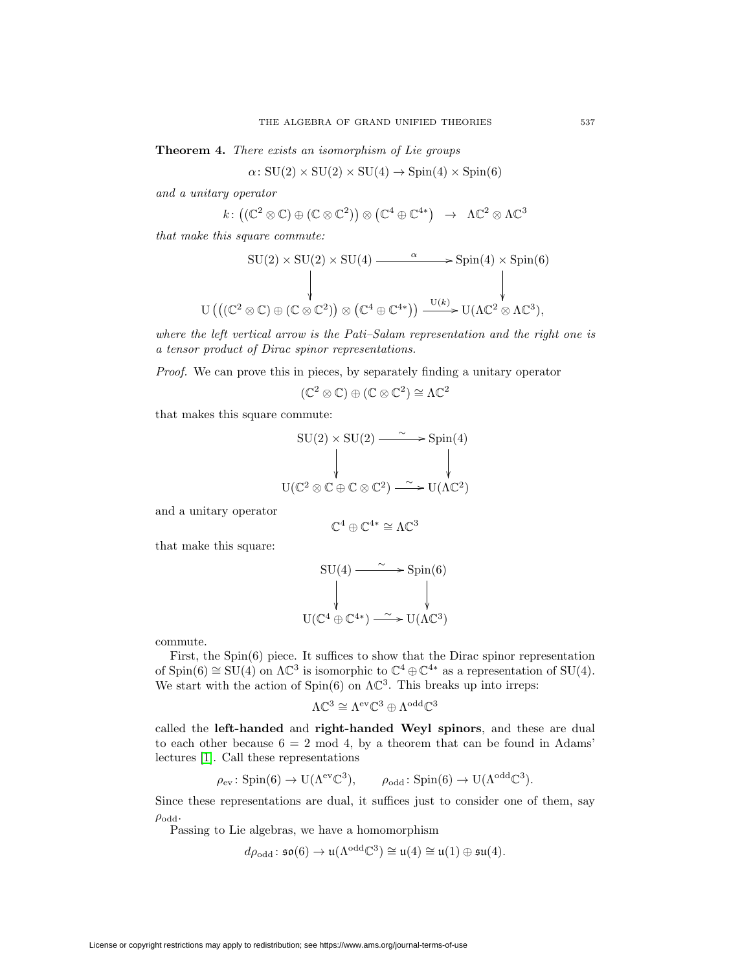**Theorem 4.** There exists an isomorphism of Lie groups

$$
\alpha\colon \mathrm{SU}(2)\times \mathrm{SU}(2)\times \mathrm{SU}(4)\to \mathrm{Spin}(4)\times \mathrm{Spin}(6)
$$

and a unitary operator

$$
k\colon \big((\mathbb{C}^2\otimes\mathbb{C})\oplus(\mathbb{C}\otimes\mathbb{C}^2)\big)\otimes\big(\mathbb{C}^4\oplus\mathbb{C}^{4*}\big)\;\;\to\;\;\Lambda\mathbb{C}^2\otimes\Lambda\mathbb{C}^3
$$

that make this square commute:

$$
\mathrm{SU}(2) \times \mathrm{SU}(2) \times \mathrm{SU}(4) \xrightarrow{\alpha} \mathrm{Spin}(4) \times \mathrm{Spin}(6)
$$
  
\n
$$
\downarrow \qquad \qquad \downarrow
$$
  
\n
$$
\mathrm{U} \left( \left( (\mathbb{C}^2 \otimes \mathbb{C}) \oplus (\mathbb{C} \otimes \mathbb{C}^2) \right) \otimes (\mathbb{C}^4 \oplus \mathbb{C}^{4*}) \right) \xrightarrow{\mathrm{U}(k)} \mathrm{U}(\Lambda \mathbb{C}^2 \otimes \Lambda \mathbb{C}^3),
$$

where the left vertical arrow is the Pati–Salam representation and the right one is a tensor product of Dirac spinor representations.

Proof. We can prove this in pieces, by separately finding a unitary operator

$$
(\mathbb{C}^2\otimes\mathbb{C})\oplus(\mathbb{C}\otimes\mathbb{C}^2)\cong\Lambda\mathbb{C}^2
$$

that makes this square commute:

$$
SU(2) \times SU(2) \xrightarrow{\sim} Spin(4)
$$
  
\n
$$
U(\mathbb{C}^2 \otimes \mathbb{C} \oplus \mathbb{C} \otimes \mathbb{C}^2) \xrightarrow{\sim} U(\Lambda \mathbb{C}^2)
$$

and a unitary operator

$$
\mathbb{C}^4\oplus\mathbb{C}^{4*}\cong\Lambda\mathbb{C}^3
$$

that make this square:

$$
SU(4) \longrightarrow Spin(6)
$$
  
\n
$$
\downarrow \qquad \qquad \downarrow
$$
  
\n
$$
U(\mathbb{C}^4 \oplus \mathbb{C}^{4*}) \longrightarrow U(\Lambda \mathbb{C}^3)
$$

commute.

First, the Spin(6) piece. It suffices to show that the Dirac spinor representation of  $Spin(6) \cong SU(4)$  on  $\Lambda \mathbb{C}^3$  is isomorphic to  $\mathbb{C}^4 \oplus \mathbb{C}^{4*}$  as a representation of  $SU(4)$ . We start with the action of  $Spin(6)$  on  $\Lambda \mathbb{C}^3$ . This breaks up into irreps:

$$
\Lambda\mathbb{C}^3\cong\Lambda^{\mathrm{ev}}\mathbb{C}^3\oplus\Lambda^{\mathrm{odd}}\mathbb{C}^3
$$

called the **left-handed** and **right-handed Weyl spinors**, and these are dual to each other because  $6 = 2 \mod 4$ , by a theorem that can be found in Adams' lectures [\[1\]](#page-67-7). Call these representations

$$
\rho_{\text{ev}} \colon \text{Spin}(6) \to \text{U}(\Lambda^{\text{ev}}\mathbb{C}^3), \qquad \rho_{\text{odd}} \colon \text{Spin}(6) \to \text{U}(\Lambda^{\text{odd}}\mathbb{C}^3).
$$

Since these representations are dual, it suffices just to consider one of them, say  $\rho_{\text{odd}}$ .

Passing to Lie algebras, we have a homomorphism

$$
d\rho_{\text{odd}}\colon \mathfrak{so}(6)\to \mathfrak{u}(\Lambda^{\text{odd}}\mathbb{C}^3)\cong \mathfrak{u}(4)\cong \mathfrak{u}(1)\oplus \mathfrak{su}(4).
$$

License or copyright restrictions may apply to redistribution; see https://www.ams.org/journal-terms-of-use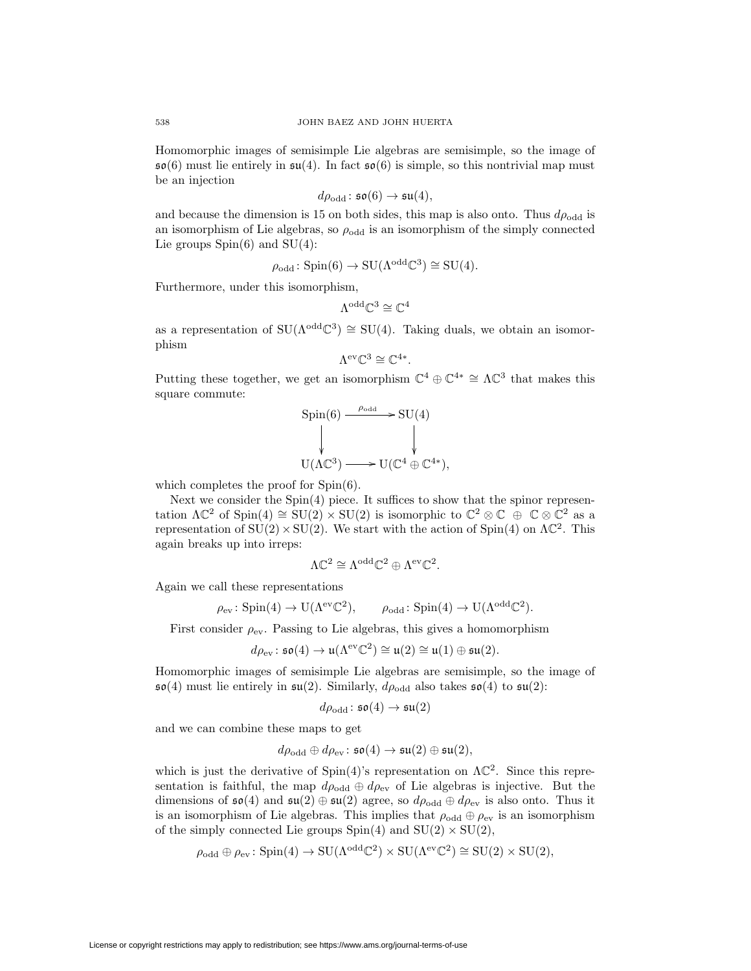Homomorphic images of semisimple Lie algebras are semisimple, so the image of  $\mathfrak{so}(6)$  must lie entirely in  $\mathfrak{su}(4)$ . In fact  $\mathfrak{so}(6)$  is simple, so this nontrivial map must be an injection

$$
d\rho_{\text{odd}} : \mathfrak{so}(6) \to \mathfrak{su}(4),
$$

and because the dimension is 15 on both sides, this map is also onto. Thus  $d\rho_{\text{odd}}$  is an isomorphism of Lie algebras, so  $\rho_{odd}$  is an isomorphism of the simply connected Lie groups  $Spin(6)$  and  $SU(4)$ :

$$
\rho_{\text{odd}} \colon \text{Spin}(6) \to \text{SU}(\Lambda^{\text{odd}} \mathbb{C}^3) \cong \text{SU}(4).
$$

Furthermore, under this isomorphism,

$$
\Lambda^{\text{odd}}\mathbb{C}^3\cong\mathbb{C}^4
$$

as a representation of  $SU(\Lambda^{\text{odd}}\mathbb{C}^3) \cong SU(4)$ . Taking duals, we obtain an isomorphism

$$
\Lambda^{\text{ev}}\mathbb{C}^3 \cong \mathbb{C}^{4*}.
$$

Putting these together, we get an isomorphism  $\mathbb{C}^4 \oplus \mathbb{C}^{4*} \cong \Lambda \mathbb{C}^3$  that makes this square commute:

$$
\text{Spin}(6) \xrightarrow{\rho_{\text{odd}}} \text{SU}(4)
$$
\n
$$
\downarrow \qquad \qquad \downarrow
$$
\n
$$
\text{U}(\Lambda \mathbb{C}^3) \longrightarrow \text{U}(\mathbb{C}^4 \oplus \mathbb{C}^{4*}),
$$

which completes the proof for  $Spin(6)$ .

Next we consider the Spin(4) piece. It suffices to show that the spinor representation  $\Lambda \mathbb{C}^2$  of Spin(4)  $\cong$  SU(2)  $\times$  SU(2) is isomorphic to  $\mathbb{C}^2 \otimes \mathbb{C} \oplus \mathbb{C} \otimes \mathbb{C}^2$  as a representation of  $SU(2) \times SU(2)$ . We start with the action of Spin(4) on  $\Lambda \mathbb{C}^2$ . This again breaks up into irreps:

$$
\Lambda \mathbb{C}^2 \cong \Lambda^{\rm odd} \mathbb{C}^2 \oplus \Lambda^{\rm ev} \mathbb{C}^2.
$$

Again we call these representations

$$
\rho_{ev}
$$
: Spin(4)  $\rightarrow$  U( $\Lambda^{ev}\mathbb{C}^2$ ),  $\rho_{odd}$ : Spin(4)  $\rightarrow$  U( $\Lambda^{odd}\mathbb{C}^2$ ).

First consider  $\rho_{\text{ev}}$ . Passing to Lie algebras, this gives a homomorphism

$$
d\rho_{\text{ev}}\colon \mathfrak{so}(4)\to \mathfrak{u}(\Lambda^{\text{ev}}\mathbb{C}^2)\cong \mathfrak{u}(2)\cong \mathfrak{u}(1)\oplus \mathfrak{su}(2).
$$

Homomorphic images of semisimple Lie algebras are semisimple, so the image of  $\mathfrak{so}(4)$  must lie entirely in  $\mathfrak{su}(2)$ . Similarly,  $d\rho_{\text{odd}}$  also takes  $\mathfrak{so}(4)$  to  $\mathfrak{su}(2)$ :

$$
d\rho_{\text{odd}}\colon \mathfrak{so}(4)\to \mathfrak{su}(2)
$$

and we can combine these maps to get

$$
d\rho_{\text{odd}} \oplus d\rho_{\text{ev}} \colon \mathfrak{so}(4) \to \mathfrak{su}(2) \oplus \mathfrak{su}(2),
$$

which is just the derivative of  $Spin(4)$ 's representation on  $\Lambda \mathbb{C}^2$ . Since this representation is faithful, the map  $d\rho_{\text{odd}} \oplus d\rho_{\text{ev}}$  of Lie algebras is injective. But the dimensions of  $\mathfrak{so}(4)$  and  $\mathfrak{su}(2) \oplus \mathfrak{su}(2)$  agree, so  $d\rho_{\text{odd}} \oplus d\rho_{\text{ev}}$  is also onto. Thus it is an isomorphism of Lie algebras. This implies that  $\rho_{odd} \oplus \rho_{ev}$  is an isomorphism of the simply connected Lie groups  $Spin(4)$  and  $SU(2) \times SU(2)$ ,

$$
\rho_{\text{odd}} \oplus \rho_{\text{ev}} \colon \text{Spin}(4) \to \text{SU}(\Lambda^{\text{odd}} \mathbb{C}^2) \times \text{SU}(\Lambda^{\text{ev}} \mathbb{C}^2) \cong \text{SU}(2) \times \text{SU}(2),
$$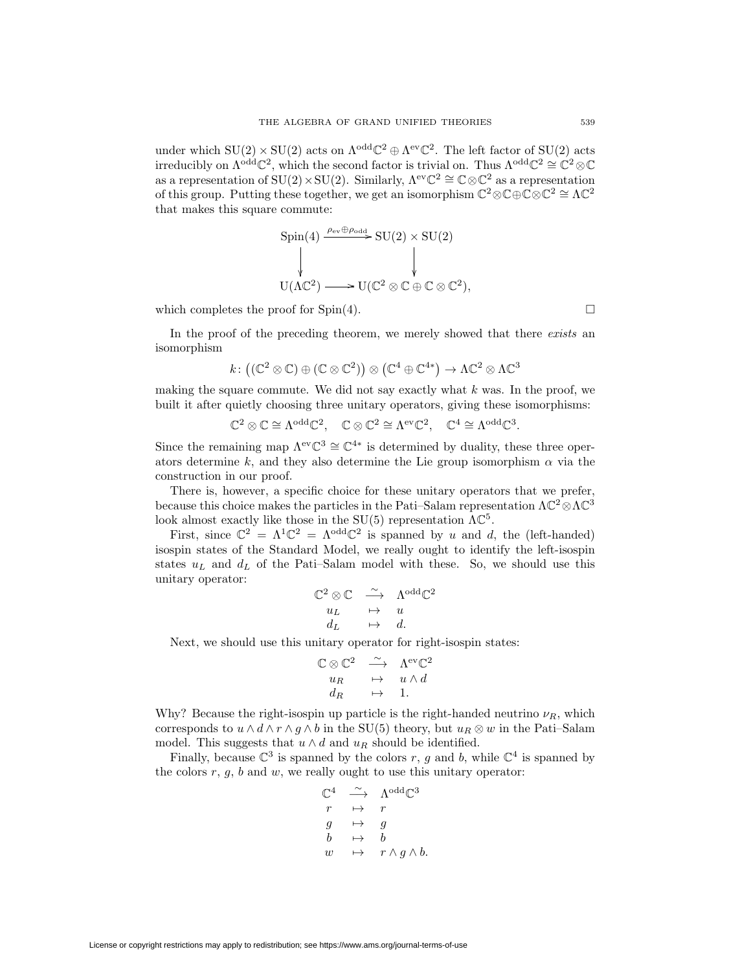under which  $SU(2) \times SU(2)$  acts on  $\Lambda^{odd}\mathbb{C}^2 \oplus \Lambda^{ev}\mathbb{C}^2$ . The left factor of  $SU(2)$  acts irreducibly on  $\Lambda^{odd}\mathbb{C}^2$ , which the second factor is trivial on. Thus  $\Lambda^{odd}\mathbb{C}^2 \cong \mathbb{C}^2 \otimes \mathbb{C}$ as a representation of  $SU(2) \times SU(2)$ . Similarly,  $\Lambda^{ev} \mathbb{C}^2 \cong \mathbb{C} \otimes \mathbb{C}^2$  as a representation of this group. Putting these together, we get an isomorphism  $\mathbb{C}^2 \otimes \mathbb{C} \oplus \mathbb{C} \otimes \mathbb{C}^2 \cong \Lambda \mathbb{C}^2$ that makes this square commute:

$$
\text{Spin}(4) \xrightarrow{\rho_{\text{ev}} \oplus \rho_{\text{odd}}} \text{SU}(2) \times \text{SU}(2)
$$
\n
$$
\downarrow \qquad \qquad \downarrow
$$
\n
$$
\text{U}(\Lambda \mathbb{C}^2) \longrightarrow \text{U}(\mathbb{C}^2 \otimes \mathbb{C} \oplus \mathbb{C} \otimes \mathbb{C}^2),
$$

which completes the proof for  $Spin(4)$ .  $\Box$ 

In the proof of the preceding theorem, we merely showed that there exists an isomorphism

$$
k\colon \big((\mathbb{C}^2\otimes\mathbb{C})\oplus(\mathbb{C}\otimes\mathbb{C}^2)\big)\otimes\big(\mathbb{C}^4\oplus\mathbb{C}^{4*}\big)\to\Lambda\mathbb{C}^2\otimes\Lambda\mathbb{C}^3
$$

making the square commute. We did not say exactly what  $k$  was. In the proof, we built it after quietly choosing three unitary operators, giving these isomorphisms:

 $\mathbb{C}^2 \otimes \mathbb{C} \cong \Lambda^{odd} \mathbb{C}^2$ ,  $\mathbb{C} \otimes \mathbb{C}^2 \cong \Lambda^{ev} \mathbb{C}^2$ ,  $\mathbb{C}^4 \cong \Lambda^{odd} \mathbb{C}^3$ .

Since the remaining map  $\Lambda^{ev} \mathbb{C}^3 \cong \mathbb{C}^{4*}$  is determined by duality, these three operators determine k, and they also determine the Lie group isomorphism  $\alpha$  via the construction in our proof.

There is, however, a specific choice for these unitary operators that we prefer, because this choice makes the particles in the Pati–Salam representation  $\Lambda \mathbb{C}^2 \otimes \Lambda \mathbb{C}^3$ look almost exactly like those in the SU(5) representation  $\Lambda \mathbb{C}^5$ .

First, since  $\mathbb{C}^2 = \Lambda^1 \mathbb{C}^2 = \Lambda^{odd} \mathbb{C}^2$  is spanned by u and d, the (left-handed) isospin states of the Standard Model, we really ought to identify the left-isospin states  $u<sub>L</sub>$  and  $d<sub>L</sub>$  of the Pati–Salam model with these. So, we should use this unitary operator:

$$
\begin{array}{ccc}\n\mathbb{C}^2 \otimes \mathbb{C} & \xrightarrow{\sim} & \Lambda^{\text{odd}} \mathbb{C}^2 \\
u_L & \mapsto & u \\
d_L & \mapsto & d.\n\end{array}
$$

Next, we should use this unitary operator for right-isospin states:

$$
\begin{array}{ccc}\n\mathbb{C}\otimes\mathbb{C}^2 & \xrightarrow{\sim} & \Lambda^{\text{ev}}\mathbb{C}^2\\
u_R & \mapsto & u\wedge d\\
d_R & \mapsto & 1.\n\end{array}
$$

Why? Because the right-isospin up particle is the right-handed neutrino  $\nu_R$ , which corresponds to  $u \wedge d \wedge r \wedge g \wedge b$  in the SU(5) theory, but  $u_R \otimes w$  in the Pati–Salam model. This suggests that  $u \wedge d$  and  $u_R$  should be identified.

Finally, because  $\mathbb{C}^3$  is spanned by the colors r, g and b, while  $\mathbb{C}^4$  is spanned by the colors  $r, g, b$  and  $w$ , we really ought to use this unitary operator:

$$
\begin{array}{ccc}\n\mathbb{C}^{4} & \stackrel{\sim}{\longrightarrow} & \Lambda^{\text{odd}}\mathbb{C}^{3} \\
r & \mapsto & r \\
g & \mapsto & g \\
b & \mapsto & b \\
w & \mapsto & r \wedge g \wedge b.\n\end{array}
$$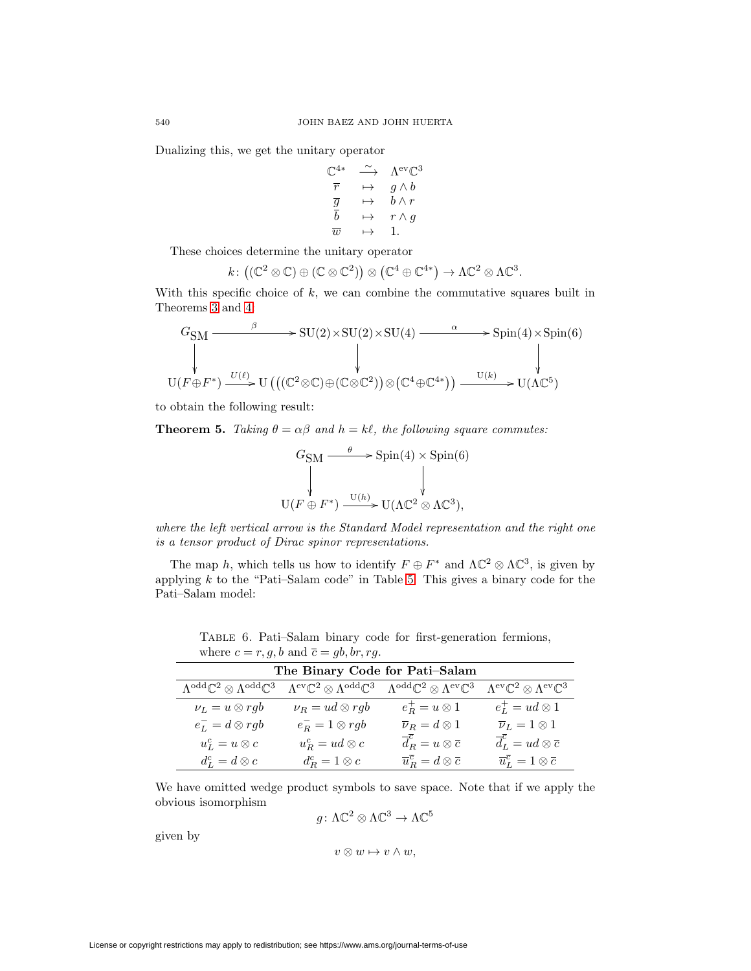Dualizing this, we get the unitary operator

$$
\begin{array}{ccc}\n\mathbb{C}^{4*} & \xrightarrow{\sim} & \Lambda^{\text{ev}} \mathbb{C}^3 \\
\overline{r} & \mapsto & g \wedge b \\
\overline{g} & \mapsto & b \wedge r \\
\overline{b} & \mapsto & r \wedge g \\
\overline{w} & \mapsto & 1.\n\end{array}
$$

These choices determine the unitary operator

$$
k\colon \big((\mathbb{C}^2\otimes\mathbb{C})\oplus(\mathbb{C}\otimes\mathbb{C}^2)\big)\otimes\big(\mathbb{C}^4\oplus\mathbb{C}^{4*}\big)\to\Lambda\mathbb{C}^2\otimes\Lambda\mathbb{C}^3.
$$

With this specific choice of  $k$ , we can combine the commutative squares built in Theorems [3](#page-52-1) and [4:](#page-53-0)

$$
G_{\text{SM}} \longrightarrow SU(2) \times SU(2) \times SU(4) \longrightarrow \text{Spin}(4) \times \text{Spin}(6)
$$
  
\n
$$
\downarrow \qquad \qquad \downarrow
$$
  
\n
$$
U(F \oplus F^*) \xrightarrow{U(\ell)} U \left( \left( (\mathbb{C}^2 \otimes \mathbb{C}) \oplus (\mathbb{C} \otimes \mathbb{C}^2) \right) \otimes (\mathbb{C}^4 \oplus \mathbb{C}^{4*}) \right) \xrightarrow{U(k)} U(\Lambda \mathbb{C}^5)
$$

<span id="page-57-0"></span>to obtain the following result:

**Theorem 5.** Taking  $\theta = \alpha \beta$  and  $h = k\ell$ , the following square commutes:

$$
G_{\text{SM}} \xrightarrow{\theta} \text{Spin}(4) \times \text{Spin}(6)
$$
  
\n
$$
\downarrow \qquad \qquad \downarrow
$$
  
\n
$$
U(F \oplus F^*) \xrightarrow{U(h)} U(\Lambda \mathbb{C}^2 \otimes \Lambda \mathbb{C}^3),
$$

where the left vertical arrow is the Standard Model representation and the right one is a tensor product of Dirac spinor representations.

The map h, which tells us how to identify  $F \oplus F^*$  and  $\Lambda \mathbb{C}^2 \otimes \Lambda \mathbb{C}^3$ , is given by applying  $k$  to the "Pati-Salam code" in Table [5.](#page-51-0) This gives a binary code for the Pati–Salam model:

Table 6. Pati–Salam binary code for first-generation fermions, where  $c = r, g, b$  and  $\overline{c} = gb, br, rg.$ 

<span id="page-57-1"></span>

| The Binary Code for Pati-Salam                                                     |                                                                                                                                                           |                                                       |                                                                             |
|------------------------------------------------------------------------------------|-----------------------------------------------------------------------------------------------------------------------------------------------------------|-------------------------------------------------------|-----------------------------------------------------------------------------|
| $\overline{\Lambda^{\rm odd}} \mathbb{C}^2 \otimes \Lambda^{\rm odd} \mathbb{C}^3$ | $\Lambda^{\text{ev}}\mathbb{C}^2 \otimes \Lambda^{\text{odd}}\mathbb{C}^3 \quad \Lambda^{\text{odd}}\mathbb{C}^2 \otimes \Lambda^{\text{ev}}\mathbb{C}^3$ |                                                       | $\Lambda^{\mathrm{ev}}\mathbb{C}^2\otimes\Lambda^{\mathrm{ev}}\mathbb{C}^3$ |
| $\nu_L = u \otimes rgb$                                                            | $\nu_R = ud \otimes rgb$                                                                                                                                  | $e^+_R = u \otimes 1$                                 | $e^+_L = ud \otimes 1$                                                      |
| $e^-_L = d \otimes rgb$                                                            | $e^-_B = 1 \otimes rgb$                                                                                                                                   | $\overline{\nu}_R = d \otimes 1$                      | $\overline{\nu}_L = 1 \otimes 1$                                            |
| $u_L^c = u \otimes c$                                                              | $u_R^c = ud \otimes c$                                                                                                                                    | $\overline{d}_B^{\overline{c}}=u\otimes \overline{c}$ | $\overline{d}_L^{\overline{c}} = ud \otimes \overline{c}$                   |
| $d_L^c = d \otimes c$                                                              | $d_R^c = 1 \otimes c$                                                                                                                                     | $\overline{u}_B^{\overline{c}}=d\otimes \overline{c}$ | $\overline{u}_L^{\overline{c}} = 1 \otimes \overline{c}$                    |

We have omitted wedge product symbols to save space. Note that if we apply the obvious isomorphism

$$
g\colon \Lambda\mathbb{C}^2\otimes\Lambda\mathbb{C}^3\to\Lambda\mathbb{C}^5
$$

given by

$$
v\otimes w\mapsto v\wedge w,
$$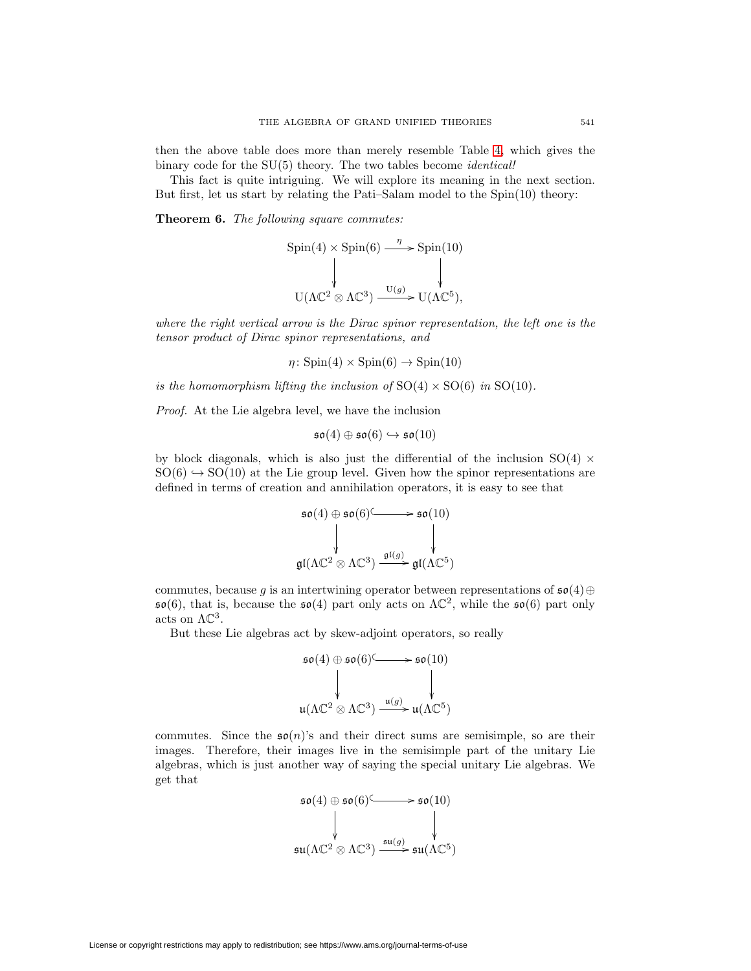then the above table does more than merely resemble Table [4,](#page-37-0) which gives the binary code for the SU(5) theory. The two tables become *identical!* 

<span id="page-58-0"></span>This fact is quite intriguing. We will explore its meaning in the next section. But first, let us start by relating the Pati–Salam model to the Spin(10) theory:

**Theorem 6.** The following square commutes:

$$
\text{Spin}(4) \times \text{Spin}(6) \xrightarrow{\eta} \text{Spin}(10)
$$
\n
$$
\downarrow \qquad \qquad \downarrow
$$
\n
$$
\text{U}(\Lambda \mathbb{C}^2 \otimes \Lambda \mathbb{C}^3) \xrightarrow{\text{U}(g)} \text{U}(\Lambda \mathbb{C}^5),
$$

where the right vertical arrow is the Dirac spinor representation, the left one is the tensor product of Dirac spinor representations, and

$$
\eta \colon \text{Spin}(4) \times \text{Spin}(6) \to \text{Spin}(10)
$$

is the homomorphism lifting the inclusion of  $SO(4) \times SO(6)$  in  $SO(10)$ .

Proof. At the Lie algebra level, we have the inclusion

$$
\mathfrak{so}(4)\oplus\mathfrak{so}(6)\hookrightarrow\mathfrak{so}(10)
$$

by block diagonals, which is also just the differential of the inclusion  $SO(4)$  ×  $SO(6) \rightarrow SO(10)$  at the Lie group level. Given how the spinor representations are defined in terms of creation and annihilation operators, it is easy to see that

$$
\mathfrak{so}(4) \oplus \mathfrak{so}(6) \longrightarrow \mathfrak{so}(10)
$$
\n
$$
\downarrow \qquad \qquad \downarrow
$$
\n
$$
\mathfrak{gl}(\Lambda \mathbb{C}^2 \otimes \Lambda \mathbb{C}^3) \xrightarrow{\mathfrak{gl}(g)} \mathfrak{gl}(\Lambda \mathbb{C}^5)
$$

commutes, because g is an intertwining operator between representations of  $\mathfrak{so}(4) \oplus$  $\mathfrak{so}(6)$ , that is, because the  $\mathfrak{so}(4)$  part only acts on  $\Lambda\mathbb{C}^2$ , while the  $\mathfrak{so}(6)$  part only acts on  $\Lambda \mathbb{C}^3$ .

But these Lie algebras act by skew-adjoint operators, so really

$$
\begin{array}{ccc}\n\mathfrak{so}(4) & \oplus & \mathfrak{so}(6) & \longrightarrow & \mathfrak{so}(10) \\
\downarrow & & \downarrow & & \downarrow \\
\mathfrak{u}(\Lambda \mathbb{C}^2 \otimes \Lambda \mathbb{C}^3) & \xrightarrow{\mathfrak{u}(g)} & \mathfrak{u}(\Lambda \mathbb{C}^5)\n\end{array}
$$

commutes. Since the  $\mathfrak{so}(n)$ 's and their direct sums are semisimple, so are their images. Therefore, their images live in the semisimple part of the unitary Lie algebras, which is just another way of saying the special unitary Lie algebras. We get that

$$
\mathfrak{so}(4) \oplus \mathfrak{so}(6) \longrightarrow \mathfrak{so}(10)
$$
\n
$$
\downarrow \qquad \qquad \downarrow
$$
\n
$$
\mathfrak{su}(\Lambda \mathbb{C}^2 \otimes \Lambda \mathbb{C}^3) \xrightarrow{\mathfrak{su}(g)} \mathfrak{su}(\Lambda \mathbb{C}^5)
$$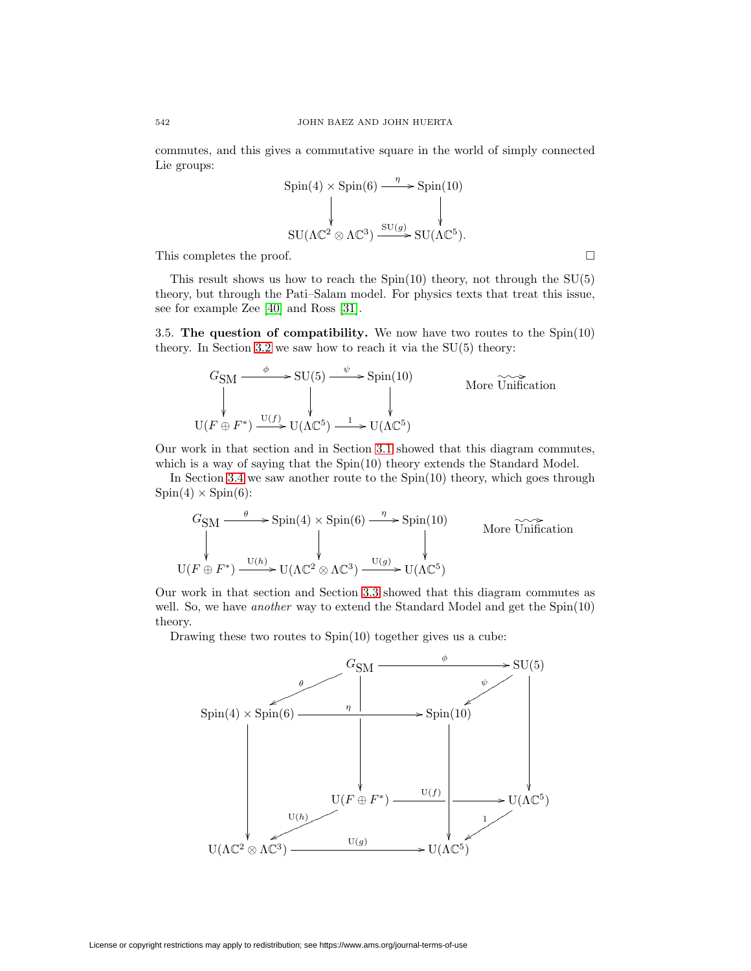commutes, and this gives a commutative square in the world of simply connected Lie groups:

$$
\text{Spin}(4) \times \text{Spin}(6) \xrightarrow{\eta} \text{Spin}(10)
$$
\n
$$
\downarrow \qquad \qquad \downarrow
$$
\n
$$
\text{SU}(\Lambda \mathbb{C}^2 \otimes \Lambda \mathbb{C}^3) \xrightarrow{\text{SU}(g)} \text{SU}(\Lambda \mathbb{C}^5).
$$

 $\Box$ 

This completes the proof.

This result shows us how to reach the  $Spin(10)$  theory, not through the  $SU(5)$ theory, but through the Pati–Salam model. For physics texts that treat this issue, see for example Zee [\[40\]](#page-69-0) and Ross [\[31\]](#page-68-12).

<span id="page-59-0"></span>3.5. **The question of compatibility.** We now have two routes to the Spin(10) theory. In Section [3.2](#page-39-0) we saw how to reach it via the  $SU(5)$  theory:

$$
G_{\text{SM}} \xrightarrow{\phi} \text{SU}(5) \xrightarrow{\psi} \text{Spin}(10) \qquad \text{More Unification}
$$
  

$$
\downarrow \qquad \qquad \downarrow \qquad \qquad \downarrow \qquad \qquad \text{More Unification}
$$
  

$$
\text{U}(F \oplus F^*) \xrightarrow{\text{U}(f)} \text{U}(\Lambda \mathbb{C}^5) \xrightarrow{1} \text{U}(\Lambda \mathbb{C}^5)
$$

Our work in that section and in Section [3.1](#page-29-0) showed that this diagram commutes, which is a way of saying that the  $Spin(10)$  theory extends the Standard Model.

In Section [3.4](#page-52-0) we saw another route to the Spin(10) theory, which goes through  $Spin(4) \times Spin(6)$ :

$$
G_{\text{SM}} \xrightarrow{\theta} \text{Spin}(4) \times \text{Spin}(6) \xrightarrow{\eta} \text{Spin}(10) \qquad \text{More Unification}
$$
  

$$
\downarrow \qquad \qquad \downarrow \qquad \qquad \text{More Unification}
$$
  

$$
\text{U}(F \oplus F^*) \xrightarrow{\text{U}(h)} \text{U}(\Lambda \mathbb{C}^2 \otimes \Lambda \mathbb{C}^3) \xrightarrow{\text{U}(g)} \text{U}(\Lambda \mathbb{C}^5)
$$

Our work in that section and Section [3.3](#page-44-0) showed that this diagram commutes as well. So, we have *another* way to extend the Standard Model and get the  $Spin(10)$ theory.

Drawing these two routes to Spin(10) together gives us a cube:

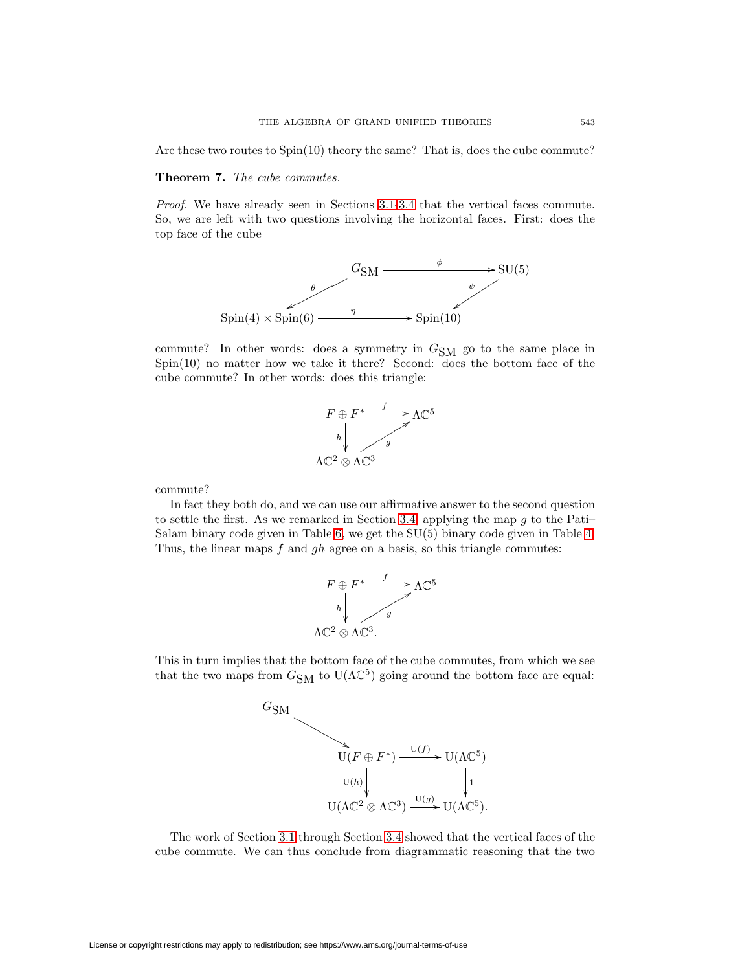<span id="page-60-0"></span>Are these two routes to Spin(10) theory the same? That is, does the cube commute?

## **Theorem 7.** The cube commutes.

Proof. We have already seen in Sections [3.1](#page-29-0)[-3.4](#page-52-0) that the vertical faces commute. So, we are left with two questions involving the horizontal faces. First: does the top face of the cube



commute? In other words: does a symmetry in  $G_{\rm SM}$  go to the same place in  $Spin(10)$  no matter how we take it there? Second: does the bottom face of the cube commute? In other words: does this triangle:



commute?

In fact they both do, and we can use our affirmative answer to the second question to settle the first. As we remarked in Section [3.4,](#page-52-0) applying the map  $g$  to the Pati– Salam binary code given in Table [6,](#page-57-1) we get the SU(5) binary code given in Table [4.](#page-37-0) Thus, the linear maps  $f$  and  $gh$  agree on a basis, so this triangle commutes:



This in turn implies that the bottom face of the cube commutes, from which we see that the two maps from  $G_{SM}$  to  $U(\Lambda \mathbb{C}^5)$  going around the bottom face are equal:



The work of Section [3.1](#page-29-0) through Section [3.4](#page-52-0) showed that the vertical faces of the cube commute. We can thus conclude from diagrammatic reasoning that the two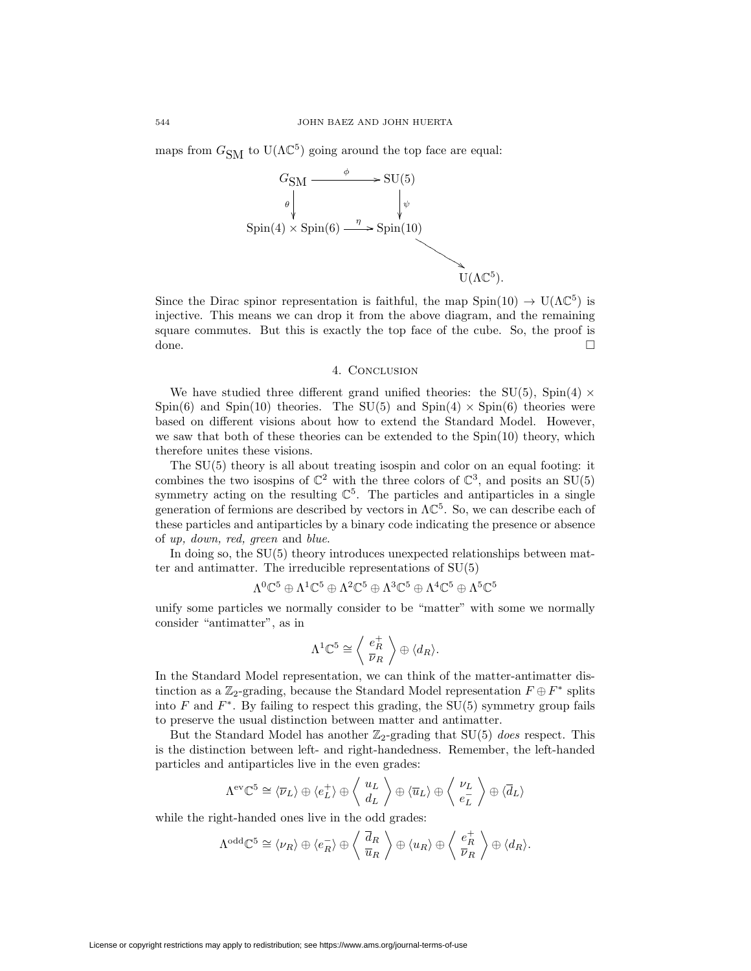maps from  $G<sub>SM</sub>$  to  $U(\Lambda \mathbb{C}^5)$  going around the top face are equal:



Since the Dirac spinor representation is faithful, the map  $Spin(10) \rightarrow U(\Lambda \mathbb{C}^5)$  is injective. This means we can drop it from the above diagram, and the remaining square commutes. But this is exactly the top face of the cube. So, the proof is  $\Box$ 

# 4. CONCLUSION

<span id="page-61-0"></span>We have studied three different grand unified theories: the SU(5), Spin(4)  $\times$ Spin(6) and Spin(10) theories. The SU(5) and Spin(4)  $\times$  Spin(6) theories were based on different visions about how to extend the Standard Model. However, we saw that both of these theories can be extended to the Spin(10) theory, which therefore unites these visions.

The SU(5) theory is all about treating isospin and color on an equal footing: it combines the two isospins of  $\mathbb{C}^2$  with the three colors of  $\mathbb{C}^3$ , and posits an SU(5) symmetry acting on the resulting  $\mathbb{C}^5$ . The particles and antiparticles in a single generation of fermions are described by vectors in  $\Lambda \mathbb{C}^5$ . So, we can describe each of these particles and antiparticles by a binary code indicating the presence or absence of up, down, red, green and blue.

In doing so, the SU(5) theory introduces unexpected relationships between matter and antimatter. The irreducible representations of SU(5)

$$
\Lambda^0\mathbb{C}^5\oplus\Lambda^1\mathbb{C}^5\oplus\Lambda^2\mathbb{C}^5\oplus\Lambda^3\mathbb{C}^5\oplus\Lambda^4\mathbb{C}^5\oplus\Lambda^5\mathbb{C}^5
$$

unify some particles we normally consider to be "matter" with some we normally consider "antimatter", as in

$$
\Lambda^1 \mathbb{C}^5 \cong \left\langle \begin{array}{c} e_R^+ \\ \overline{\nu}_R \end{array} \right\rangle \oplus \langle d_R \rangle.
$$

In the Standard Model representation, we can think of the matter-antimatter distinction as a  $\mathbb{Z}_2$ -grading, because the Standard Model representation  $F \oplus F^*$  splits into F and  $F^*$ . By failing to respect this grading, the SU(5) symmetry group fails to preserve the usual distinction between matter and antimatter.

But the Standard Model has another  $\mathbb{Z}_2$ -grading that SU(5) does respect. This is the distinction between left- and right-handedness. Remember, the left-handed particles and antiparticles live in the even grades:

$$
\Lambda^{\text{ev}}\mathbb{C}^5 \cong \langle \overline{\nu}_L \rangle \oplus \langle e_L^+ \rangle \oplus \langle \frac{u_L}{d_L} \rangle \oplus \langle \overline{u}_L \rangle \oplus \langle \frac{\nu_L}{e_L^-} \rangle \oplus \langle \overline{d}_L \rangle
$$

while the right-handed ones live in the odd grades:

$$
\Lambda^{\text{odd}}\mathbb{C}^5 \cong \langle \nu_R \rangle \oplus \langle e_R^- \rangle \oplus \left\langle \frac{\overline{d}_R}{\overline{u}_R} \right\rangle \oplus \langle u_R \rangle \oplus \left\langle \frac{e_R^+}{\overline{\nu}_R} \right\rangle \oplus \langle d_R \rangle.
$$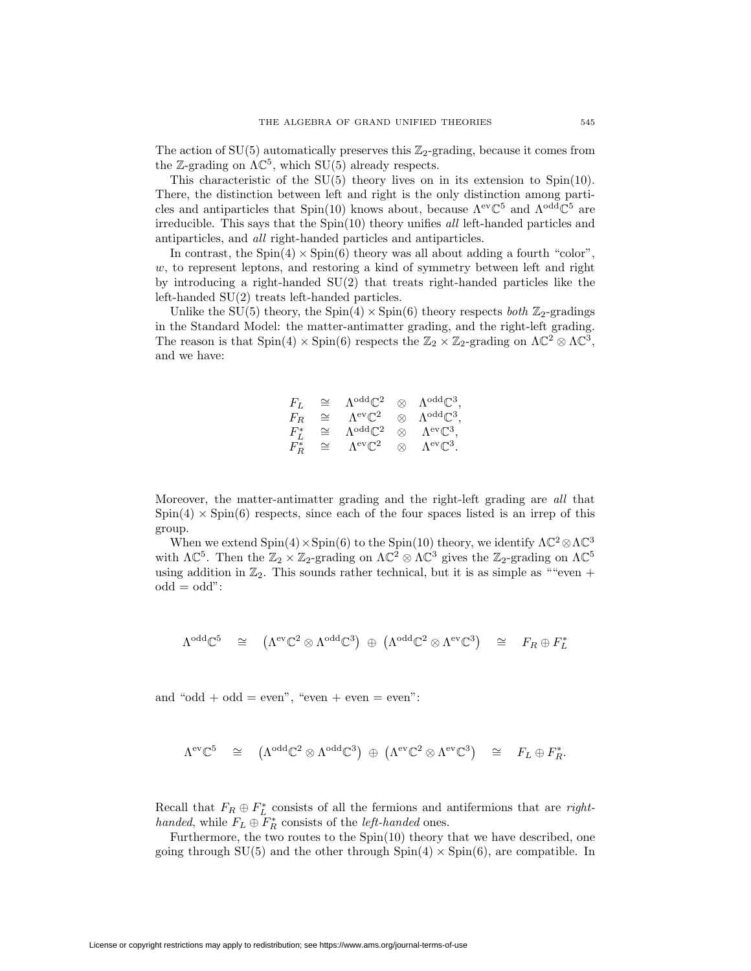The action of  $SU(5)$  automatically preserves this  $\mathbb{Z}_2$ -grading, because it comes from the Z-grading on  $\Lambda \mathbb{C}^5$ , which SU(5) already respects.

This characteristic of the  $SU(5)$  theory lives on in its extension to  $Spin(10)$ . There, the distinction between left and right is the only distinction among particles and antiparticles that Spin(10) knows about, because  $\Lambda^{\text{ev}}\mathbb{C}^5$  and  $\Lambda^{\text{odd}}\mathbb{C}^5$  are irreducible. This says that the Spin(10) theory unifies all left-handed particles and antiparticles, and all right-handed particles and antiparticles.

In contrast, the  $Spin(4) \times Spin(6)$  theory was all about adding a fourth "color",  $w$ , to represent leptons, and restoring a kind of symmetry between left and right by introducing a right-handed SU(2) that treats right-handed particles like the left-handed SU(2) treats left-handed particles.

Unlike the SU(5) theory, the Spin(4)  $\times$  Spin(6) theory respects both  $\mathbb{Z}_2$ -gradings in the Standard Model: the matter-antimatter grading, and the right-left grading. The reason is that  $Spin(4) \times Spin(6)$  respects the  $\mathbb{Z}_2 \times \mathbb{Z}_2$ -grading on  $\Lambda \mathbb{C}^2 \otimes \Lambda \mathbb{C}^3$ , and we have:

$$
\begin{array}{rclcl} F_L &\cong& \Lambda^{\text{odd}}\mathbb{C}^2 &\otimes& \Lambda^{\text{odd}}\mathbb{C}^3,\\ F_R &\cong& \Lambda^{\text{ev}}\mathbb{C}^2 &\otimes& \Lambda^{\text{odd}}\mathbb{C}^3,\\ F_L^* &\cong& \Lambda^{\text{odd}}\mathbb{C}^2 &\otimes& \Lambda^{\text{ev}}\mathbb{C}^3,\\ F_R^* &\cong& \Lambda^{\text{ev}}\mathbb{C}^2 &\otimes& \Lambda^{\text{ev}}\mathbb{C}^3. \end{array}
$$

Moreover, the matter-antimatter grading and the right-left grading are all that  $Spin(4) \times Spin(6)$  respects, since each of the four spaces listed is an irrep of this group.

When we extend  $\text{Spin}(4) \times \text{Spin}(6)$  to the  $\text{Spin}(10)$  theory, we identify  $\Lambda \mathbb{C}^2 \otimes \Lambda \mathbb{C}^3$ with  $\Lambda \mathbb{C}^5$ . Then the  $\mathbb{Z}_2 \times \mathbb{Z}_2$ -grading on  $\Lambda \mathbb{C}^2 \otimes \Lambda \mathbb{C}^3$  gives the  $\mathbb{Z}_2$ -grading on  $\Lambda \mathbb{C}^5$ using addition in  $\mathbb{Z}_2$ . This sounds rather technical, but it is as simple as ""even +  $odd = odd$ ":

$$
\Lambda^{\text{odd}}\mathbb{C}^5 \quad \cong \quad \left(\Lambda^{\text{ev}}\mathbb{C}^2\otimes\Lambda^{\text{odd}}\mathbb{C}^3\right)\; \oplus \; \left(\Lambda^{\text{odd}}\mathbb{C}^2\otimes\Lambda^{\text{ev}}\mathbb{C}^3\right) \quad \cong \quad F_R\oplus F_L^*
$$

and "odd  $+$  odd  $=$  even", "even  $+$  even  $=$  even":

$$
\Lambda^{\text{ev}}\mathbb{C}^5 \quad \cong \quad \left(\Lambda^{\text{odd}}\mathbb{C}^2\otimes\Lambda^{\text{odd}}\mathbb{C}^3\right)\; \oplus \; \left(\Lambda^{\text{ev}}\mathbb{C}^2\otimes\Lambda^{\text{ev}}\mathbb{C}^3\right) \quad \cong \quad F_L\oplus F_R^*.
$$

Recall that  $F_R \oplus F_L^*$  consists of all the fermions and antifermions that are *right*handed, while  $F_L \oplus F_R^*$  consists of the *left-handed* ones.

Furthermore, the two routes to the  $Spin(10)$  theory that we have described, one going through SU(5) and the other through  $Spin(4) \times Spin(6)$ , are compatible. In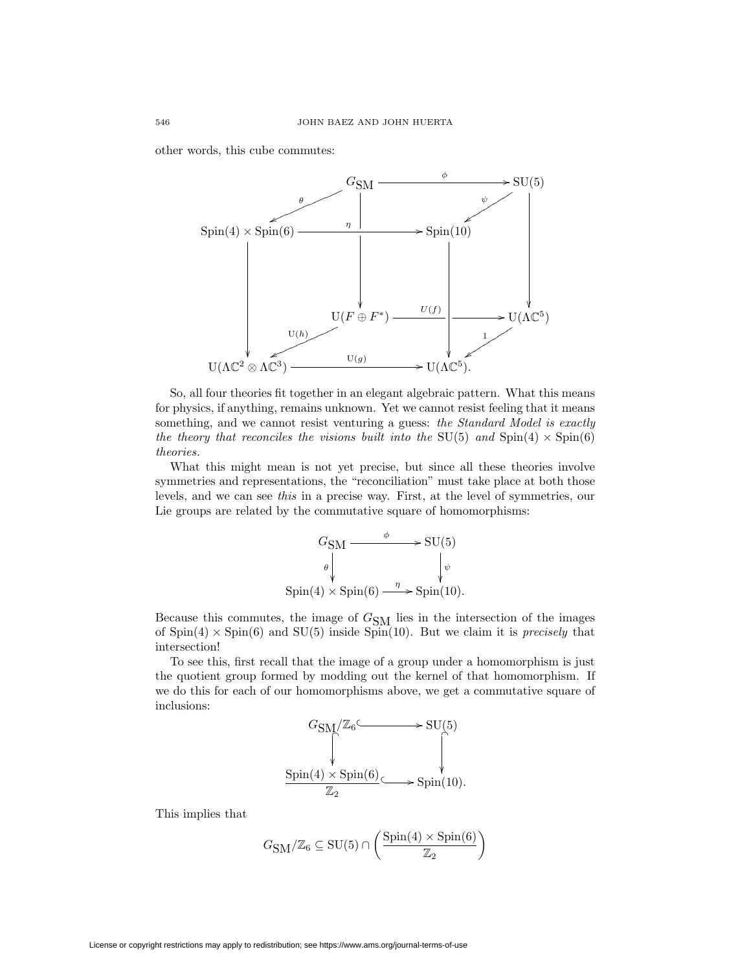other words, this cube commutes:



So, all four theories fit together in an elegant algebraic pattern. What this means for physics, if anything, remains unknown. Yet we cannot resist feeling that it means something, and we cannot resist venturing a guess: the Standard Model is exactly the theory that reconciles the visions built into the SU(5) and Spin(4)  $\times$  Spin(6) theories.

What this might mean is not yet precise, but since all these theories involve symmetries and representations, the "reconciliation" must take place at both those levels, and we can see this in a precise way. First, at the level of symmetries, our Lie groups are related by the commutative square of homomorphisms:



Because this commutes, the image of  $G_{SM}$  lies in the intersection of the images of  $Spin(4) \times Spin(6)$  and  $SU(5)$  inside  $Spin(10)$ . But we claim it is *precisely* that intersection!

To see this, first recall that the image of a group under a homomorphism is just the quotient group formed by modding out the kernel of that homomorphism. If we do this for each of our homomorphisms above, we get a commutative square of inclusions:



This implies that

$$
G_{\text{SM}}/\mathbb{Z}_6 \subseteq \text{SU}(5) \cap \left( \frac{\text{Spin}(4) \times \text{Spin}(6)}{\mathbb{Z}_2} \right)
$$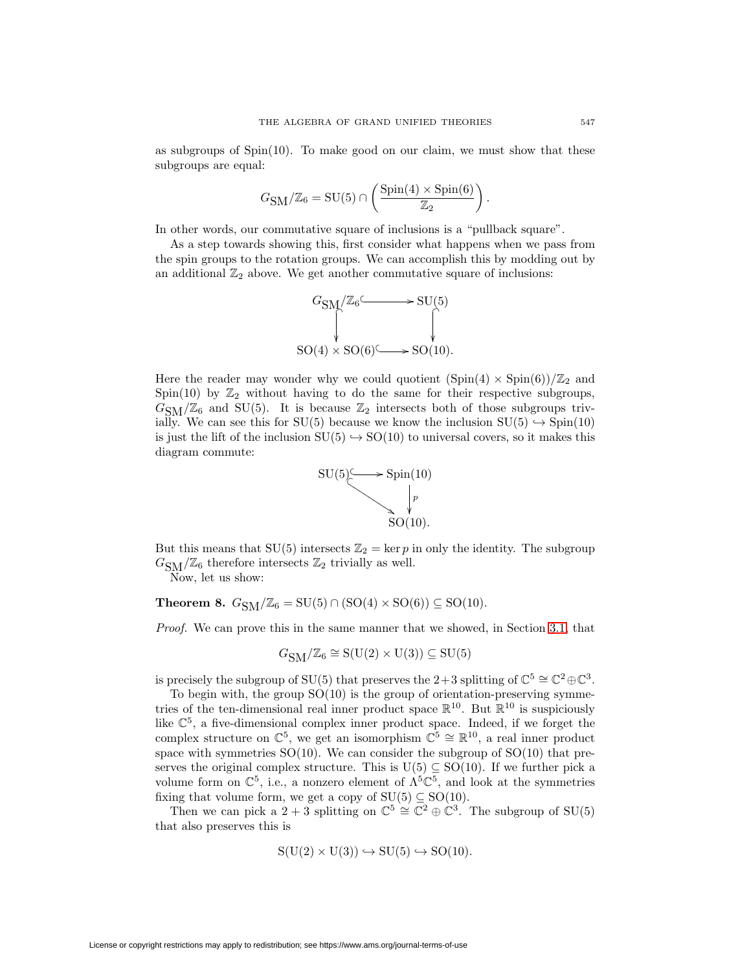as subgroups of  $Spin(10)$ . To make good on our claim, we must show that these subgroups are equal:

$$
G_{\text{SM}}/\mathbb{Z}_6 = \text{SU}(5) \cap \left( \frac{\text{Spin}(4) \times \text{Spin}(6)}{\mathbb{Z}_2} \right).
$$

In other words, our commutative square of inclusions is a "pullback square".

As a step towards showing this, first consider what happens when we pass from the spin groups to the rotation groups. We can accomplish this by modding out by an additional  $\mathbb{Z}_2$  above. We get another commutative square of inclusions:



Here the reader may wonder why we could quotient  $(Spin(4) \times Spin(6))/\mathbb{Z}_2$  and Spin(10) by  $\mathbb{Z}_2$  without having to do the same for their respective subgroups,  $G<sub>SM</sub>/\mathbb{Z}_6$  and SU(5). It is because  $\mathbb{Z}_2$  intersects both of those subgroups trivially. We can see this for SU(5) because we know the inclusion  $SU(5) \hookrightarrow Spin(10)$ is just the lift of the inclusion  $SU(5) \hookrightarrow SO(10)$  to universal covers, so it makes this diagram commute:



But this means that SU(5) intersects  $\mathbb{Z}_2 = \ker p$  in only the identity. The subgroup  $G_{\rm SM}/\mathbb{Z}_6$  therefore intersects  $\mathbb{Z}_2$  trivially as well.

Now, let us show:

<span id="page-64-0"></span>**Theorem 8.**  $G_{\text{SM}}/\mathbb{Z}_6 = \text{SU}(5) \cap (\text{SO}(4) \times \text{SO}(6)) \subseteq \text{SO}(10).$ 

Proof. We can prove this in the same manner that we showed, in Section [3.1,](#page-29-0) that

$$
G_{\text{SM}}/\mathbb{Z}_6 \cong \text{S}(\text{U}(2) \times \text{U}(3)) \subseteq \text{SU}(5)
$$

is precisely the subgroup of SU(5) that preserves the 2+3 splitting of  $\mathbb{C}^5 \cong \mathbb{C}^2 \oplus \mathbb{C}^3$ .

To begin with, the group  $SO(10)$  is the group of orientation-preserving symmetries of the ten-dimensional real inner product space  $\mathbb{R}^{10}$ . But  $\mathbb{R}^{10}$  is suspiciously like  $\mathbb{C}^5$ , a five-dimensional complex inner product space. Indeed, if we forget the complex structure on  $\mathbb{C}^5$ , we get an isomorphism  $\mathbb{C}^5 \cong \mathbb{R}^{10}$ , a real inner product space with symmetries  $SO(10)$ . We can consider the subgroup of  $SO(10)$  that preserves the original complex structure. This is  $U(5) \subseteq SO(10)$ . If we further pick a volume form on  $\mathbb{C}^5$ , i.e., a nonzero element of  $\Lambda^5 \mathbb{C}^5$ , and look at the symmetries fixing that volume form, we get a copy of  $SU(5) \subseteq SO(10)$ .

Then we can pick a 2 + 3 splitting on  $\mathbb{C}^5 \cong \mathbb{C}^2 \oplus \mathbb{C}^3$ . The subgroup of SU(5) that also preserves this is

$$
S(U(2) \times U(3)) \hookrightarrow SU(5) \hookrightarrow SO(10).
$$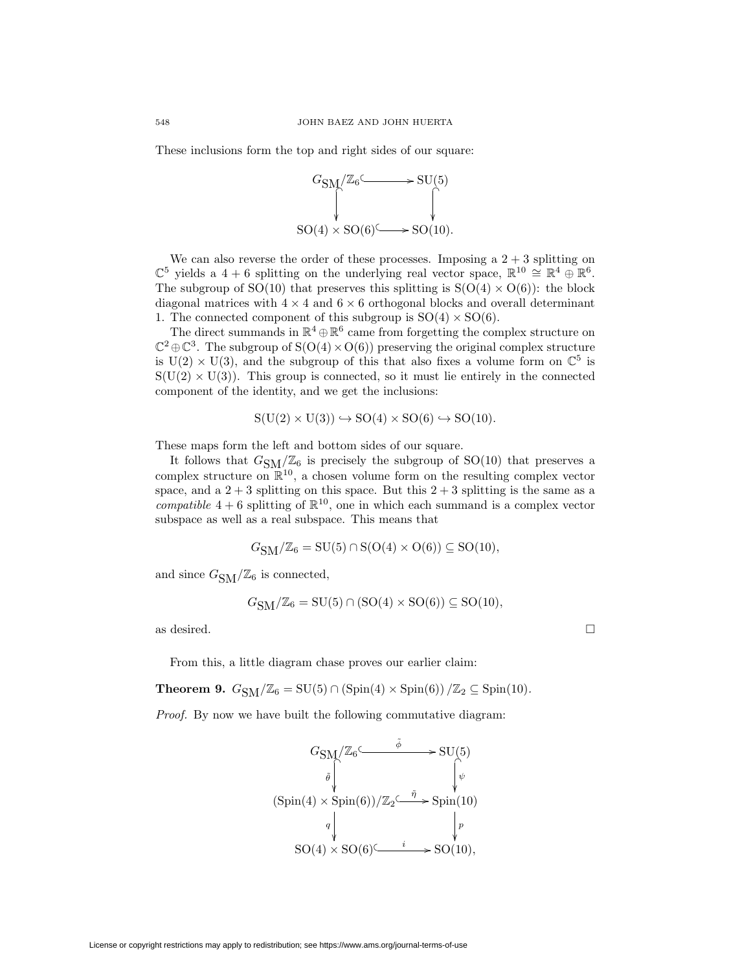These inclusions form the top and right sides of our square:



We can also reverse the order of these processes. Imposing a  $2 + 3$  splitting on  $\mathbb{C}^5$  yields a 4 + 6 splitting on the underlying real vector space,  $\mathbb{R}^{10} \cong \mathbb{R}^4 \oplus \mathbb{R}^6$ . The subgroup of SO(10) that preserves this splitting is  $S(O(4) \times O(6))$ : the block diagonal matrices with  $4 \times 4$  and  $6 \times 6$  orthogonal blocks and overall determinant 1. The connected component of this subgroup is  $SO(4) \times SO(6)$ .

The direct summands in  $\mathbb{R}^4 \oplus \mathbb{R}^6$  came from forgetting the complex structure on  $\mathbb{C}^2 \oplus \mathbb{C}^3$ . The subgroup of  $S(O(4) \times O(6))$  preserving the original complex structure is  $U(2) \times U(3)$ , and the subgroup of this that also fixes a volume form on  $\mathbb{C}^5$  is  $S(U(2) \times U(3))$ . This group is connected, so it must lie entirely in the connected component of the identity, and we get the inclusions:

$$
S(U(2) \times U(3)) \hookrightarrow SO(4) \times SO(6) \hookrightarrow SO(10).
$$

These maps form the left and bottom sides of our square.

It follows that  $G_{\text{SM}}/\mathbb{Z}_6$  is precisely the subgroup of SO(10) that preserves a complex structure on  $\mathbb{R}^{10}$ , a chosen volume form on the resulting complex vector space, and a  $2 + 3$  splitting on this space. But this  $2 + 3$  splitting is the same as a compatible  $4 + 6$  splitting of  $\mathbb{R}^{10}$ , one in which each summand is a complex vector subspace as well as a real subspace. This means that

$$
G_{\hbox{SM}}/{\mathbb Z}_6={\rm SU}(5)\cap {\rm S}({\rm O}(4)\times {\rm O}(6))\subseteq {\rm SO}(10),
$$

and since  $G_{\text{SM}}/\mathbb{Z}_6$  is connected,

$$
G_{\text{SM}}/\mathbb{Z}_6 = \text{SU}(5) \cap (\text{SO}(4) \times \text{SO}(6)) \subseteq \text{SO}(10),
$$

as desired.  $\Box$ 

From this, a little diagram chase proves our earlier claim:

<span id="page-65-0"></span>**Theorem 9.**  $G_{\text{SM}}/\mathbb{Z}_6 = \text{SU}(5) \cap (\text{Spin}(4) \times \text{Spin}(6))/\mathbb{Z}_2 \subseteq \text{Spin}(10)$ .

Proof. By now we have built the following commutative diagram:

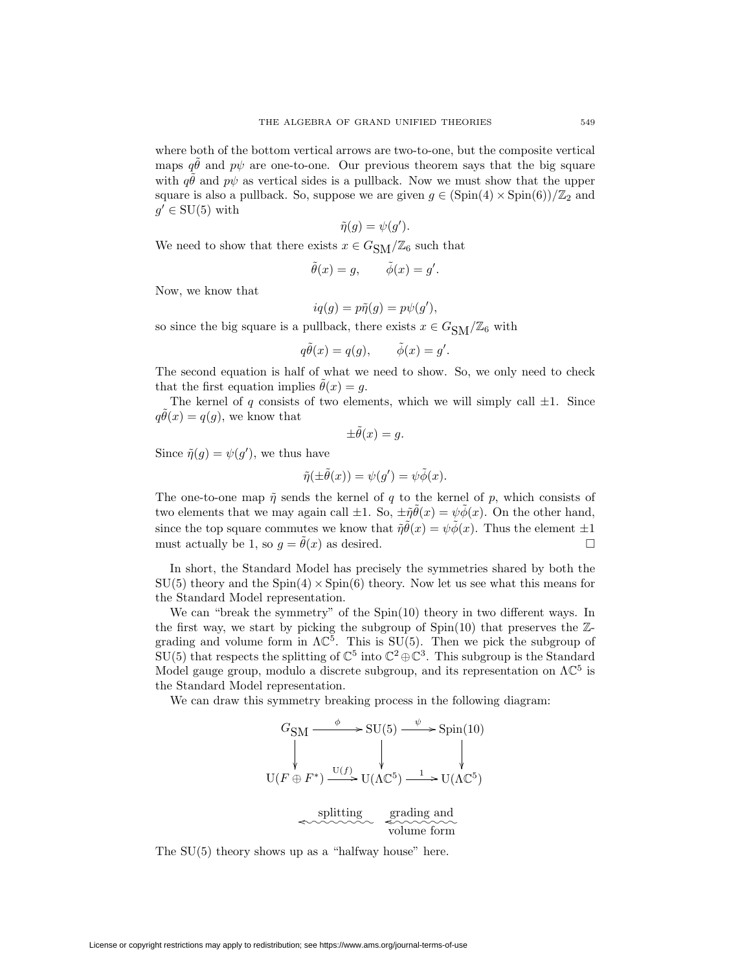where both of the bottom vertical arrows are two-to-one, but the composite vertical maps  $q\ddot{\theta}$  and  $p\psi$  are one-to-one. Our previous theorem says that the big square with  $q\hat{\theta}$  and  $p\psi$  as vertical sides is a pullback. Now we must show that the upper square is also a pullback. So, suppose we are given  $g \in (\text{Spin}(4) \times \text{Spin}(6))/\mathbb{Z}_2$  and  $g' \in SU(5)$  with

$$
\tilde{\eta}(g) = \psi(g').
$$

We need to show that there exists  $x \in G_{\text{SM}}/\mathbb{Z}_6$  such that

$$
\tilde{\theta}(x) = g, \qquad \tilde{\phi}(x) = g'.
$$

Now, we know that

$$
iq(g) = p\tilde{\eta}(g) = p\psi(g'),
$$

so since the big square is a pullback, there exists  $x \in G<sub>SM</sub>/\mathbb{Z}_6$  with

$$
q\tilde{\theta}(x) = q(g), \qquad \tilde{\phi}(x) = g'.
$$

The second equation is half of what we need to show. So, we only need to check that the first equation implies  $\theta(x) = q$ .

The kernel of q consists of two elements, which we will simply call  $\pm 1$ . Since  $q\tilde{\theta}(x) = q(g)$ , we know that

$$
\pm \tilde{\theta}(x) = g.
$$

Since  $\tilde{\eta}(g) = \psi(g')$ , we thus have

$$
\tilde{\eta}(\pm \tilde{\theta}(x)) = \psi(g') = \psi \tilde{\phi}(x).
$$

The one-to-one map  $\tilde{\eta}$  sends the kernel of q to the kernel of p, which consists of two elements that we may again call  $\pm 1$ . So,  $\pm \tilde{\eta}\tilde{\theta}(x) = \psi \tilde{\phi}(x)$ . On the other hand, since the top square commutes we know that  $\tilde{\eta}\tilde{\theta}(x) = \psi\tilde{\phi}(x)$ . Thus the element  $\pm 1$ must actually be 1, so  $q = \theta(x)$  as desired.  $\Box$ 

In short, the Standard Model has precisely the symmetries shared by both the  $SU(5)$  theory and the  $Spin(4) \times Spin(6)$  theory. Now let us see what this means for the Standard Model representation.

We can "break the symmetry" of the Spin(10) theory in two different ways. In the first way, we start by picking the subgroup of  $Spin(10)$  that preserves the  $\mathbb{Z}$ grading and volume form in  $\Lambda \mathbb{C}^5$ . This is SU(5). Then we pick the subgroup of  $\text{SU}(5)$  that respects the splitting of  $\mathbb{C}^5$  into  $\mathbb{C}^2 \oplus \mathbb{C}^3$ . This subgroup is the Standard Model gauge group, modulo a discrete subgroup, and its representation on  $\Lambda \mathbb{C}^5$  is the Standard Model representation.

We can draw this symmetry breaking process in the following diagram:

$$
G_{\text{SM}} \xrightarrow{\phi} \text{SU}(5) \xrightarrow{\psi} \text{Spin}(10)
$$
\n
$$
\downarrow \qquad \qquad \downarrow \qquad \qquad \downarrow
$$
\n
$$
\text{U}(F \oplus F^*) \xrightarrow{\text{U}(f)} \text{U}(\Lambda \mathbb{C}^5) \xrightarrow{1} \text{U}(\Lambda \mathbb{C}^5)
$$
\n
$$
\text{splitting} \qquad \text{grading and volume form}
$$

The SU(5) theory shows up as a "halfway house" here.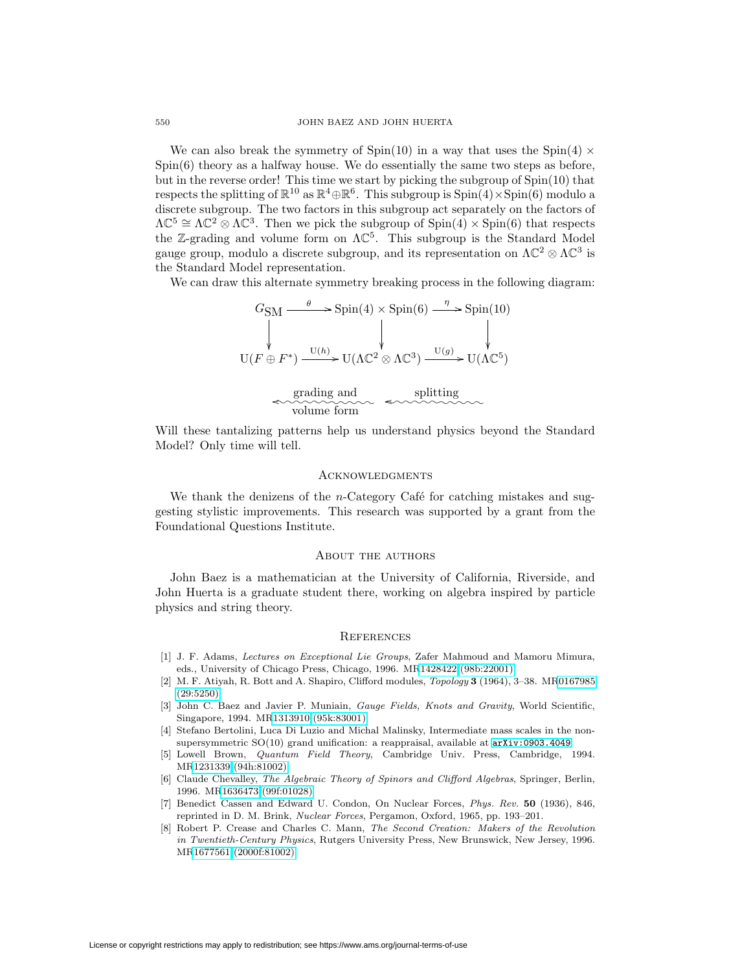We can also break the symmetry of  $Spin(10)$  in a way that uses the  $Spin(4) \times$  $Spin(6)$  theory as a halfway house. We do essentially the same two steps as before, but in the reverse order! This time we start by picking the subgroup of Spin(10) that respects the splitting of  $\mathbb{R}^{10}$  as  $\mathbb{R}^4 \oplus \mathbb{R}^6$ . This subgroup is  $Spin(4) \times Spin(6)$  modulo a discrete subgroup. The two factors in this subgroup act separately on the factors of  $\Lambda \mathbb{C}^5 \cong \Lambda \mathbb{C}^2 \otimes \Lambda \mathbb{C}^3$ . Then we pick the subgroup of Spin(4)  $\times$  Spin(6) that respects the Z-grading and volume form on  $\Lambda \mathbb{C}^5$ . This subgroup is the Standard Model gauge group, modulo a discrete subgroup, and its representation on  $\Lambda \mathbb{C}^2 \otimes \Lambda \mathbb{C}^3$  is the Standard Model representation.

We can draw this alternate symmetry breaking process in the following diagram:

$$
G_{\text{SM}} \xrightarrow{\theta} \text{Spin}(4) \times \text{Spin}(6) \xrightarrow{\eta} \text{Spin}(10)
$$
\n
$$
\downarrow \qquad \qquad \downarrow \qquad \qquad \downarrow
$$
\n
$$
\text{U}(F \oplus F^*) \xrightarrow{\text{U}(h)} \text{U}(\Lambda \mathbb{C}^2 \otimes \Lambda \mathbb{C}^3) \xrightarrow{\text{U}(g)} \text{U}(\Lambda \mathbb{C}^5)
$$
\ngrading and splitting

\n
$$
\text{volume form}
$$

Will these tantalizing patterns help us understand physics beyond the Standard Model? Only time will tell.

#### **ACKNOWLEDGMENTS**

We thank the denizens of the  $n$ -Category Café for catching mistakes and suggesting stylistic improvements. This research was supported by a grant from the Foundational Questions Institute.

#### About the authors

John Baez is a mathematician at the University of California, Riverside, and John Huerta is a graduate student there, working on algebra inspired by particle physics and string theory.

### **REFERENCES**

- <span id="page-67-7"></span>[1] J. F. Adams, Lectures on Exceptional Lie Groups, Zafer Mahmoud and Mamoru Mimura, eds., University of Chicago Press, Chicago, 1996. M[R1428422 \(98b:22001\)](http://www.ams.org/mathscinet-getitem?mr=1428422)
- <span id="page-67-6"></span>[2] M. F. Atiyah, R. Bott and A. Shapiro, Clifford modules, Topology **3** (1964), 3–38. M[R0167985](http://www.ams.org/mathscinet-getitem?mr=0167985) [\(29:5250\)](http://www.ams.org/mathscinet-getitem?mr=0167985)
- <span id="page-67-3"></span>[3] John C. Baez and Javier P. Muniain, *Gauge Fields, Knots and Gravity*, World Scientific, Singapore, 1994. M[R1313910 \(95k:83001\)](http://www.ams.org/mathscinet-getitem?mr=1313910)
- <span id="page-67-0"></span>[4] Stefano Bertolini, Luca Di Luzio and Michal Malinsky, Intermediate mass scales in the nonsupersymmetric SO(10) grand unification: a reappraisal, available at [arXiv:0903.4049](http://arxiv.org/abs/hep-ph/0903.4049).
- <span id="page-67-2"></span>[5] Lowell Brown, Quantum Field Theory, Cambridge Univ. Press, Cambridge, 1994. M[R1231339 \(94h:81002\)](http://www.ams.org/mathscinet-getitem?mr=1231339)
- <span id="page-67-1"></span>[6] Claude Chevalley, The Algebraic Theory of Spinors and Clifford Algebras, Springer, Berlin, 1996. M[R1636473 \(99f:01028\)](http://www.ams.org/mathscinet-getitem?mr=1636473)
- <span id="page-67-5"></span>[7] Benedict Cassen and Edward U. Condon, On Nuclear Forces, Phys. Rev. **50** (1936), 846, reprinted in D. M. Brink, Nuclear Forces, Pergamon, Oxford, 1965, pp. 193–201.
- <span id="page-67-4"></span>Robert P. Crease and Charles C. Mann, The Second Creation: Makers of the Revolution in Twentieth-Century Physics, Rutgers University Press, New Brunswick, New Jersey, 1996. M[R1677561 \(2000f:81002\)](http://www.ams.org/mathscinet-getitem?mr=1677561)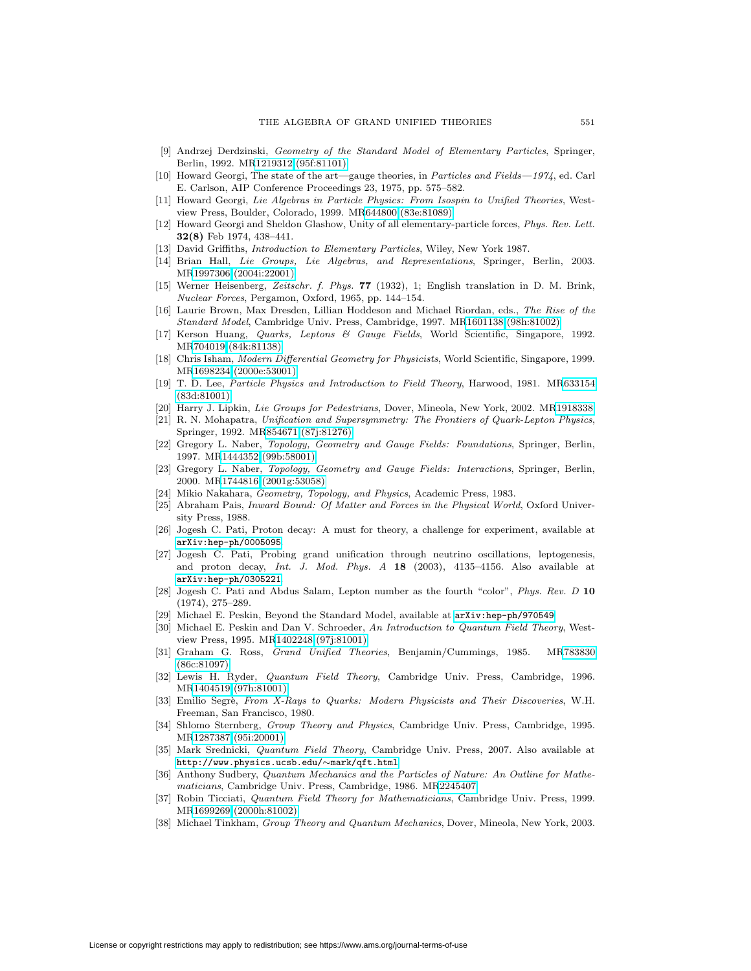- [9] Andrzej Derdzinski, Geometry of the Standard Model of Elementary Particles, Springer, Berlin, 1992. M[R1219312 \(95f:81101\)](http://www.ams.org/mathscinet-getitem?mr=1219312)
- <span id="page-68-27"></span>[10] Howard Georgi, The state of the art—gauge theories, in Particles and Fields—1974, ed. Carl E. Carlson, AIP Conference Proceedings 23, 1975, pp. 575–582.
- <span id="page-68-7"></span>[11] Howard Georgi, Lie Algebras in Particle Physics: From Isospin to Unified Theories, Westview Press, Boulder, Colorado, 1999. M[R644800 \(83e:81089\)](http://www.ams.org/mathscinet-getitem?mr=644800)
- <span id="page-68-26"></span>[12] Howard Georgi and Sheldon Glashow, Unity of all elementary-particle forces, Phys. Rev. Lett. **32(8)** Feb 1974, 438–441.
- <span id="page-68-8"></span><span id="page-68-3"></span>[13] David Griffiths, *Introduction to Elementary Particles*, Wiley, New York 1987.
- [14] Brian Hall, Lie Groups, Lie Algebras, and Representations, Springer, Berlin, 2003. M[R1997306 \(2004i:22001\)](http://www.ams.org/mathscinet-getitem?mr=1997306)
- <span id="page-68-25"></span>[15] Werner Heisenberg, Zeitschr. f. Phys. **77** (1932), 1; English translation in D. M. Brink, Nuclear Forces, Pergamon, Oxford, 1965, pp. 144–154.
- <span id="page-68-24"></span>[16] Laurie Brown, Max Dresden, Lillian Hoddeson and Michael Riordan, eds., The Rise of the Standard Model, Cambridge Univ. Press, Cambridge, 1997. M[R1601138 \(98h:81002\)](http://www.ams.org/mathscinet-getitem?mr=1601138)
- <span id="page-68-10"></span>[17] Kerson Huang, Quarks, Leptons & Gauge Fields, World Scientific, Singapore, 1992. M[R704019 \(84k:81138\)](http://www.ams.org/mathscinet-getitem?mr=704019)
- <span id="page-68-20"></span>[18] Chris Isham, Modern Differential Geometry for Physicists, World Scientific, Singapore, 1999. M[R1698234 \(2000e:53001\)](http://www.ams.org/mathscinet-getitem?mr=1698234)
- <span id="page-68-11"></span>[19] T. D. Lee, Particle Physics and Introduction to Field Theory, Harwood, 1981. M[R633154](http://www.ams.org/mathscinet-getitem?mr=633154) [\(83d:81001\)](http://www.ams.org/mathscinet-getitem?mr=633154)
- <span id="page-68-13"></span><span id="page-68-5"></span>[20] Harry J. Lipkin, Lie Groups for Pedestrians, Dover, Mineola, New York, 2002. M[R1918338](http://www.ams.org/mathscinet-getitem?mr=1918338)
- [21] R. N. Mohapatra, Unification and Supersymmetry: The Frontiers of Quark-Lepton Physics, Springer, 1992. M[R854671 \(87j:81276\)](http://www.ams.org/mathscinet-getitem?mr=854671)
- <span id="page-68-18"></span>[22] Gregory L. Naber, Topology, Geometry and Gauge Fields: Foundations, Springer, Berlin, 1997. M[R1444352 \(99b:58001\)](http://www.ams.org/mathscinet-getitem?mr=1444352)
- <span id="page-68-19"></span>[23] Gregory L. Naber, Topology, Geometry and Gauge Fields: Interactions, Springer, Berlin, 2000. M[R1744816 \(2001g:53058\)](http://www.ams.org/mathscinet-getitem?mr=1744816)
- <span id="page-68-23"></span><span id="page-68-21"></span>[24] Mikio Nakahara, Geometry, Topology, and Physics, Academic Press, 1983.
- [25] Abraham Pais, Inward Bound: Of Matter and Forces in the Physical World, Oxford University Press, 1988.
- <span id="page-68-0"></span>[26] Jogesh C. Pati, Proton decay: A must for theory, a challenge for experiment, available at [arXiv:hep-ph/0005095](http://arxiv.org/abs/hep-ph/0005095).
- <span id="page-68-1"></span>[27] Jogesh C. Pati, Probing grand unification through neutrino oscillations, leptogenesis, and proton decay, Int. J. Mod. Phys. A **18** (2003), 4135–4156. Also available at [arXiv:hep-ph/0305221](http://arxiv.org/abs/hep-ph/0305221).
- <span id="page-68-28"></span>[28] Jogesh C. Pati and Abdus Salam, Lepton number as the fourth "color", Phys. Rev. D **10** (1974), 275–289.
- <span id="page-68-15"></span><span id="page-68-2"></span>Michael E. Peskin, Beyond the Standard Model, available at  $arXiv:hep-ph/970549$ .
- [30] Michael E. Peskin and Dan V. Schroeder, An Introduction to Quantum Field Theory, Westview Press, 1995. M[R1402248 \(97j:81001\)](http://www.ams.org/mathscinet-getitem?mr=1402248)
- <span id="page-68-12"></span>[31] Graham G. Ross, Grand Unified Theories, Benjamin/Cummings, 1985. M[R783830](http://www.ams.org/mathscinet-getitem?mr=783830) [\(86c:81097\)](http://www.ams.org/mathscinet-getitem?mr=783830)
- <span id="page-68-14"></span>[32] Lewis H. Ryder, Quantum Field Theory, Cambridge Univ. Press, Cambridge, 1996. M[R1404519 \(97h:81001\)](http://www.ams.org/mathscinet-getitem?mr=1404519)
- <span id="page-68-22"></span>[33] Emilio Segrè, From X-Rays to Quarks: Modern Physicists and Their Discoveries, W.H. Freeman, San Francisco, 1980.
- <span id="page-68-4"></span>[34] Shlomo Sternberg, *Group Theory and Physics*, Cambridge Univ. Press, Cambridge, 1995. M[R1287387 \(95i:20001\)](http://www.ams.org/mathscinet-getitem?mr=1287387)
- <span id="page-68-16"></span>[35] Mark Srednicki, Quantum Field Theory, Cambridge Univ. Press, 2007. Also available at [http://www.physics.ucsb.edu/](http://www.physics.ucsb.edu/$sim $mark/qft.html)∼mark/qft.html.
- <span id="page-68-9"></span>[36] Anthony Sudbery, Quantum Mechanics and the Particles of Nature: An Outline for Mathematicians, Cambridge Univ. Press, Cambridge, 1986. M[R2245407](http://www.ams.org/mathscinet-getitem?mr=2245407)
- <span id="page-68-17"></span>[37] Robin Ticciati, Quantum Field Theory for Mathematicians, Cambridge Univ. Press, 1999. M[R1699269 \(2000h:81002\)](http://www.ams.org/mathscinet-getitem?mr=1699269)
- <span id="page-68-6"></span>[38] Michael Tinkham, Group Theory and Quantum Mechanics, Dover, Mineola, New York, 2003.